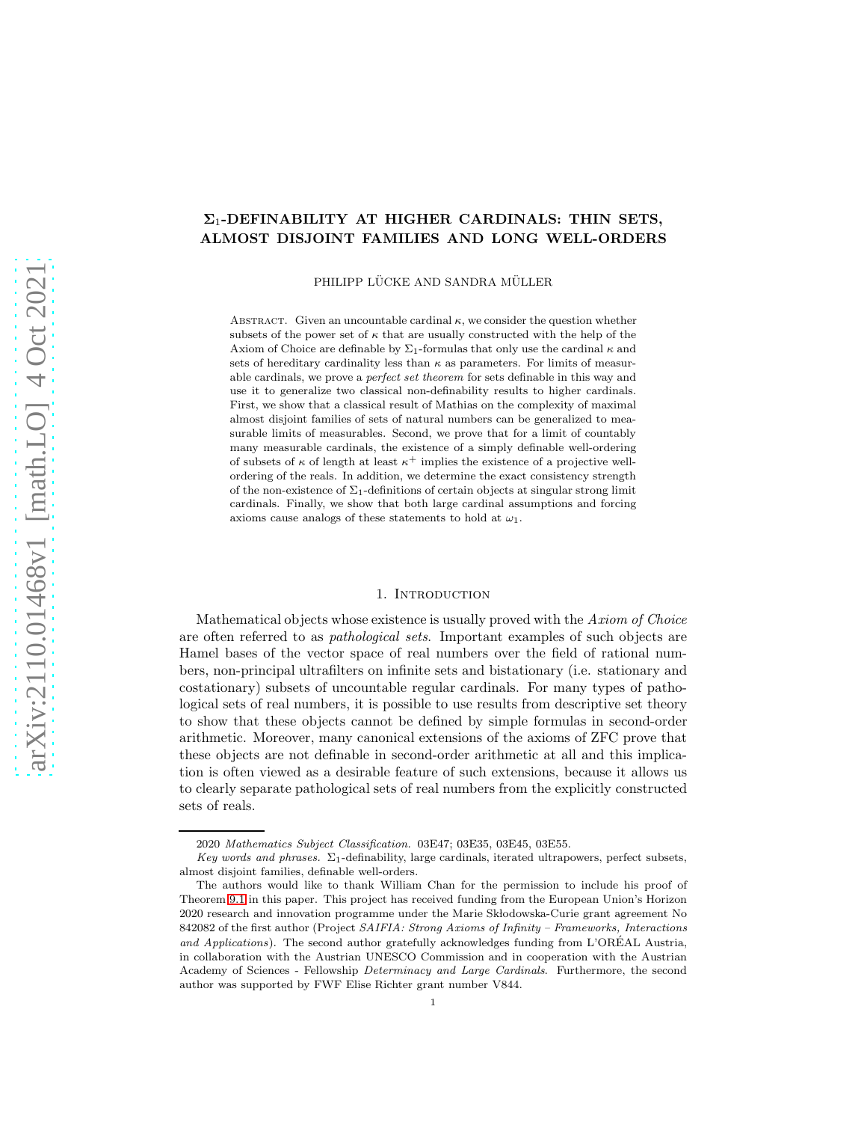# $\Sigma_1$ -DEFINABILITY AT HIGHER CARDINALS: THIN SETS, ALMOST DISJOINT FAMILIES AND LONG WELL-ORDERS

PHILIPP LÜCKE AND SANDRA MÜLLER

ABSTRACT. Given an uncountable cardinal  $\kappa$ , we consider the question whether subsets of the power set of  $\kappa$  that are usually constructed with the help of the Axiom of Choice are definable by  $\Sigma_1$ -formulas that only use the cardinal  $\kappa$  and sets of hereditary cardinality less than  $\kappa$  as parameters. For limits of measurable cardinals, we prove a *perfect set theorem* for sets definable in this way and use it to generalize two classical non-definability results to higher cardinals. First, we show that a classical result of Mathias on the complexity of maximal almost disjoint families of sets of natural numbers can be generalized to measurable limits of measurables. Second, we prove that for a limit of countably many measurable cardinals, the existence of a simply definable well-ordering of subsets of  $\kappa$  of length at least  $\kappa^+$  implies the existence of a projective wellordering of the reals. In addition, we determine the exact consistency strength of the non-existence of  $\Sigma_1$ -definitions of certain objects at singular strong limit cardinals. Finally, we show that both large cardinal assumptions and forcing axioms cause analogs of these statements to hold at  $\omega_1$ .

#### 1. INTRODUCTION

Mathematical objects whose existence is usually proved with the *Axiom of Choice* are often referred to as *pathological sets*. Important examples of such objects are Hamel bases of the vector space of real numbers over the field of rational numbers, non-principal ultrafilters on infinite sets and bistationary (i.e. stationary and costationary) subsets of uncountable regular cardinals. For many types of pathological sets of real numbers, it is possible to use results from descriptive set theory to show that these objects cannot be defined by simple formulas in second-order arithmetic. Moreover, many canonical extensions of the axioms of ZFC prove that these objects are not definable in second-order arithmetic at all and this implication is often viewed as a desirable feature of such extensions, because it allows us to clearly separate pathological sets of real numbers from the explicitly constructed sets of reals.

<sup>2020</sup> *Mathematics Subject Classification.* 03E47; 03E35, 03E45, 03E55.

*Key words and phrases.*  $\Sigma_1$ -definability, large cardinals, iterated ultrapowers, perfect subsets, almost disjoint families, definable well-orders.

The authors would like to thank William Chan for the permission to include his proof of Theorem [9.1](#page-31-0) in this paper. This project has received funding from the European Union's Horizon 2020 research and innovation programme under the Marie Skłodowska-Curie grant agreement No 842082 of the first author (Project *SAIFIA: Strong Axioms of Infinity – Frameworks, Interactions and Applications*). The second author gratefully acknowledges funding from L'OREAL Austria, ´ in collaboration with the Austrian UNESCO Commission and in cooperation with the Austrian Academy of Sciences - Fellowship *Determinacy and Large Cardinals*. Furthermore, the second author was supported by FWF Elise Richter grant number V844.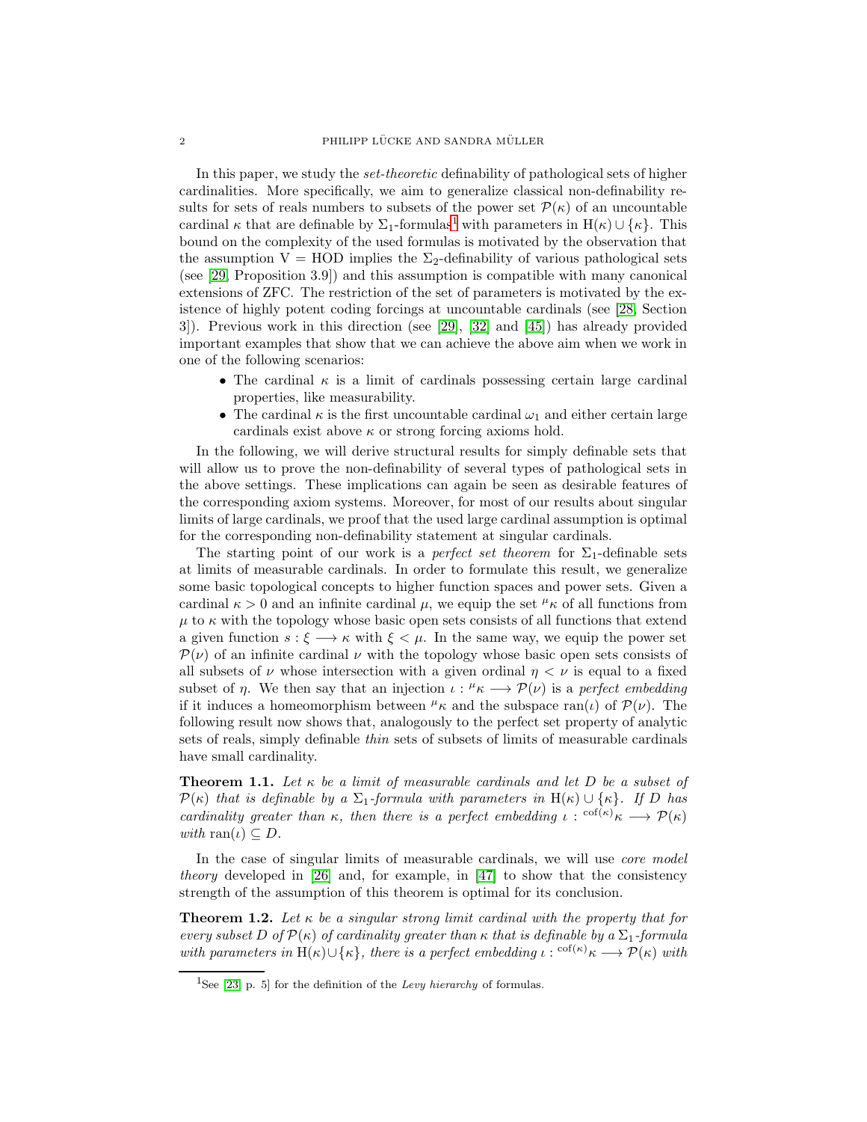In this paper, we study the *set-theoretic* definability of pathological sets of higher cardinalities. More specifically, we aim to generalize classical non-definability results for sets of reals numbers to subsets of the power set  $\mathcal{P}(\kappa)$  of an uncountable cardinal  $\kappa$  that are definable by  $\Sigma_1$  $\Sigma_1$ -formulas<sup>1</sup> with parameters in H( $\kappa$ ) ∪ { $\kappa$ }. This bound on the complexity of the used formulas is motivated by the observation that the assumption  $V = HOD$  implies the  $\Sigma_2$ -definability of various pathological sets (see [\[29,](#page-36-0) Proposition 3.9]) and this assumption is compatible with many canonical extensions of ZFC. The restriction of the set of parameters is motivated by the existence of highly potent coding forcings at uncountable cardinals (see [\[28,](#page-36-1) Section 3]). Previous work in this direction (see [\[29\]](#page-36-0), [\[32\]](#page-37-0) and [\[45\]](#page-37-1)) has already provided important examples that show that we can achieve the above aim when we work in one of the following scenarios:

- The cardinal  $\kappa$  is a limit of cardinals possessing certain large cardinal properties, like measurability.
- The cardinal  $\kappa$  is the first uncountable cardinal  $\omega_1$  and either certain large cardinals exist above  $\kappa$  or strong forcing axioms hold.

In the following, we will derive structural results for simply definable sets that will allow us to prove the non-definability of several types of pathological sets in the above settings. These implications can again be seen as desirable features of the corresponding axiom systems. Moreover, for most of our results about singular limits of large cardinals, we proof that the used large cardinal assumption is optimal for the corresponding non-definability statement at singular cardinals.

The starting point of our work is a *perfect set theorem* for  $\Sigma_1$ -definable sets at limits of measurable cardinals. In order to formulate this result, we generalize some basic topological concepts to higher function spaces and power sets. Given a cardinal  $\kappa > 0$  and an infinite cardinal  $\mu$ , we equip the set  $^{\mu}$  k of all functions from  $\mu$  to  $\kappa$  with the topology whose basic open sets consists of all functions that extend a given function  $s : \xi \longrightarrow \kappa$  with  $\xi < \mu$ . In the same way, we equip the power set  $\mathcal{P}(\nu)$  of an infinite cardinal  $\nu$  with the topology whose basic open sets consists of all subsets of  $\nu$  whose intersection with a given ordinal  $\eta < \nu$  is equal to a fixed subset of  $\eta$ . We then say that an injection  $\iota : \mu_K \longrightarrow \mathcal{P}(\nu)$  is a *perfect embedding* if it induces a homeomorphism between  $^{\mu}$ <sub>K</sub> and the subspace ran(*l*) of  $\mathcal{P}(\nu)$ . The following result now shows that, analogously to the perfect set property of analytic sets of reals, simply definable *thin* sets of subsets of limits of measurable cardinals have small cardinality.

<span id="page-1-1"></span>Theorem 1.1. *Let* κ *be a limit of measurable cardinals and let* D *be a subset of*  $\mathcal{P}(\kappa)$  *that is definable by a*  $\Sigma_1$ -formula with parameters in H( $\kappa$ ) ∪ { $\kappa$ }. If D has *cardinality greater than*  $\kappa$ *, then there is a perfect embedding*  $\iota$  : <sup>cof( $\kappa$ ) $\kappa \longrightarrow \mathcal{P}(\kappa)$ </sup> *with* ran( $\iota$ )  $\subseteq$  *D*.

In the case of singular limits of measurable cardinals, we will use *core model theory* developed in [\[26\]](#page-36-2) and, for example, in [\[47\]](#page-37-2) to show that the consistency strength of the assumption of this theorem is optimal for its conclusion.

<span id="page-1-2"></span>Theorem 1.2. *Let* κ *be a singular strong limit cardinal with the property that for every subset* D *of*  $\mathcal{P}(\kappa)$  *of cardinality greater than*  $\kappa$  *that is definable by a*  $\Sigma_1$ *-formula with parameters in*  $H(\kappa) \cup \{\kappa\}$ , there is a perfect embedding  $\iota : \text{cof}(\kappa) \kappa \longrightarrow \mathcal{P}(\kappa)$  with

<span id="page-1-0"></span><sup>1</sup>See [\[23,](#page-36-3) p. 5] for the definition of the *Levy hierarchy* of formulas.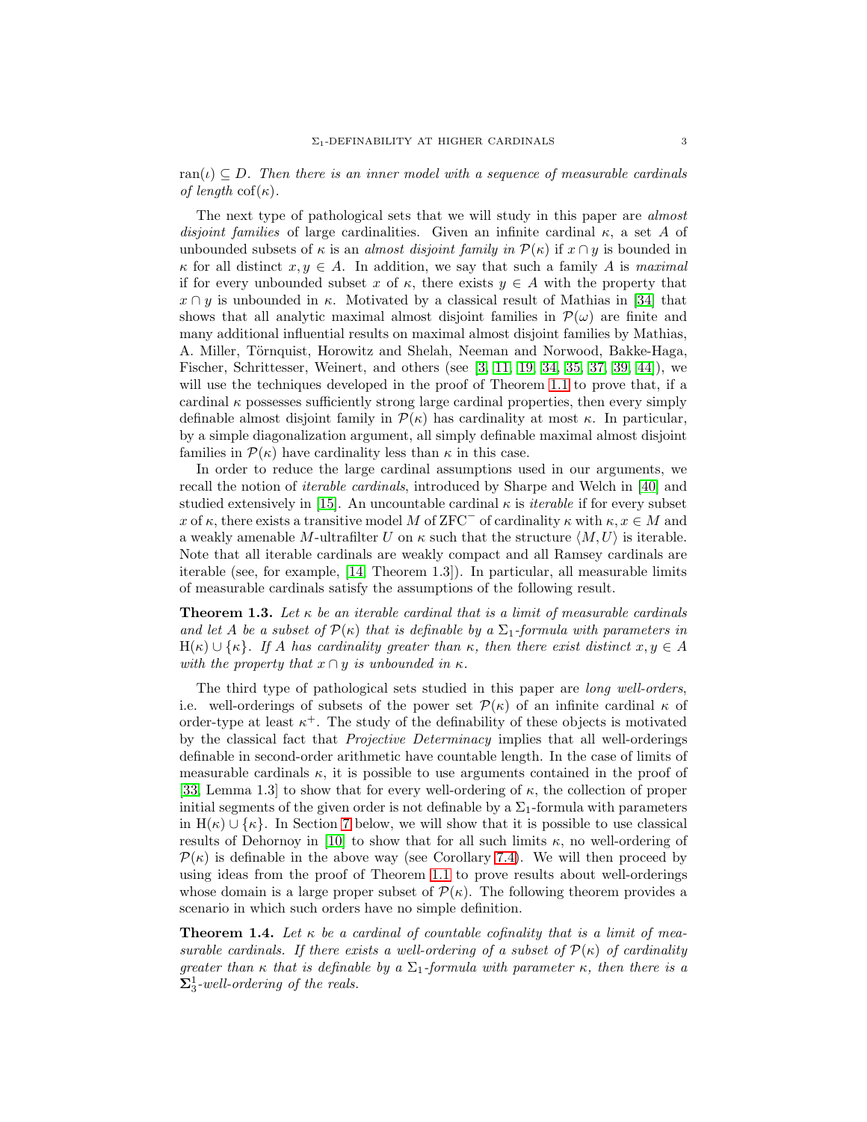$ran(\iota) \subseteq D$ . Then there is an inner model with a sequence of measurable cardinals *of length*  $\cot(\kappa)$ .

The next type of pathological sets that we will study in this paper are *almost disjoint families* of large cardinalities. Given an infinite cardinal  $\kappa$ , a set A of unbounded subsets of  $\kappa$  is an *almost disjoint family in*  $\mathcal{P}(\kappa)$  if  $x \cap y$  is bounded in  $\kappa$  for all distinct  $x, y \in A$ . In addition, we say that such a family A is *maximal* if for every unbounded subset x of  $\kappa$ , there exists  $y \in A$  with the property that  $x \cap y$  is unbounded in  $\kappa$ . Motivated by a classical result of Mathias in [\[34\]](#page-37-3) that shows that all analytic maximal almost disjoint families in  $\mathcal{P}(\omega)$  are finite and many additional influential results on maximal almost disjoint families by Mathias, A. Miller, Törnquist, Horowitz and Shelah, Neeman and Norwood, Bakke-Haga, Fischer, Schrittesser, Weinert, and others (see [3, [11,](#page-36-4) [19,](#page-36-5) [34,](#page-37-3) [35,](#page-37-4) [37,](#page-37-5) [39,](#page-37-6) [44\]](#page-37-7)), we will use the techniques developed in the proof of Theorem [1.1](#page-1-1) to prove that, if a cardinal  $\kappa$  possesses sufficiently strong large cardinal properties, then every simply definable almost disjoint family in  $\mathcal{P}(\kappa)$  has cardinality at most  $\kappa$ . In particular, by a simple diagonalization argument, all simply definable maximal almost disjoint families in  $\mathcal{P}(\kappa)$  have cardinality less than  $\kappa$  in this case.

In order to reduce the large cardinal assumptions used in our arguments, we recall the notion of *iterable cardinals*, introduced by Sharpe and Welch in [\[40\]](#page-37-8) and studied extensively in [\[15\]](#page-36-6). An uncountable cardinal  $\kappa$  is *iterable* if for every subset x of  $\kappa$ , there exists a transitive model M of ZFC<sup>-</sup> of cardinality  $\kappa$  with  $\kappa$ ,  $x \in M$  and a weakly amenable M-ultrafilter U on  $\kappa$  such that the structure  $\langle M, U \rangle$  is iterable. Note that all iterable cardinals are weakly compact and all Ramsey cardinals are iterable (see, for example, [\[14,](#page-36-7) Theorem 1.3]). In particular, all measurable limits of measurable cardinals satisfy the assumptions of the following result.

<span id="page-2-0"></span>**Theorem 1.3.** Let  $\kappa$  be an iterable cardinal that is a limit of measurable cardinals *and let* A *be a subset of*  $\mathcal{P}(\kappa)$  *that is definable by a*  $\Sigma_1$ *-formula with parameters in* H( $\kappa$ )  $\cup$  { $\kappa$ }. If A has cardinality greater than  $\kappa$ , then there exist distinct  $x, y \in A$ *with the property that*  $x \cap y$  *is unbounded in*  $\kappa$ *.* 

The third type of pathological sets studied in this paper are *long well-orders*, i.e. well-orderings of subsets of the power set  $\mathcal{P}(\kappa)$  of an infinite cardinal  $\kappa$  of order-type at least  $\kappa^+$ . The study of the definability of these objects is motivated by the classical fact that *Projective Determinacy* implies that all well-orderings definable in second-order arithmetic have countable length. In the case of limits of measurable cardinals  $\kappa$ , it is possible to use arguments contained in the proof of [\[33,](#page-37-9) Lemma 1.3] to show that for every well-ordering of  $\kappa$ , the collection of proper initial segments of the given order is not definable by a  $\Sigma_1$ -formula with parameters in H( $\kappa$ ) ∪ { $\kappa$ }. In Section [7](#page-23-0) below, we will show that it is possible to use classical results of Dehornoy in [\[10\]](#page-36-8) to show that for all such limits  $\kappa$ , no well-ordering of  $\mathcal{P}(\kappa)$  is definable in the above way (see Corollary [7.4\)](#page-24-0). We will then proceed by using ideas from the proof of Theorem [1.1](#page-1-1) to prove results about well-orderings whose domain is a large proper subset of  $\mathcal{P}(\kappa)$ . The following theorem provides a scenario in which such orders have no simple definition.

<span id="page-2-1"></span>**Theorem 1.4.** Let  $\kappa$  be a cardinal of countable cofinality that is a limit of mea*surable cardinals. If there exists a well-ordering of a subset of*  $\mathcal{P}(\kappa)$  *of cardinality greater than*  $\kappa$  *that is definable by a*  $\Sigma_1$ -formula with parameter  $\kappa$ , then there is a  $\Sigma_3^1$ -well-ordering of the reals.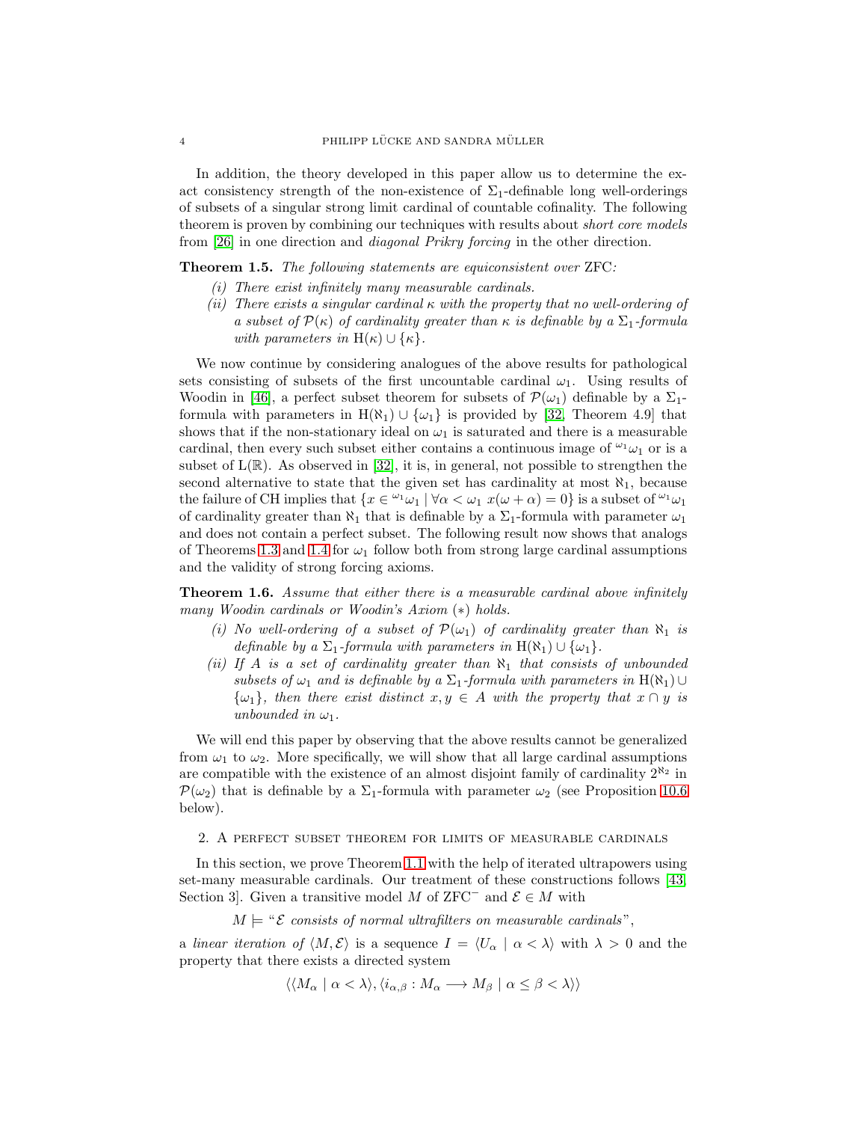In addition, the theory developed in this paper allow us to determine the exact consistency strength of the non-existence of  $\Sigma_1$ -definable long well-orderings of subsets of a singular strong limit cardinal of countable cofinality. The following theorem is proven by combining our techniques with results about *short core models* from [\[26\]](#page-36-2) in one direction and *diagonal Prikry forcing* in the other direction.

<span id="page-3-1"></span>Theorem 1.5. *The following statements are equiconsistent over* ZFC*:*

- *(i) There exist infinitely many measurable cardinals.*
- *(ii) There exists a singular cardinal* κ *with the property that no well-ordering of a subset of*  $\mathcal{P}(\kappa)$  *of cardinality greater than*  $\kappa$  *is definable by a*  $\Sigma_1$ -formula *with parameters in*  $H(\kappa) \cup {\kappa}$ .

We now continue by considering analogues of the above results for pathological sets consisting of subsets of the first uncountable cardinal  $\omega_1$ . Using results of Woodin in [\[46\]](#page-37-10), a perfect subset theorem for subsets of  $\mathcal{P}(\omega_1)$  definable by a  $\Sigma_1$ formula with parameters in H( $\aleph_1$ ) ∪ { $\omega_1$ } is provided by [\[32,](#page-37-0) Theorem 4.9] that shows that if the non-stationary ideal on  $\omega_1$  is saturated and there is a measurable cardinal, then every such subset either contains a continuous image of  $\omega_1 \omega_1$  or is a subset of  $L(\mathbb{R})$ . As observed in [\[32\]](#page-37-0), it is, in general, not possible to strengthen the second alternative to state that the given set has cardinality at most  $\aleph_1$ , because the failure of CH implies that  $\{x \in {}^{\omega_1} \omega_1 \mid \forall \alpha < \omega_1 \ x(\omega + \alpha) = 0\}$  is a subset of  ${}^{\omega_1} \omega_1$ of cardinality greater than  $\aleph_1$  that is definable by a  $\Sigma_1$ -formula with parameter  $\omega_1$ and does not contain a perfect subset. The following result now shows that analogs of Theorems [1.3](#page-2-0) and [1.4](#page-2-1) for  $\omega_1$  follow both from strong large cardinal assumptions and the validity of strong forcing axioms.

<span id="page-3-3"></span><span id="page-3-2"></span>Theorem 1.6. *Assume that either there is a measurable cardinal above infinitely many Woodin cardinals or Woodin's Axiom* (∗) *holds.*

- *(i)* No well-ordering of a subset of  $\mathcal{P}(\omega_1)$  of cardinality greater than  $\aleph_1$  *is definable by a*  $\Sigma_1$ -formula with parameters in H( $\aleph_1$ ) ∪  $\{\omega_1\}$ .
- <span id="page-3-4"></span>*(ii)* If A *is a set of cardinality greater than*  $\aleph_1$  *that consists of unbounded subsets of*  $\omega_1$  *and is definable by a*  $\Sigma_1$ -formula with parameters in H( $\aleph_1$ )∪  $\{\omega_1\}$ , then there exist distinct  $x, y \in A$  with the property that  $x \cap y$  is *unbounded in*  $\omega_1$ *.*

We will end this paper by observing that the above results cannot be generalized from  $\omega_1$  to  $\omega_2$ . More specifically, we will show that all large cardinal assumptions are compatible with the existence of an almost disjoint family of cardinality  $2^{\aleph_2}$  in  $\mathcal{P}(\omega_2)$  that is definable by a  $\Sigma_1$ -formula with parameter  $\omega_2$  (see Proposition 10.6) below).

<span id="page-3-0"></span>2. A perfect subset theorem for limits of measurable cardinals

In this section, we prove Theorem [1.1](#page-1-1) with the help of iterated ultrapowers using set-many measurable cardinals. Our treatment of these constructions follows [\[43,](#page-37-11) Section 3. Given a transitive model M of ZFC<sup>-</sup> and  $\mathcal{E} \in M$  with

 $M \models \text{``$\mathcal{E}$ consists of normal ultrafilters on measurable cardinals''},$ 

a *linear iteration of*  $\langle M, \mathcal{E} \rangle$  is a sequence  $I = \langle U_\alpha | \alpha \langle \lambda \rangle$  with  $\lambda > 0$  and the property that there exists a directed system

$$
\langle \langle M_{\alpha} \mid \alpha < \lambda \rangle, \langle i_{\alpha,\beta} : M_{\alpha} \longrightarrow M_{\beta} \mid \alpha \leq \beta < \lambda \rangle \rangle
$$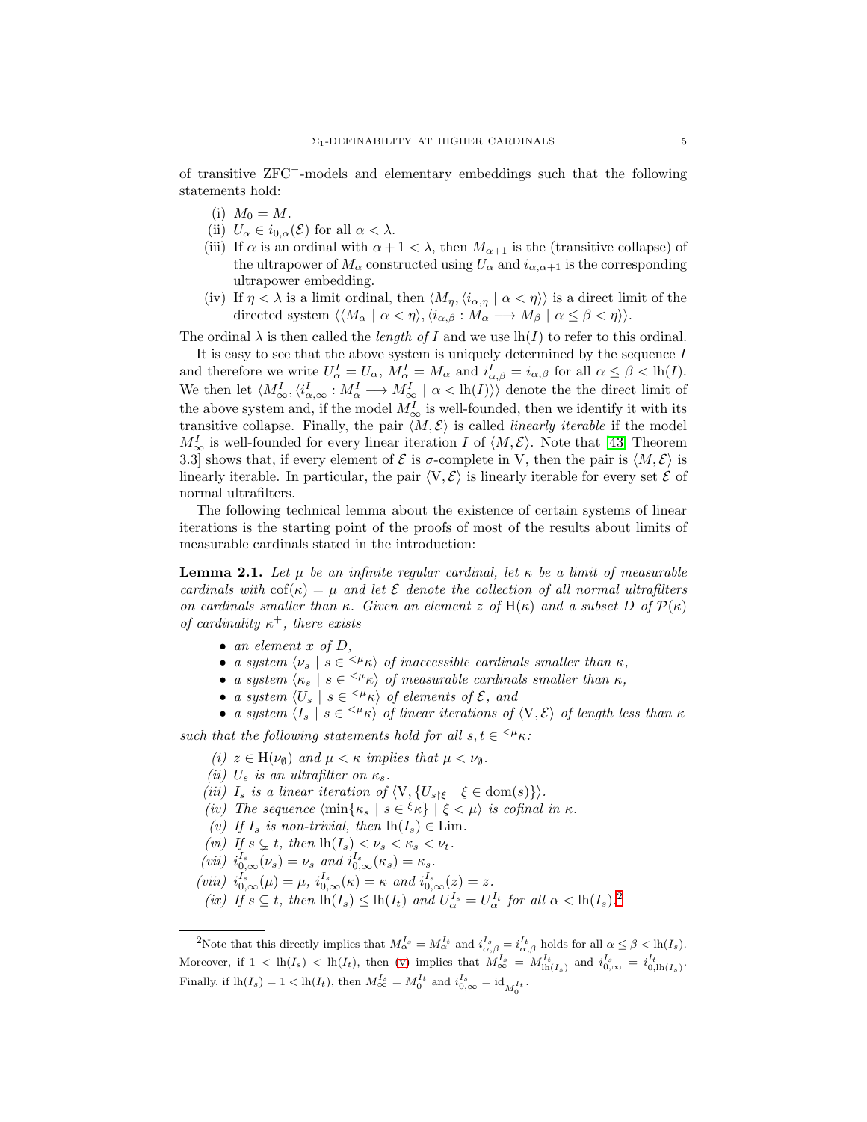of transitive ZFC−-models and elementary embeddings such that the following statements hold:

- (i)  $M_0 = M$ .
- (ii)  $U_{\alpha} \in i_{0,\alpha}(\mathcal{E})$  for all  $\alpha < \lambda$ .
- (iii) If  $\alpha$  is an ordinal with  $\alpha + 1 < \lambda$ , then  $M_{\alpha+1}$  is the (transitive collapse) of the ultrapower of  $M_{\alpha}$  constructed using  $U_{\alpha}$  and  $i_{\alpha,\alpha+1}$  is the corresponding ultrapower embedding.
- (iv) If  $\eta < \lambda$  is a limit ordinal, then  $\langle M_{\eta}, \langle i_{\alpha,\eta} | \alpha \langle \eta \rangle \rangle$  is a direct limit of the directed system  $\langle M_{\alpha} | \alpha < \eta \rangle, \langle i_{\alpha,\beta} : M_{\alpha} \longrightarrow M_{\beta} | \alpha \leq \beta < \eta \rangle$ .

The ordinal  $\lambda$  is then called the *length of* I and we use  $\ln(I)$  to refer to this ordinal.

It is easy to see that the above system is uniquely determined by the sequence  $I$ and therefore we write  $U^I_\alpha = U_\alpha$ ,  $M^I_\alpha = M_\alpha$  and  $i^I_{\alpha,\beta} = i_{\alpha,\beta}$  for all  $\alpha \leq \beta < \text{lh}(I)$ . We then let  $\langle M^I_{\infty}, \langle i^I_{\alpha,\infty} : M^I_{\alpha} \longrightarrow M^I_{\infty} \mid \alpha < \mathrm{lh}(I) \rangle$  denote the direct limit of the above system and, if the model  $M^I_{\infty}$  is well-founded, then we identify it with its transitive collapse. Finally, the pair  $\langle M, \mathcal{E} \rangle$  is called *linearly iterable* if the model  $M^I_{\infty}$  is well-founded for every linear iteration I of  $\langle M, \mathcal{E} \rangle$ . Note that [\[43,](#page-37-11) Theorem 3.3] shows that, if every element of  $\mathcal E$  is  $\sigma$ -complete in V, then the pair is  $\langle M, \mathcal E \rangle$  is linearly iterable. In particular, the pair  $\langle V, \mathcal{E} \rangle$  is linearly iterable for every set  $\mathcal{E}$  of normal ultrafilters.

The following technical lemma about the existence of certain systems of linear iterations is the starting point of the proofs of most of the results about limits of measurable cardinals stated in the introduction:

<span id="page-4-7"></span>**Lemma 2.1.** Let  $\mu$  be an infinite regular cardinal, let  $\kappa$  be a limit of measurable *cardinals with*  $\cot(\kappa) = \mu$  *and let* E *denote the collection of all normal ultrafilters on cardinals smaller than*  $\kappa$ *. Given an element* z of  $H(\kappa)$  *and a subset* D of  $\mathcal{P}(\kappa)$ *of cardinality*  $\kappa^+$ *, there exists* 

- *an element*  $x$  *of*  $D$ *,*
- *a system*  $\langle \nu_s | s \in \langle \nu_k \rangle$  *of inaccessible cardinals smaller than*  $\kappa$ *,*
- *a system*  $\langle \kappa_s | s \in \langle^{\mu} \kappa \rangle$  *of measurable cardinals smaller than*  $\kappa$ *,*
- *a system*  $\langle U_s | s \in \langle \mu_K \rangle$  *of elements of*  $\mathcal{E}$ *, and*
- *a system*  $\langle I_s | s \in \langle {}^{\mu} \kappa \rangle$  *of linear iterations of*  $\langle V, \mathcal{E} \rangle$  *of length less than*  $\kappa$

such that the following statements hold for all  $s, t \in \langle \mu_K, \mu \rangle$ 

- *(i)*  $z \in H(\nu_{\emptyset})$  *and*  $\mu < \kappa$  *implies that*  $\mu < \nu_{\emptyset}$ *.*
- *(ii)*  $U_s$  *is an ultrafilter on*  $\kappa_s$ *.*
- <span id="page-4-2"></span>*(iii)*  $I_s$  *is a linear iteration of*  $\langle V, \{U_{s \upharpoonright \xi} \mid \xi \in \text{dom}(s)\}\rangle$ .
- <span id="page-4-1"></span>*(iv)* The sequence  $\{\min\{\kappa_s \mid s \in \xi \kappa\} \mid \xi < \mu\}$  is cofinal in  $\kappa$ .
- (*v*) If  $I_s$  *is non-trivial, then*  $lh(I_s) \in Lim$ .
- <span id="page-4-4"></span><span id="page-4-3"></span>*(vi)* If  $s \subseteq t$ , then  $\ln(I_s) < \nu_s < \kappa_s < \nu_t$ .
- (*vii*)  $i_{0,\infty}^{I_s}(\nu_s) = \nu_s$  *and*  $i_{0,\infty}^{I_s}(\kappa_s) = \kappa_s$ .
- <span id="page-4-6"></span><span id="page-4-5"></span> $(viii) i_{0,\infty}^{I_s}(\mu) = \mu, i_{0,\infty}^{I_s}(\kappa) = \kappa \text{ and } i_{0,\infty}^{I_s}(z) = z.$
- (*ix*) If  $s \subseteq t$ , then  $\ln(I_s) \leq \ln(I_t)$  and  $U_{\alpha}^{I_s} = U_{\alpha}^{I_t}$  for all  $\alpha < \ln(I_s)$ .<sup>[2](#page-4-0)</sup>

<span id="page-4-0"></span><sup>&</sup>lt;sup>2</sup>Note that this directly implies that  $M_{\alpha}^{I_s} = M_{\alpha}^{I_t}$  and  $i_{\alpha,\beta}^{I_s} = i_{\alpha,\beta}^{I_t}$  holds for all  $\alpha \leq \beta < \text{lh}(I_s)$ . Moreover, if  $1 < \mathrm{lh}(I_s) < \mathrm{lh}(I_t)$ , then [\(v\)](#page-4-1) implies that  $M_{\infty}^{I_s} = M_{\mathrm{lh}(I_s)}^{I_t}$  and  $i_{0,\infty}^{I_s} = i_{0,\mathrm{lh}(I_s)}^{I_t}$ . Finally, if  $\ln(I_s) = 1 < \ln(I_t)$ , then  $M_{\infty}^{I_s} = M_0^{I_t}$  and  $i_{0,\infty}^{I_s} = id_{M_0^{I_t}}$ .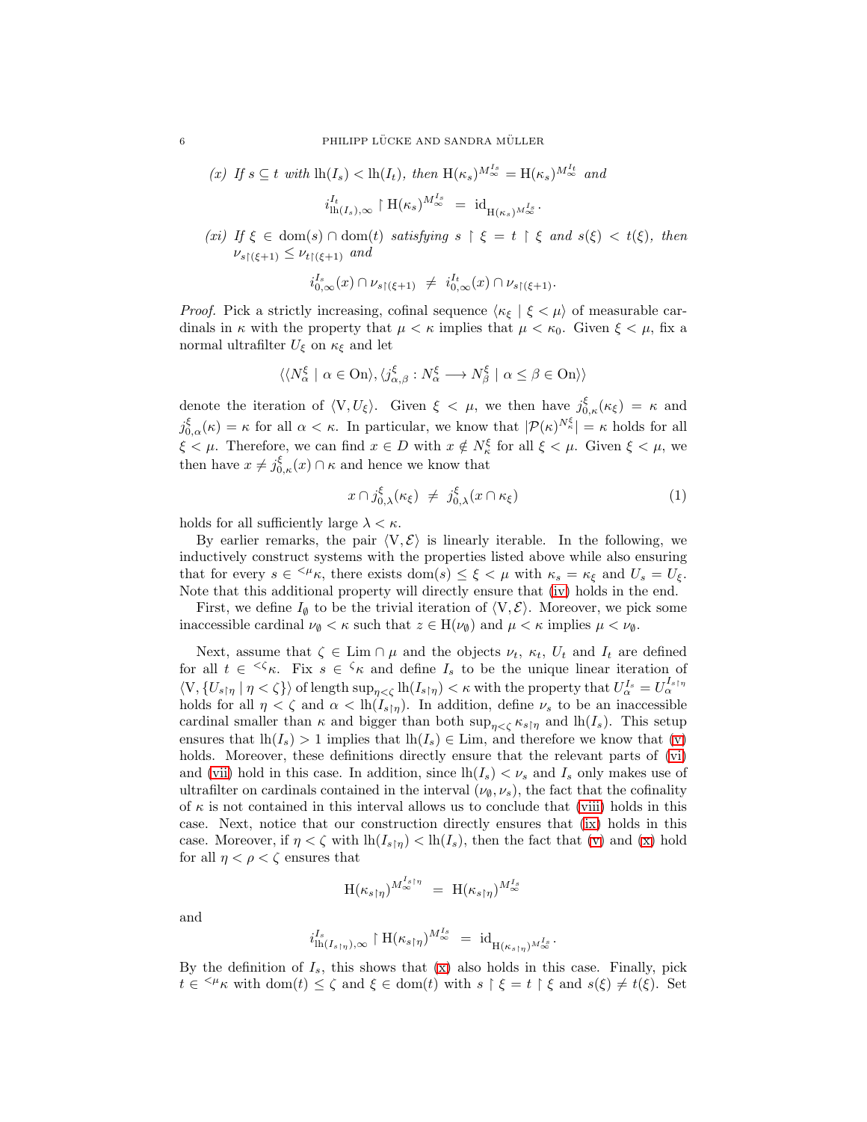$$
(x) \text{ If } s \subseteq t \text{ with } \text{lh}(I_s) < \text{lh}(I_t), \text{ then } \text{H}(\kappa_s)^{M_{\infty}^{I_s}} = \text{H}(\kappa_s)^{M_{\infty}^{I_t}} \text{ and}
$$
\n
$$
i_{\text{lh}(I_s),\infty}^{I_t} \upharpoonright \text{H}(\kappa_s)^{M_{\infty}^{I_s}} = \text{id}_{\text{H}(\kappa_s)^{M_{\infty}^{I_s}}}.
$$

<span id="page-5-1"></span>*(xi)* If  $\xi \in \text{dom}(s) \cap \text{dom}(t)$  *satisfying*  $s \restriction \xi = t \restriction \xi$  *and*  $s(\xi) < t(\xi)$ *, then*  $\nu_{s\upharpoonright(\xi+1)} \leq \nu_{t\upharpoonright(\xi+1)}$  and

$$
i^{I_s}_{0,\infty}(x) \cap \nu_{s \restriction (\xi+1)} \; \neq \; i^{I_t}_{0,\infty}(x) \cap \nu_{s \restriction (\xi+1)}.
$$

*Proof.* Pick a strictly increasing, cofinal sequence  $\langle \kappa_{\xi} | \xi \langle \mu \rangle$  of measurable cardinals in  $\kappa$  with the property that  $\mu < \kappa$  implies that  $\mu < \kappa_0$ . Given  $\xi < \mu$ , fix a normal ultrafilter  $U_{\xi}$  on  $\kappa_{\xi}$  and let

$$
\langle \langle N_{\alpha}^{\xi} \mid \alpha \in \text{On} \rangle, \langle j_{\alpha,\beta}^{\xi} : N_{\alpha}^{\xi} \longrightarrow N_{\beta}^{\xi} \mid \alpha \leq \beta \in \text{On} \rangle \rangle
$$

denote the iteration of  $\langle V, U_{\xi} \rangle$ . Given  $\xi < \mu$ , we then have  $j_{0,\kappa}^{\xi}(\kappa_{\xi}) = \kappa$  and  $j_{0,\alpha}^{\xi}(\kappa) = \kappa$  for all  $\alpha < \kappa$ . In particular, we know that  $|\mathcal{P}(\kappa)^{N_{\kappa}^{\xi}}| = \kappa$  holds for all  $\xi < \mu$ . Therefore, we can find  $x \in D$  with  $x \notin N_{\kappa}^{\xi}$  for all  $\xi < \mu$ . Given  $\xi < \mu$ , we then have  $x \neq j_{0,\kappa}^{\xi}(x) \cap \kappa$  and hence we know that

<span id="page-5-2"></span>
$$
x \cap j_{0,\lambda}^{\xi}(\kappa_{\xi}) \neq j_{0,\lambda}^{\xi}(x \cap \kappa_{\xi}) \tag{1}
$$

holds for all sufficiently large  $\lambda < \kappa$ .

By earlier remarks, the pair  $\langle V, \mathcal{E} \rangle$  is linearly iterable. In the following, we inductively construct systems with the properties listed above while also ensuring that for every  $s \in \langle \mu_K \rangle$ , there exists dom(s)  $\leq \xi \leq \mu$  with  $\kappa_s = \kappa_{\xi}$  and  $U_s = U_{\xi}$ . Note that this additional property will directly ensure that [\(iv\)](#page-4-2) holds in the end.

First, we define  $I_{\emptyset}$  to be the trivial iteration of  $\langle V, \mathcal{E} \rangle$ . Moreover, we pick some inaccessible cardinal  $\nu_{\emptyset} < \kappa$  such that  $z \in H(\nu_{\emptyset})$  and  $\mu < \kappa$  implies  $\mu < \nu_{\emptyset}$ .

Next, assume that  $\zeta \in \text{Lim} \cap \mu$  and the objects  $\nu_t$ ,  $\kappa_t$ ,  $U_t$  and  $I_t$  are defined for all  $t \in \langle \zeta_K$ . Fix  $s \in \zeta_K$  and define  $I_s$  to be the unique linear iteration of  $\langle V, \{U_{s \uparrow \eta} \mid \eta < \zeta\} \rangle$  of length  $\sup_{\eta < \zeta} \text{lh}(I_{s \uparrow \eta}) < \kappa$  with the property that  $U_{\alpha}^{I_s} = U_{\alpha}^{I_{s \uparrow \eta}}$ holds for all  $\eta < \zeta$  and  $\alpha < \ln(I_{s\upharpoonright \eta})$ . In addition, define  $\nu_s$  to be an inaccessible cardinal smaller than  $\kappa$  and bigger than both  $\sup_{\eta \leq \zeta} \kappa_{s\eta}$  and  $\ln(I_s)$ . This setup ensures that  $lh(I_s) > 1$  implies that  $lh(I_s) \in \text{Lim}$ , and therefore we know that [\(v\)](#page-4-1) holds. Moreover, these definitions directly ensure that the relevant parts of [\(vi\)](#page-4-3) and [\(vii\)](#page-4-4) hold in this case. In addition, since  $lh(I_s) < \nu_s$  and  $I_s$  only makes use of ultrafilter on cardinals contained in the interval  $(\nu_{\emptyset}, \nu_{s})$ , the fact that the cofinality of  $\kappa$  is not contained in this interval allows us to conclude that [\(viii\)](#page-4-5) holds in this case. Next, notice that our construction directly ensures that [\(ix\)](#page-4-6) holds in this case. Moreover, if  $\eta < \zeta$  with  $\ln(I_{s\uparrow\eta}) < \ln(I_s)$ , then the fact that [\(v\)](#page-4-1) and [\(x\)](#page-5-0) hold for all  $\eta < \rho < \zeta$  ensures that

$$
\text{H}(\kappa_{s\restriction \eta})^{M^{I_s\restriction \eta}_\infty} \; = \; \text{H}(\kappa_{s\restriction \eta})^{M^{I_s}_\infty}
$$

and

$$
i^{I_s}_{\mathrm{lh}(I_{s\restriction \eta}),\infty} \restriction \mathrm{H}(\kappa_{s\restriction \eta})^{M^{I_s}_{\infty}} \ = \ \mathrm{id}_{\mathrm{H}(\kappa_{s\restriction \eta})^{M^{I_s}_{\infty}}}.
$$

By the definition of  $I_s$ , this shows that  $(x)$  also holds in this case. Finally, pick  $t \in \langle \mu_K \rangle$  with dom $(t) \leq \zeta$  and  $\xi \in \text{dom}(t)$  with  $s \upharpoonright \xi = t \upharpoonright \xi$  and  $s(\xi) \neq t(\xi)$ . Set

<span id="page-5-0"></span>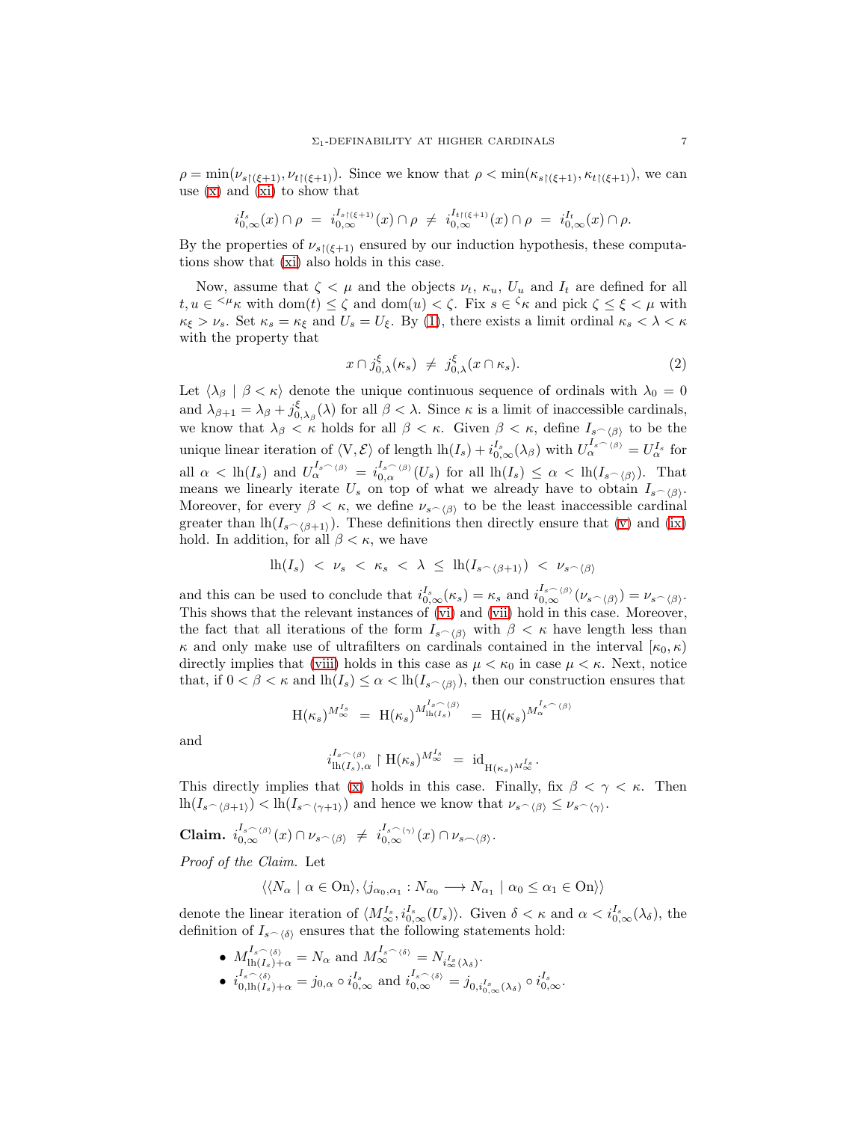$\rho = \min(\nu_{s\upharpoonright(\xi+1)}, \nu_{t\upharpoonright(\xi+1)})$ . Since we know that  $\rho < \min(\kappa_{s\upharpoonright(\xi+1)}, \kappa_{t\upharpoonright(\xi+1)})$ , we can use [\(x\)](#page-5-0) and [\(xi\)](#page-5-1) to show that

$$
i_{0,\infty}^{I_s}(x) \cap \rho = i_{0,\infty}^{I_s \restriction (\xi+1)}(x) \cap \rho \neq i_{0,\infty}^{I_t \restriction (\xi+1)}(x) \cap \rho = i_{0,\infty}^{I_t}(x) \cap \rho.
$$

By the properties of  $\nu_{s \restriction (\xi+1)}$  ensured by our induction hypothesis, these computations show that [\(xi\)](#page-5-1) also holds in this case.

Now, assume that  $\zeta < \mu$  and the objects  $\nu_t$ ,  $\kappa_u$ ,  $U_u$  and  $I_t$  are defined for all  $t, u \in \langle \mu_K \rangle$  with  $\text{dom}(t) \leq \zeta$  and  $\text{dom}(u) < \zeta$ . Fix  $s \in \zeta_K$  and pick  $\zeta \leq \xi < \mu$  with  $\kappa_{\xi} > \nu_s$ . Set  $\kappa_s = \kappa_{\xi}$  and  $U_s = U_{\xi}$ . By [\(1\)](#page-5-2), there exists a limit ordinal  $\kappa_s < \lambda < \kappa$ with the property that

<span id="page-6-0"></span>
$$
x \cap j_{0,\lambda}^{\xi}(\kappa_s) \neq j_{0,\lambda}^{\xi}(x \cap \kappa_s). \tag{2}
$$

Let  $\langle \lambda_{\beta} | \beta \langle \kappa \rangle$  denote the unique continuous sequence of ordinals with  $\lambda_0 = 0$ and  $\lambda_{\beta+1} = \lambda_{\beta} + j_{0,\lambda_{\beta}}^{\xi}(\lambda)$  for all  $\beta < \lambda$ . Since  $\kappa$  is a limit of inaccessible cardinals, we know that  $\lambda_{\beta} < \kappa$  holds for all  $\beta < \kappa$ . Given  $\beta < \kappa$ , define  $I_{s^{\frown}\langle\beta\rangle}$  to be the unique linear iteration of  $\langle V, \mathcal{E} \rangle$  of length  $lh(I_s) + i_{0,\infty}^{I_s}(\lambda_\beta)$  with  $U_\alpha^{I_s \frown \langle \beta \rangle} = U_\alpha^{I_s}$  for all  $\alpha < \mathrm{lh}(I_s)$  and  $U_\alpha^{I_s \frown \langle \beta \rangle} = i_{0,\alpha}^{I_s \frown \langle \beta \rangle}(U_s)$  for all  $\mathrm{lh}(I_s) \leq \alpha < \mathrm{lh}(I_s \frown \langle \beta \rangle)$ . That means we linearly iterate  $U_s$  on top of what we already have to obtain  $I_{s^{\frown}\langle\beta\rangle}$ . Moreover, for every  $\beta < \kappa$ , we define  $\nu_s \sim \beta \beta$  to be the least inaccessible cardinal greater than  $lh(I_{s^{\frown}\langle\beta+1\rangle})$ . These definitions then directly ensure that [\(v\)](#page-4-1) and [\(ix\)](#page-4-6) hold. In addition, for all  $\beta < \kappa$ , we have

$$
\mathrm{lh}(I_s) \ < \ \nu_s \ < \ \kappa_s \ < \ \lambda \ \leq \ \mathrm{lh}(I_{s^\frown \langle \beta+1 \rangle}) \ < \ \nu_{s^\frown \langle \beta \rangle}
$$

and this can be used to conclude that  $i_{0,\infty}^{I_s}(\kappa_s) = \kappa_s$  and  $i_{0,\infty}^{I_s \frown \langle \beta \rangle}(\nu_s \frown \langle \beta \rangle) = \nu_s \frown \langle \beta \rangle$ . This shows that the relevant instances of [\(vi\)](#page-4-3) and [\(vii\)](#page-4-4) hold in this case. Moreover, the fact that all iterations of the form  $I_{s^{\frown}\langle\beta\rangle}$  with  $\beta < \kappa$  have length less than  $\kappa$  and only make use of ultrafilters on cardinals contained in the interval  $[\kappa_0, \kappa)$ directly implies that [\(viii\)](#page-4-5) holds in this case as  $\mu < \kappa_0$  in case  $\mu < \kappa$ . Next, notice that, if  $0 < \beta < \kappa$  and  $\ln(I_s) \leq \alpha < \ln(I_s \cap \beta)$ , then our construction ensures that

$$
\mathbf{H}(\kappa_s)^{M_\infty^{I_s}} \ = \ \mathbf{H}(\kappa_s)^{M_{\mathrm{lh}(I_s)}^{I_s \frown \langle \beta \rangle}} \ = \ \mathbf{H}(\kappa_s)^{M_\alpha^{I_s \frown \langle \beta \rangle}}
$$

and

$$
i_{\mathrm{lh}(I_s),\alpha}^{I_s\frown\langle\beta\rangle}\restriction \mathrm{H}(\kappa_s)^{M_{\infty}^{I_s}}\ =\ \mathrm{id}_{\mathrm{H}(\kappa_s)^{M_{\infty}^{I_s}}}.
$$

This directly implies that [\(x\)](#page-5-0) holds in this case. Finally, fix  $\beta < \gamma < \kappa$ . Then  $\ln(I_{s^{\frown}\langle\beta+1\rangle}) < \ln(I_{s^{\frown}\langle\gamma+1\rangle})$  and hence we know that  $\nu_{s^{\frown}\langle\beta\rangle} \leq \nu_{s^{\frown}\langle\gamma\rangle}$ .

 $\textbf{Claim.} \ \ i_{0,\infty}^{I_s\frown{}_{\langle \beta \rangle}}(x) \cap \nu_{s\frown{}_{\langle \beta \rangle}} \ \neq \ i_{0,\infty}^{I_s\frown{}_{\langle \gamma \rangle}}(x) \cap \nu_{s\frown{}_{\langle \beta \rangle}}.$ 

*Proof of the Claim.* Let

$$
\langle \langle N_{\alpha} \mid \alpha \in \mathcal{O}n \rangle, \langle j_{\alpha_0, \alpha_1} : N_{\alpha_0} \longrightarrow N_{\alpha_1} \mid \alpha_0 \le \alpha_1 \in \mathcal{O}n \rangle \rangle
$$

denote the linear iteration of  $\langle M^{I_s}_{\infty}, i^{I_s}_{0,\infty}(U_s) \rangle$ . Given  $\delta < \kappa$  and  $\alpha < i^{I_s}_{0,\infty}(\lambda_{\delta})$ , the definition of  $I_{s^\frown \langle \delta \rangle}$  ensures that the following statements hold:

- $M_{\text{lh}(I_s)+\alpha}^{I_s\frown\langle\delta\rangle}=N_\alpha$  and  $M_\infty^{I_s\frown\langle\delta\rangle}=N_{i_{\infty}^I(\lambda_{\delta})}.$
- $i_{0, \text{lh}(I_s)+\alpha}^{I_s-\langle \delta \rangle} = j_{0,\alpha} \circ i_{0,\infty}^{I_s} \text{ and } i_{0,\infty}^{I_s-\langle \delta \rangle} = j_{0,i_{0,\infty}^{I_s}(\lambda_{\delta})} \circ i_{0,\infty}^{I_s}.$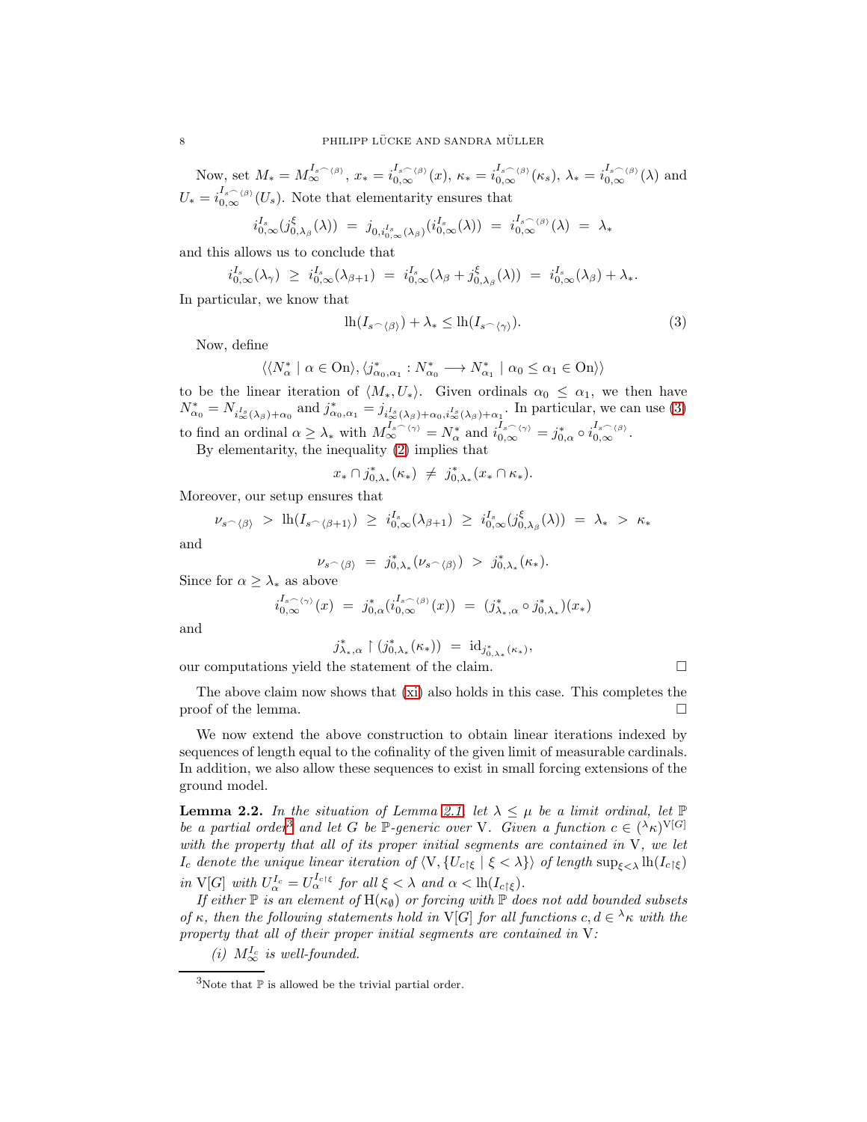Now, set  $M_* = M_{\infty}^{I_s \cap \langle \beta \rangle}$ ,  $x_* = i_{0,\infty}^{I_s \cap \langle \beta \rangle}(x)$ ,  $\kappa_* = i_{0,\infty}^{I_s \cap \langle \beta \rangle}(k_s)$ ,  $\lambda_* = i_{0,\infty}^{I_s \cap \langle \beta \rangle}(\lambda)$  and  $U_* = i_{0,\infty}^{I_s \frown \langle \beta \rangle}(U_s)$ . Note that elementarity ensures that

$$
i_{0,\infty}^{I_s}(j_{0,\lambda_\beta}^{\xi}(\lambda)) = j_{0,i_{0,\infty}^{I_s}(\lambda_\beta)}(i_{0,\infty}^{I_s}(\lambda)) = i_{0,\infty}^{I_s(\lambda)}(\lambda) = \lambda_*
$$

and this allows us to conclude that

$$
I_{0,\infty}^{I_s}(\lambda_\gamma) \geq i_{0,\infty}^{I_s}(\lambda_{\beta+1}) = i_{0,\infty}^{I_s}(\lambda_\beta + j_{0,\lambda_\beta}^{\xi}(\lambda)) = i_{0,\infty}^{I_s}(\lambda_\beta) + \lambda_*.
$$

In particular, we know that

<span id="page-7-0"></span>
$$
\ln(I_{s^{\frown}\langle\beta\rangle}) + \lambda_* \le \ln(I_{s^{\frown}\langle\gamma\rangle}).\tag{3}
$$

Now, define

i

$$
\langle \langle N^*_{\alpha} \mid \alpha \in \text{On} \rangle, \langle j^*_{\alpha_0, \alpha_1} : N^*_{\alpha_0} \longrightarrow N^*_{\alpha_1} \mid \alpha_0 \le \alpha_1 \in \text{On} \rangle \rangle
$$

to be the linear iteration of  $\langle M_*, U_* \rangle$ . Given ordinals  $\alpha_0 \leq \alpha_1$ , we then have  $N^*_{\alpha_0} = N_{i_{\infty}^s(\lambda_{\beta})+\alpha_0}$  and  $j^*_{\alpha_0,\alpha_1} = j_{i_{\infty}^s(\lambda_{\beta})+\alpha_0,i_{\infty}^s(\lambda_{\beta})+\alpha_1}$ . In particular, we can use [\(3\)](#page-7-0) to find an ordinal  $\alpha \geq \lambda_*$  with  $M_{\infty}^{I_s \cap \langle \gamma \rangle} = N_{\alpha}^*$  and  $i_{0,\infty}^{I_s \cap \langle \gamma \rangle} = j_{0,\alpha}^* \circ i_{0,\infty}^{I_s \cap \langle \beta \rangle}$ .

By elementarity, the inequality [\(2\)](#page-6-0) implies that

$$
x_* \cap j_{0,\lambda_*}^*(\kappa_*) \ \neq \ j_{0,\lambda_*}^*(x_* \cap \kappa_*).
$$

Moreover, our setup ensures that

$$
\nu_{s^{\frown}\langle\beta\rangle} > \mathrm{lh}(I_{s^{\frown}\langle\beta+1\rangle}) \geq i_{0,\infty}^{I_s}(\lambda_{\beta+1}) \geq i_{0,\infty}^{I_s}(j_{0,\lambda_{\beta}}^{\xi}(\lambda)) = \lambda_* > \kappa_*
$$

and

$$
\nu_{s^{\frown}\langle\beta\rangle} = j^*_{0,\lambda_*}(\nu_{s^{\frown}\langle\beta\rangle}) > j^*_{0,\lambda_*}(\kappa_*).
$$

Since for  $\alpha \geq \lambda_*$  as above

$$
i_{0,\infty}^{I_s \frown \langle \gamma \rangle}(x) = j_{0,\alpha}^*(i_{0,\infty}^{I_s \frown \langle \beta \rangle}(x)) = (j_{\lambda_*,\alpha}^* \circ j_{0,\lambda_*}^*)(x_*)
$$

and

$$
j_{\lambda_*,\alpha}^* \upharpoonright (j_{0,\lambda_*}^*(\kappa_*)) = \mathrm{id}_{j_{0,\lambda_*}^*(\kappa_*)},
$$

our computations yield the statement of the claim.

The above claim now shows that (xi) also holds in this case. This completes the proof of the lemma. 
$$
\hfill \square
$$

We now extend the above construction to obtain linear iterations indexed by sequences of length equal to the cofinality of the given limit of measurable cardinals. In addition, we also allow these sequences to exist in small forcing extensions of the ground model.

<span id="page-7-2"></span>**Lemma 2.2.** *In the situation of Lemma [2.1,](#page-4-7) let*  $\lambda \leq \mu$  *be a limit ordinal, let*  $\mathbb{P}$ *be a partial order*<sup>[3](#page-7-1)</sup> and let G *be* P-generic over V. Given a function  $c \in ({}^{\lambda}\kappa)^{V[G]}$ *with the property that all of its proper initial segments are contained in* V*, we let*  $I_c$  denote the unique linear iteration of  $\langle V, \{U_{c\restriction\xi} \mid \xi < \lambda\} \rangle$  of length  $\sup_{\xi < \lambda} \text{lh}(I_{c\restriction\xi})$ *in*  $V[G]$  *with*  $U_{\alpha}^{I_c} = U_{\alpha}^{I_c \uparrow \xi}$  *for all*  $\xi < \lambda$  *and*  $\alpha < \text{lh}(I_{c \uparrow \xi})$ *.* 

*If either*  $\mathbb P$  *is an element of*  $H(\kappa_{\emptyset})$  *or forcing with*  $\mathbb P$  *does not add bounded subsets of*  $\kappa$ , then the following statements hold in V[G] for all functions  $c, d \in \Lambda_{\kappa}$  with the *property that all of their proper initial segments are contained in* V*:*

*(i)*  $M_{\infty}^{I_c}$  *is well-founded.* 

<span id="page-7-1"></span> $^3\rm{Note }$  that  $\mathbb P$  is allowed be the trivial partial order.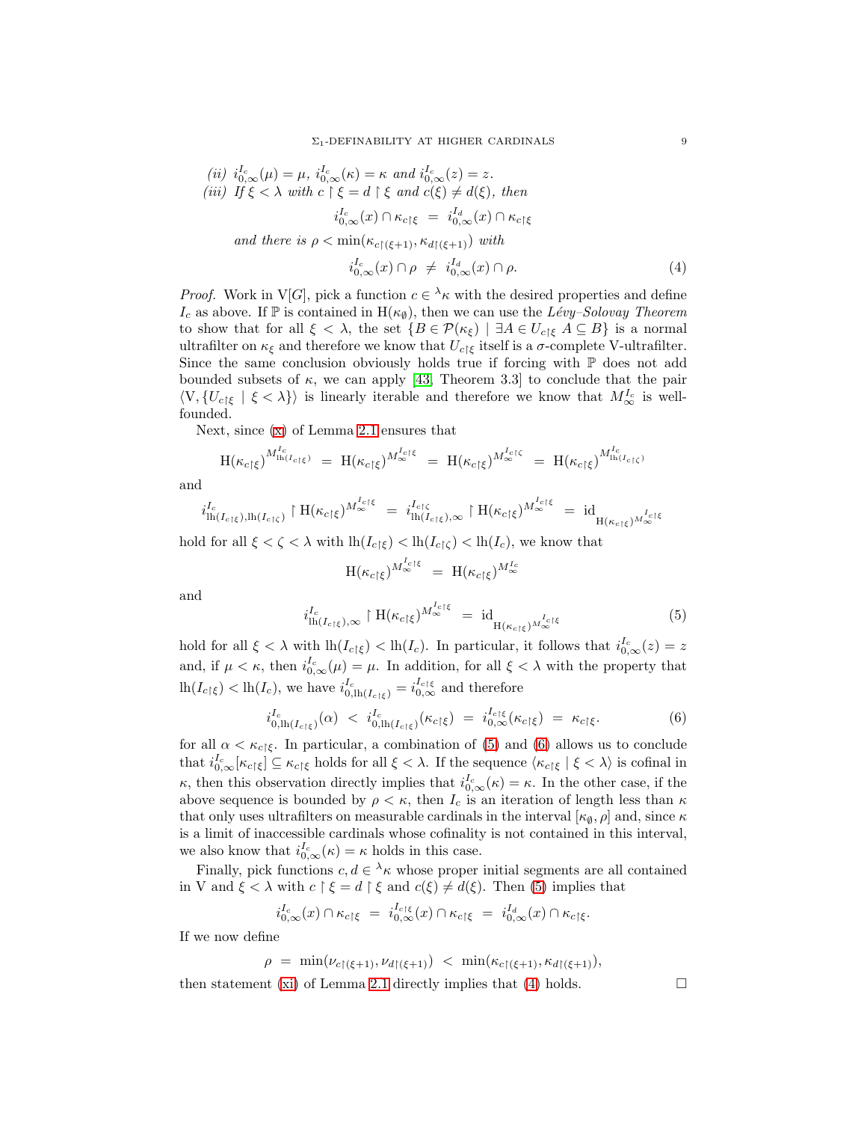<span id="page-8-3"></span>(ii) 
$$
i_{0,\infty}^{I_c}(\mu) = \mu
$$
,  $i_{0,\infty}^{I_c}(\kappa) = \kappa$  and  $i_{0,\infty}^{I_c}(z) = z$ .  
\n(iii) If  $\xi < \lambda$  with  $c \upharpoonright \xi = d \upharpoonright \xi$  and  $c(\xi) \neq d(\xi)$ , then  
\n $i_{0,\infty}^{I_c}(x) \cap \kappa_{c\upharpoonright \xi} = i_{0,\infty}^{I_d}(x) \cap \kappa_{c\upharpoonright \xi}$   
\nand there is  $\rho < \min(\kappa_{c\upharpoonright (\xi+1)}, \kappa_{d\upharpoonright (\xi+1)})$  with  
\n $i_{0,\infty}^{I_c}(x) \cap \rho \neq i_{0,\infty}^{I_d}(x) \cap \rho$ . (4)

<span id="page-8-2"></span>*Proof.* Work in V[G], pick a function  $c \in \lambda_{\kappa}$  with the desired properties and define  $I_c$  as above. If  $\mathbb P$  is contained in  $H(\kappa_{\emptyset})$ , then we can use the *Lévy–Solovay Theorem* to show that for all  $\xi < \lambda$ , the set  $\{B \in \mathcal{P}(\kappa_{\xi}) \mid \exists A \in U_{c \mid \xi} \ A \subseteq B\}$  is a normal ultrafilter on  $\kappa_{\xi}$  and therefore we know that  $U_{c\,\upharpoonright\xi}$  itself is a  $\sigma$ -complete V-ultrafilter. Since the same conclusion obviously holds true if forcing with  $\mathbb P$  does not add bounded subsets of  $\kappa$ , we can apply [\[43,](#page-37-11) Theorem 3.3] to conclude that the pair  $\langle V, \{U_c \rvert \xi \mid \xi \langle \lambda \} \rangle$  is linearly iterable and therefore we know that  $M_{\infty}^{I_c}$  is wellfounded.

Next, since [\(x\)](#page-5-0) of Lemma [2.1](#page-4-7) ensures that

$$
H(\kappa_{c\restriction\xi})^{M_{\mathrm{lh}(I_{c\restriction\xi})}^{\mathrm{I}_c}} = H(\kappa_{c\restriction\xi})^{M_{\infty}^{I_c\restriction\xi}} = H(\kappa_{c\restriction\xi})^{M_{\infty}^{I_c\restriction\xi}} = H(\kappa_{c\restriction\xi})^{M_{\mathrm{lh}(I_{c\restriction\xi})}^{I_c}}
$$

and

$$
i_{\mathrm{lh}(I_{c\restriction\xi}),\mathrm{lh}(I_{c\restriction\xi})}^{I_c} \upharpoonright \mathrm{H}(\kappa_{c\restriction\xi})^{M_{\infty}^{I_c\restriction\xi}} = i_{\mathrm{lh}(I_{c\restriction\xi}),\infty}^{I_c\restriction\xi} \upharpoonright \mathrm{H}(\kappa_{c\restriction\xi})^{M_{\infty}^{I_c\restriction\xi}} = \mathrm{id}_{\mathrm{H}(\kappa_{c\restriction\xi})^{M_{\infty}^{I_c\restriction\xi}}}
$$

hold for all  $\xi < \zeta < \lambda$  with  $\ln(I_{c\restriction\xi}) < \ln(I_{c\restriction\zeta}) < \ln(I_c)$ , we know that

$$
H(\kappa_{c\restriction\xi})^{M_{\infty}^{I_{c\restriction\xi}}} = H(\kappa_{c\restriction\xi})^{M_{\infty}^{I_{c}}}
$$

and

<span id="page-8-0"></span>
$$
i_{\mathrm{lh}(I_{c\restriction\xi}),\infty}^{I_c} \upharpoonright \mathrm{H}(\kappa_{c\restriction\xi})^{M_{\infty}^{I_c\restriction\xi}} = \mathrm{id}_{\mathrm{H}(\kappa_{c\restriction\xi})^{M_{\infty}^{I_c\restriction\xi}}} \tag{5}
$$

hold for all  $\xi < \lambda$  with  $\ln(I_{c}|\xi) < \ln(I_c)$ . In particular, it follows that  $i_{0,\infty}^{I_c}(z) = z$ and, if  $\mu < \kappa$ , then  $i_{0,\infty}^{I_c}(\mu) = \mu$ . In addition, for all  $\xi < \lambda$  with the property that  $\ln(I_{c}|\xi) < \ln(I_c)$ , we have  $i_{0,\ln(I_{c}|\xi)}^{I_c} = i_{0,\infty}^{I_{c}|\xi}$  and therefore

<span id="page-8-1"></span>
$$
i_{0,\mathrm{lh}(I_{c\restriction\xi})}^{I_c}(\alpha) < i_{0,\mathrm{lh}(I_{c\restriction\xi})}^{I_c}(\kappa_{c\restriction\xi}) = i_{0,\infty}^{I_{c\restriction\xi}}(\kappa_{c\restriction\xi}) = \kappa_{c\restriction\xi}.\tag{6}
$$

for all  $\alpha < \kappa_{c\xi}$ . In particular, a combination of [\(5\)](#page-8-0) and [\(6\)](#page-8-1) allows us to conclude that  $i_{0,\infty}^{I_c}[\kappa_{c\restriction\xi}] \subseteq \kappa_{c\restriction\xi}$  holds for all  $\xi < \lambda$ . If the sequence  $\langle \kappa_{c\restriction\xi} | \xi < \lambda \rangle$  is cofinal in κ, then this observation directly implies that  $i_{0,\infty}^{I_c}(\kappa) = \kappa$ . In the other case, if the above sequence is bounded by  $\rho < \kappa$ , then  $I_c$  is an iteration of length less than  $\kappa$ that only uses ultrafilters on measurable cardinals in the interval  $[\kappa_{\emptyset}, \rho]$  and, since  $\kappa$ is a limit of inaccessible cardinals whose cofinality is not contained in this interval, we also know that  $i_{0,\infty}^{I_c}(\kappa) = \kappa$  holds in this case.

Finally, pick functions  $c, d \in \lambda_{\kappa}$  whose proper initial segments are all contained in V and  $\xi < \lambda$  with  $c \upharpoonright \xi = d \upharpoonright \xi$  and  $c(\xi) \neq d(\xi)$ . Then [\(5\)](#page-8-0) implies that

$$
i_{0,\infty}^{I_c}(x) \cap \kappa_{c\restriction\xi} = i_{0,\infty}^{I_c\restriction\xi}(x) \cap \kappa_{c\restriction\xi} = i_{0,\infty}^{I_d}(x) \cap \kappa_{c\restriction\xi}.
$$

If we now define

$$
\rho = \min(\nu_{c\upharpoonright(\xi+1)}, \nu_{d\upharpoonright(\xi+1)}) < \min(\kappa_{c\upharpoonright(\xi+1)}, \kappa_{d\upharpoonright(\xi+1)}),
$$
\nant (vi) of Lemma 2.1 directly implies that (4) holds.

then statement [\(xi\)](#page-5-1) of Lemma [2.1](#page-4-7) directly implies that [\(4\)](#page-8-2) holds.  $\square$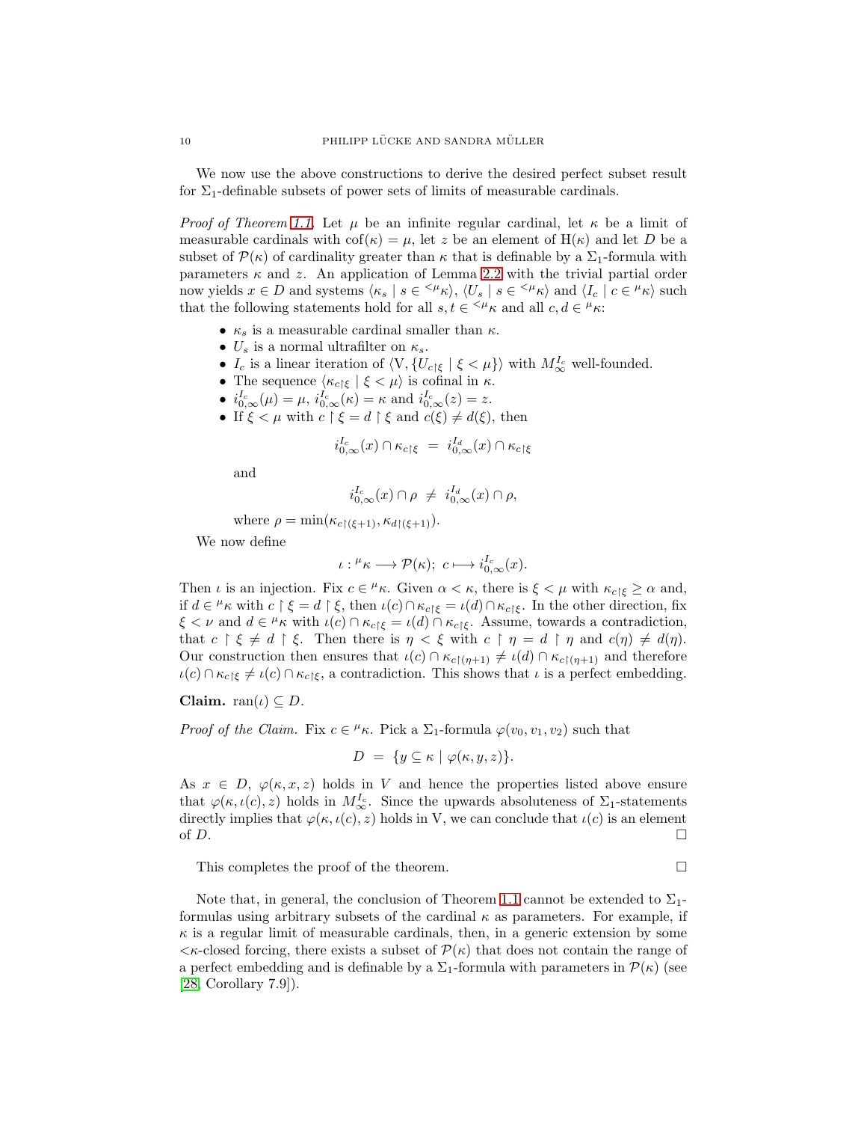We now use the above constructions to derive the desired perfect subset result for  $\Sigma_1$ -definable subsets of power sets of limits of measurable cardinals.

*Proof of Theorem [1.1.](#page-1-1)* Let  $\mu$  be an infinite regular cardinal, let  $\kappa$  be a limit of measurable cardinals with  $\text{cof}(\kappa) = \mu$ , let z be an element of  $H(\kappa)$  and let D be a subset of  $\mathcal{P}(\kappa)$  of cardinality greater than  $\kappa$  that is definable by a  $\Sigma_1$ -formula with parameters  $\kappa$  and z. An application of Lemma [2.2](#page-7-2) with the trivial partial order now yields  $x \in D$  and systems  $\langle \kappa_s | s \in \langle ^{\mu} \kappa \rangle$ ,  $\langle U_s | s \in \langle ^{\mu} \kappa \rangle$  and  $\langle I_c | c \in ^{\mu} \kappa \rangle$  such that the following statements hold for all  $s, t \in \langle \mu_K \rangle$  and all  $c, d \in \mu_K$ :

- $\kappa_s$  is a measurable cardinal smaller than  $\kappa$ .
- $U_s$  is a normal ultrafilter on  $\kappa_s$ .
- $I_c$  is a linear iteration of  $\langle V, \{U_{c\restriction\xi} \mid \xi < \mu\} \rangle$  with  $M^{I_c}_\infty$  well-founded.
- The sequence  $\langle \kappa_{c\restriction \xi} | \xi \langle \mu \rangle$  is cofinal in  $\kappa$ .
- $i_{0,\infty}^{I_c}(\mu) = \mu$ ,  $i_{0,\infty}^{I_c}(\kappa) = \kappa$  and  $i_{0,\infty}^{I_c}(z) = z$ .
- If  $\xi < \mu$  with  $c \restriction \xi = d \restriction \xi$  and  $c(\xi) \neq d(\xi)$ , then

$$
i^{I_c}_{0,\infty}(x) \cap \kappa_{c \restriction \xi} = i^{I_d}_{0,\infty}(x) \cap \kappa_{c \restriction \xi}
$$

and

$$
i_{0,\infty}^{I_c}(x) \cap \rho \ \neq \ i_{0,\infty}^{I_d}(x) \cap \rho,
$$

where  $\rho = \min(\kappa_{c}(\epsilon+1), \kappa_{d}(\epsilon+1)).$ 

We now define

$$
\iota: {}^{\mu}\kappa \longrightarrow \mathcal{P}(\kappa); \ c \longmapsto i_{0,\infty}^{I_c}(x).
$$

Then  $\iota$  is an injection. Fix  $c \in \mu_{\kappa}$ . Given  $\alpha < \kappa$ , there is  $\xi < \mu$  with  $\kappa_{c\upharpoonright \xi} \geq \alpha$  and, if  $d \in \mu_K$  with  $c \restriction \xi = d \restriction \xi$ , then  $\iota(c) \cap \kappa_{c \restriction \xi} = \iota(d) \cap \kappa_{c \restriction \xi}$ . In the other direction, fix  $\xi < \nu$  and  $d \in {}^{\mu}\kappa$  with  $\iota(c) \cap \kappa_{c\upharpoonright \xi} = \iota(d) \cap \kappa_{c\upharpoonright \xi}$ . Assume, towards a contradiction, that  $c \restriction \xi \neq d \restriction \xi$ . Then there is  $\eta < \xi$  with  $c \restriction \eta = d \restriction \eta$  and  $c(\eta) \neq d(\eta)$ . Our construction then ensures that  $\iota(c) \cap \kappa_{c\upharpoonright (\eta+1)} \neq \iota(d) \cap \kappa_{c\upharpoonright (\eta+1)}$  and therefore  $\iota(c) \cap \kappa_{c\restriction\xi} \neq \iota(c) \cap \kappa_{c\restriction\xi}$ , a contradiction. This shows that  $\iota$  is a perfect embedding.

Claim.  $\text{ran}(\iota) \subseteq D$ .

*Proof of the Claim.* Fix  $c \in \mu_K$ . Pick a  $\Sigma_1$ -formula  $\varphi(v_0, v_1, v_2)$  such that

$$
D = \{ y \subseteq \kappa \mid \varphi(\kappa, y, z) \}.
$$

As  $x \in D$ ,  $\varphi(\kappa, x, z)$  holds in V and hence the properties listed above ensure that  $\varphi(\kappa, \iota(c), z)$  holds in  $M_{\infty}^{I_c}$ . Since the upwards absoluteness of  $\Sigma_1$ -statements directly implies that  $\varphi(\kappa, \iota(c), z)$  holds in V, we can conclude that  $\iota(c)$  is an element of  $D$ .

This completes the proof of the theorem.

Note that, in general, the conclusion of Theorem [1.1](#page-1-1) cannot be extended to  $\Sigma_1$ formulas using arbitrary subsets of the cardinal  $\kappa$  as parameters. For example, if  $\kappa$  is a regular limit of measurable cardinals, then, in a generic extension by some  $\langle \kappa$ -closed forcing, there exists a subset of  $\mathcal{P}(\kappa)$  that does not contain the range of a perfect embedding and is definable by a  $\Sigma_1$ -formula with parameters in  $\mathcal{P}(\kappa)$  (see [\[28,](#page-36-1) Corollary 7.9]).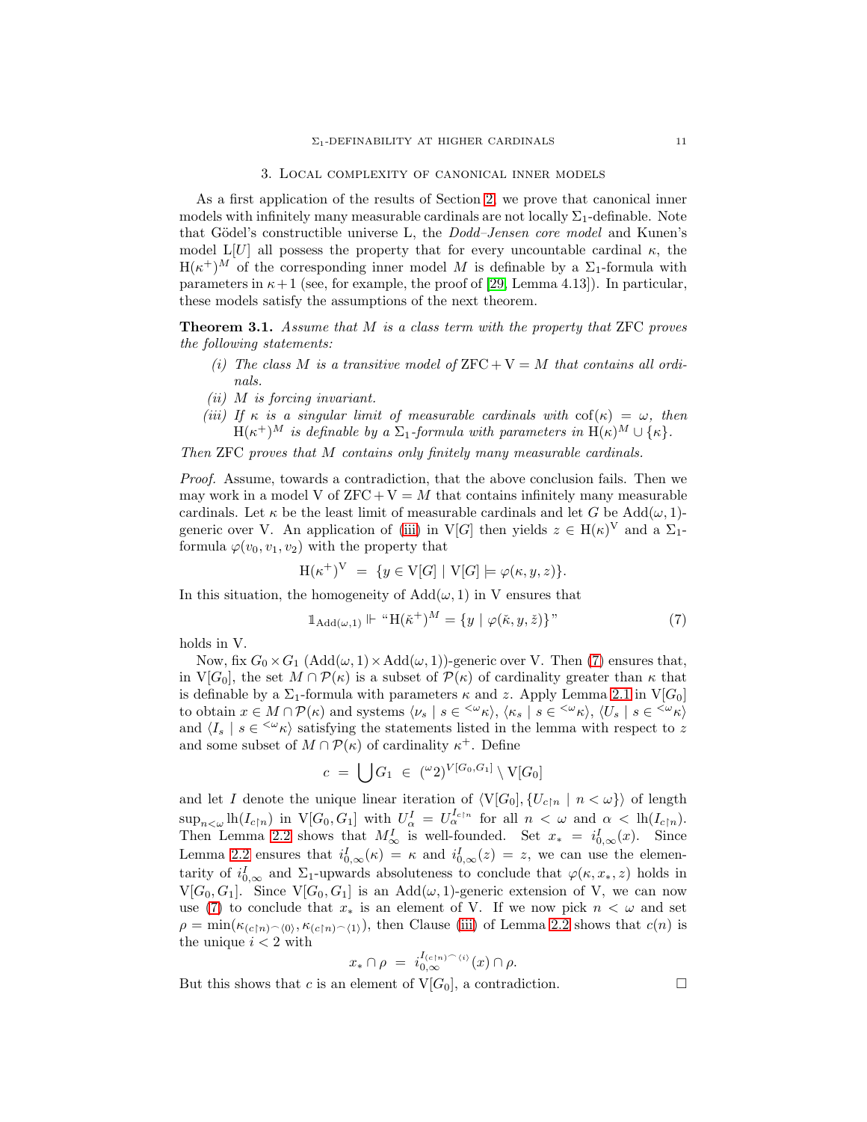#### 3. Local complexity of canonical inner models

As a first application of the results of Section [2,](#page-3-0) we prove that canonical inner models with infinitely many measurable cardinals are not locally  $\Sigma_1$ -definable. Note that Gödel's constructible universe L, the *Dodd-Jensen core model* and Kunen's model L[U] all possess the property that for every uncountable cardinal  $\kappa$ , the  $H(\kappa^+)^M$  of the corresponding inner model M is definable by a  $\Sigma_1$ -formula with parameters in  $\kappa + 1$  (see, for example, the proof of [\[29,](#page-36-0) Lemma 4.13]). In particular, these models satisfy the assumptions of the next theorem.

<span id="page-10-2"></span>Theorem 3.1. *Assume that* M *is a class term with the property that* ZFC *proves the following statements:*

- (*i*) The class M is a transitive model of  $ZFC + V = M$  that contains all ordi*nals.*
- *(ii)* M *is forcing invariant.*
- <span id="page-10-0"></span>*(iii)* If  $\kappa$  *is a singular limit of measurable cardinals with*  $\cot(\kappa) = \omega$ *, then*  $H(\kappa^+)^M$  *is definable by a*  $\Sigma_1$ -formula with parameters in  $H(\kappa)^M \cup {\{\kappa\}}$ .

*Then* ZFC *proves that* M *contains only finitely many measurable cardinals.*

*Proof.* Assume, towards a contradiction, that the above conclusion fails. Then we may work in a model V of  $ZFC + V = M$  that contains infinitely many measurable cardinals. Let  $\kappa$  be the least limit of measurable cardinals and let G be  $Add(\omega, 1)$ -generic over V. An application of [\(iii\)](#page-10-0) in V[G] then yields  $z \in H(\kappa)^V$  and a  $\Sigma_1$ formula  $\varphi(v_0, v_1, v_2)$  with the property that

$$
H(\kappa^+)^V = \{ y \in V[G] \mid V[G] \models \varphi(\kappa, y, z) \}.
$$

In this situation, the homogeneity of  $Add(\omega, 1)$  in V ensures that

<span id="page-10-1"></span>
$$
\mathbb{1}_{\text{Add}(\omega,1)} \Vdash \text{``H}(\check{\kappa}^+)^M = \{ y \mid \varphi(\check{\kappa}, y, \check{z}) \} \text{''}
$$
\n<sup>(7)</sup>

holds in V.

Now, fix  $G_0 \times G_1$  (Add( $\omega$ , 1)  $\times$  Add( $\omega$ , 1))-generic over V. Then [\(7\)](#page-10-1) ensures that, in  $V[G_0]$ , the set  $M \cap \mathcal{P}(\kappa)$  is a subset of  $\mathcal{P}(\kappa)$  of cardinality greater than  $\kappa$  that is definable by a  $\Sigma_1$ -formula with parameters  $\kappa$  and z. Apply Lemma [2.1](#page-4-7) in  $V[G_0]$ to obtain  $x \in M \cap \mathcal{P}(\kappa)$  and systems  $\langle \nu_s | s \in \langle \nu_k \rangle, \langle \kappa_s | s \in \langle \nu_k \rangle, \langle U_s | s \in \langle \nu_k \rangle$ and  $\langle I_s | s \in \langle \omega_{\kappa} \rangle$  satisfying the statements listed in the lemma with respect to z and some subset of  $M \cap \mathcal{P}(\kappa)$  of cardinality  $\kappa^+$ . Define

$$
c = \bigcup G_1 \in (^\omega 2)^{V[G_0, G_1]} \setminus V[G_0]
$$

and let I denote the unique linear iteration of  $\langle V[G_0], \{U_{c \upharpoonright n} \mid n < \omega\} \rangle$  of length  $\sup_{n<\omega} \text{lh}(I_{c\upharpoonright n})$  in  $V[G_0,G_1]$  with  $U^I_\alpha = U^{I_{c\upharpoonright n}}_\alpha$  for all  $n < \omega$  and  $\alpha < \text{lh}(I_{c\upharpoonright n})$ . Then Lemma [2.2](#page-7-2) shows that  $M^I_{\infty}$  is well-founded. Set  $x_* = i^I_{0,\infty}(x)$ . Since Lemma [2.2](#page-7-2) ensures that  $i_{0,\infty}^I(\kappa) = \kappa$  and  $i_{0,\infty}^I(z) = z$ , we can use the elementarity of  $i_{0,\infty}^I$  and  $\Sigma_1$ -upwards absoluteness to conclude that  $\varphi(\kappa, x_*, z)$  holds in  $V[G_0, G_1]$ . Since  $V[G_0, G_1]$  is an  $Add(\omega, 1)$ -generic extension of V, we can now use [\(7\)](#page-10-1) to conclude that  $x_*$  is an element of V. If we now pick  $n < \omega$  and set  $\rho = \min(\kappa_{(c \upharpoonright n) \frown \langle 0 \rangle}, \kappa_{(c \upharpoonright n) \frown \langle 1 \rangle})$ , then Clause [\(iii\)](#page-8-3) of Lemma [2.2](#page-7-2) shows that  $c(n)$  is the unique  $i < 2$  with

$$
x_* \cap \rho \;=\; i_{0,\infty}^{I_{(c \restriction n)} \frown \, \langle i \rangle}(x) \cap \rho.
$$

But this shows that c is an element of  $V[G_0]$ , a contradiction.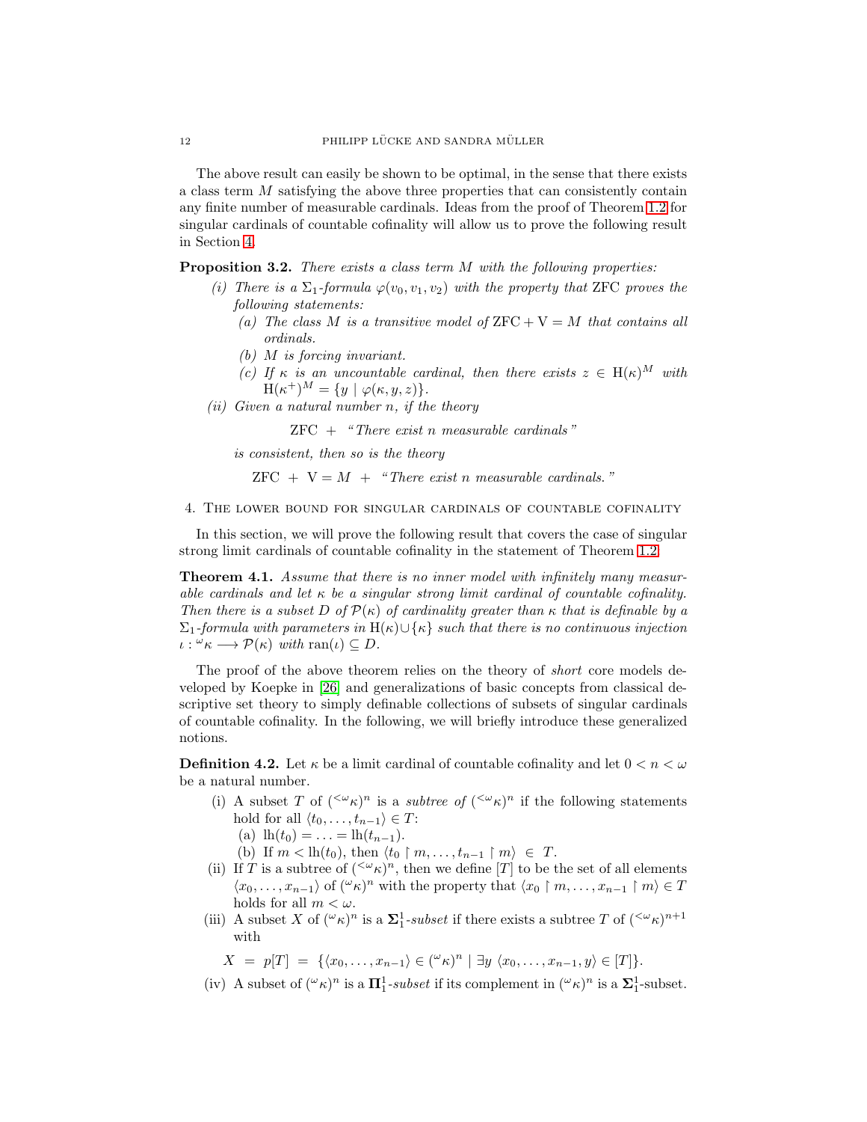The above result can easily be shown to be optimal, in the sense that there exists a class term M satisfying the above three properties that can consistently contain any finite number of measurable cardinals. Ideas from the proof of Theorem [1.2](#page-1-2) for singular cardinals of countable cofinality will allow us to prove the following result in Section [4.](#page-11-0)

<span id="page-11-2"></span>Proposition 3.2. *There exists a class term* M *with the following properties:*

- *(i)* There is a  $\Sigma_1$ -formula  $\varphi(v_0, v_1, v_2)$  with the property that ZFC proves the *following statements:*
	- (a) The class M is a transitive model of  $ZFC + V = M$  that contains all *ordinals.*
	- *(b)* M *is forcing invariant.*
	- *(c)* If  $\kappa$  *is an uncountable cardinal, then there exists*  $z \in H(\kappa)^M$  *with*  $H(\kappa^{+})^{M} = \{y \mid \varphi(\kappa, y, z)\}.$
- *(ii) Given a natural number* n*, if the theory*

ZFC + *" There exist* n *measurable cardinals "*

*is consistent, then so is the theory*

 $ZFC + V = M + "There exist n measurable cardinals."$ 

## <span id="page-11-0"></span>4. The lower bound for singular cardinals of countable cofinality

In this section, we will prove the following result that covers the case of singular strong limit cardinals of countable cofinality in the statement of Theorem [1.2:](#page-1-2)

<span id="page-11-1"></span>Theorem 4.1. *Assume that there is no inner model with infinitely many measurable cardinals and let* κ *be a singular strong limit cardinal of countable cofinality. Then there is a subset* D *of*  $\mathcal{P}(\kappa)$  *of cardinality greater than*  $\kappa$  *that is definable by a* Σ1*-formula with parameters in* H(κ)∪{κ} *such that there is no continuous injection*  $\iota: \omega_{\kappa} \longrightarrow \mathcal{P}(\kappa)$  with ran( $\iota$ )  $\subseteq D$ .

The proof of the above theorem relies on the theory of *short* core models developed by Koepke in [\[26\]](#page-36-2) and generalizations of basic concepts from classical descriptive set theory to simply definable collections of subsets of singular cardinals of countable cofinality. In the following, we will briefly introduce these generalized notions.

**Definition 4.2.** Let  $\kappa$  be a limit cardinal of countable cofinality and let  $0 < n < \omega$ be a natural number.

(i) A subset T of  $({<^{\omega}\kappa})^n$  is a *subtree of*  $({<^{\omega}\kappa})^n$  if the following statements hold for all  $\langle t_0, \ldots, t_{n-1} \rangle \in T$ : (a)  $\ln(t_0) = \ldots = \ln(t_{n-1}).$ 

- (b) If  $m < lh(t_0)$ , then  $\langle t_0 \nvert m, \ldots, t_{n-1} \nvert m \rangle \in T$ .
- (ii) If T is a subtree of  $({}^{<\omega}\kappa)^n$ , then we define [T] to be the set of all elements  $\langle x_0, \ldots, x_{n-1} \rangle$  of  $({}^{\omega}\kappa)^n$  with the property that  $\langle x_0 \upharpoonright m, \ldots, x_{n-1} \upharpoonright m$  ∈ T holds for all  $m < \omega$ .
- (iii) A subset X of  $({}^{\omega}\kappa)^n$  is a  $\Sigma_1^1$ -subset if there exists a subtree T of  $({}^{<\omega}\kappa)^{n+1}$ with

 $X = p[T] = \{ \langle x_0, \ldots, x_{n-1} \rangle \in (\mathcal{C}\kappa)^n \mid \exists y \langle x_0, \ldots, x_{n-1}, y \rangle \in [T] \}.$ 

(iv) A subset of  $({}^{\omega}\kappa)^n$  is a  $\mathbf{\Pi}^1_1$ -subset if its complement in  $({}^{\omega}\kappa)^n$  is a  $\mathbf{\Sigma}^1_1$ -subset.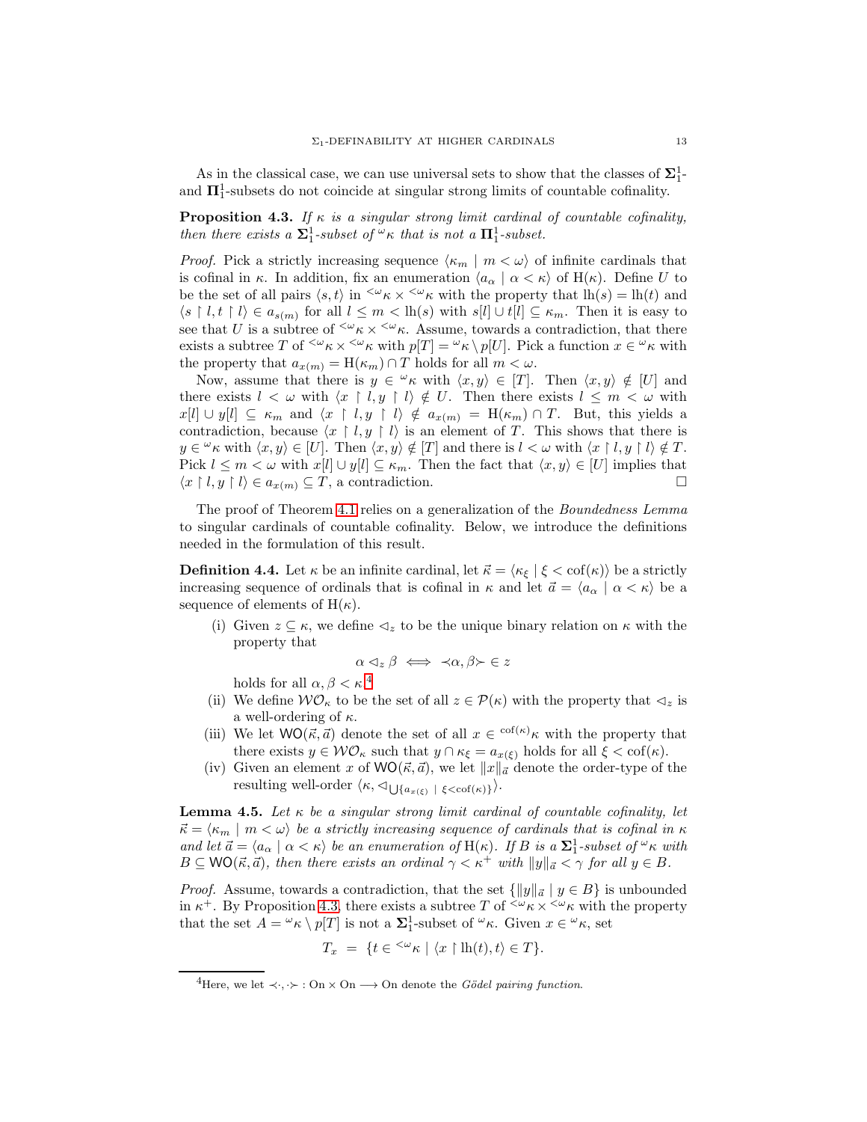As in the classical case, we can use universal sets to show that the classes of  $\Sigma^1_{1}$ and  $\Pi_1^1$ -subsets do not coincide at singular strong limits of countable cofinality.

<span id="page-12-1"></span>**Proposition 4.3.** *If*  $\kappa$  *is a singular strong limit cardinal of countable cofinality, then there exists a*  $\Sigma_1^1$ -*subset of*  $\alpha \kappa$  *that is not a*  $\Pi_1^1$ -*subset.* 

*Proof.* Pick a strictly increasing sequence  $\langle \kappa_m | m \langle \omega \rangle$  of infinite cardinals that is cofinal in κ. In addition, fix an enumeration  $\langle a_{\alpha} | \alpha \langle \kappa \rangle$  of H(κ). Define U to be the set of all pairs  $\langle s, t \rangle$  in  $\langle \omega_{\kappa} \times \langle \omega_{\kappa} \rangle$  with the property that  $\ln(s) = \ln(t)$  and  $\langle s \mid l, t \mid l \rangle \in a_{s(m)}$  for all  $l \leq m <$  lh $(s)$  with  $s[l] \cup t[l] \subseteq \kappa_m$ . Then it is easy to see that U is a subtree of  $\langle \omega_K \rangle \langle \omega_K \rangle$ . Assume, towards a contradiction, that there exists a subtree T of <sup> $\langle \omega_{\kappa} \times \langle \omega_{\kappa} \rangle$  with  $p[T] = \omega_{\kappa} \setminus p[U]$ . Pick a function  $x \in \omega_{\kappa}$  with</sup> the property that  $a_{x(m)} = H(\kappa_m) \cap T$  holds for all  $m < \omega$ .

Now, assume that there is  $y \in \mathscr{C}_{\kappa}$  with  $\langle x, y \rangle \in [T]$ . Then  $\langle x, y \rangle \notin [U]$  and there exists  $l < \omega$  with  $\langle x \mid l, y \mid l \rangle \notin U$ . Then there exists  $l \leq m < \omega$  with  $x[l] \cup y[l] \subseteq \kappa_m$  and  $\langle x \mid l, y \mid l \rangle \notin a_{x(m)} = H(\kappa_m) \cap T$ . But, this yields a contradiction, because  $\langle x \restriction l, y \restriction l \rangle$  is an element of T. This shows that there is  $y \in \mathscr{C}_{\kappa}$  with  $\langle x, y \rangle \in [U]$ . Then  $\langle x, y \rangle \notin [T]$  and there is  $l < \omega$  with  $\langle x \restriction l, y \restriction l \rangle \notin T$ . Pick  $l \leq m < \omega$  with  $x[l] \cup y[l] \subseteq \kappa_m$ . Then the fact that  $\langle x, y \rangle \in [U]$  implies that  $\langle x \restriction l, y \restriction l \rangle \in a_{x(m)} \subseteq T$ , a contradiction.

The proof of Theorem [4.1](#page-11-1) relies on a generalization of the *Boundedness Lemma* to singular cardinals of countable cofinality. Below, we introduce the definitions needed in the formulation of this result.

**Definition 4.4.** Let  $\kappa$  be an infinite cardinal, let  $\vec{\kappa} = \langle \kappa_{\xi} | \xi < \text{cof}(\kappa) \rangle$  be a strictly increasing sequence of ordinals that is cofinal in  $\kappa$  and let  $\vec{a} = \langle a_{\alpha} | \alpha \langle \kappa \rangle$  be a sequence of elements of  $H(\kappa)$ .

(i) Given  $z \subseteq \kappa$ , we define  $\lhd_z$  to be the unique binary relation on  $\kappa$  with the property that

$$
\alpha \lhd_z \beta \iff \lhd \alpha, \beta \succ \in z
$$

holds for all  $\alpha, \beta < \kappa$ <sup>[4](#page-12-0)</sup>

- (ii) We define  $W\mathcal{O}_{\kappa}$  to be the set of all  $z \in \mathcal{P}(\kappa)$  with the property that  $\lhd_z$  is a well-ordering of  $\kappa$ .
- (iii) We let  $\mathsf{WO}(\vec{\kappa}, \vec{\alpha})$  denote the set of all  $x \in \text{cof}(\kappa)_{\kappa}$  with the property that there exists  $y \in \mathcal{WO}_\kappa$  such that  $y \cap \kappa_\xi = a_{x(\xi)}$  holds for all  $\xi < \text{cof}(\kappa)$ .
- (iv) Given an element x of  $WO(\vec{\kappa}, \vec{a})$ , we let  $||x||_{\vec{a}}$  denote the order-type of the resulting well-order  $\langle \kappa, \triangleleft_{\bigcup \{a_{x(\xi)} \mid \xi < \text{cof}(\kappa)\}} \rangle$ .

<span id="page-12-2"></span>Lemma 4.5. *Let* κ *be a singular strong limit cardinal of countable cofinality, let*  $\vec{\kappa} = \langle \kappa_m \mid m \langle \omega \rangle$  be a strictly increasing sequence of cardinals that is cofinal in  $\kappa$ *and let*  $\vec{a} = \langle a_{\alpha} \mid \alpha \langle \kappa \rangle$  *be an enumeration of*  $H(\kappa)$ *. If* B *is a*  $\Sigma_1^1$ -subset of  $\omega_{\kappa}$  with  $B \subseteq \text{WO}(\vec{\kappa}, \vec{a})$ , then there exists an ordinal  $\gamma < \kappa^+$  with  $||y||_{\vec{a}} < \gamma$  for all  $y \in B$ .

*Proof.* Assume, towards a contradiction, that the set  ${\{\|y\|_{\vec{a}} \mid y \in B\}}$  is unbounded in  $\kappa^+$ . By Proposition [4.3,](#page-12-1) there exists a subtree T of  $\zeta \kappa \times \zeta \kappa$  with the property that the set  $A = \omega_{\kappa} \setminus p[T]$  is not a  $\Sigma_1^1$ -subset of  $\omega_{\kappa}$ . Given  $x \in \omega_{\kappa}$ , set

$$
T_x = \{ t \in {}^{<\omega} \kappa \mid \langle x \restriction \mathrm{lh}(t), t \rangle \in T \}.
$$

<span id="page-12-0"></span><sup>&</sup>lt;sup>4</sup>Here, we let  $\prec \cdot, \cdot \succ$ : On  $\times$  On  $\rightarrow$  On denote the *Gödel pairing function*.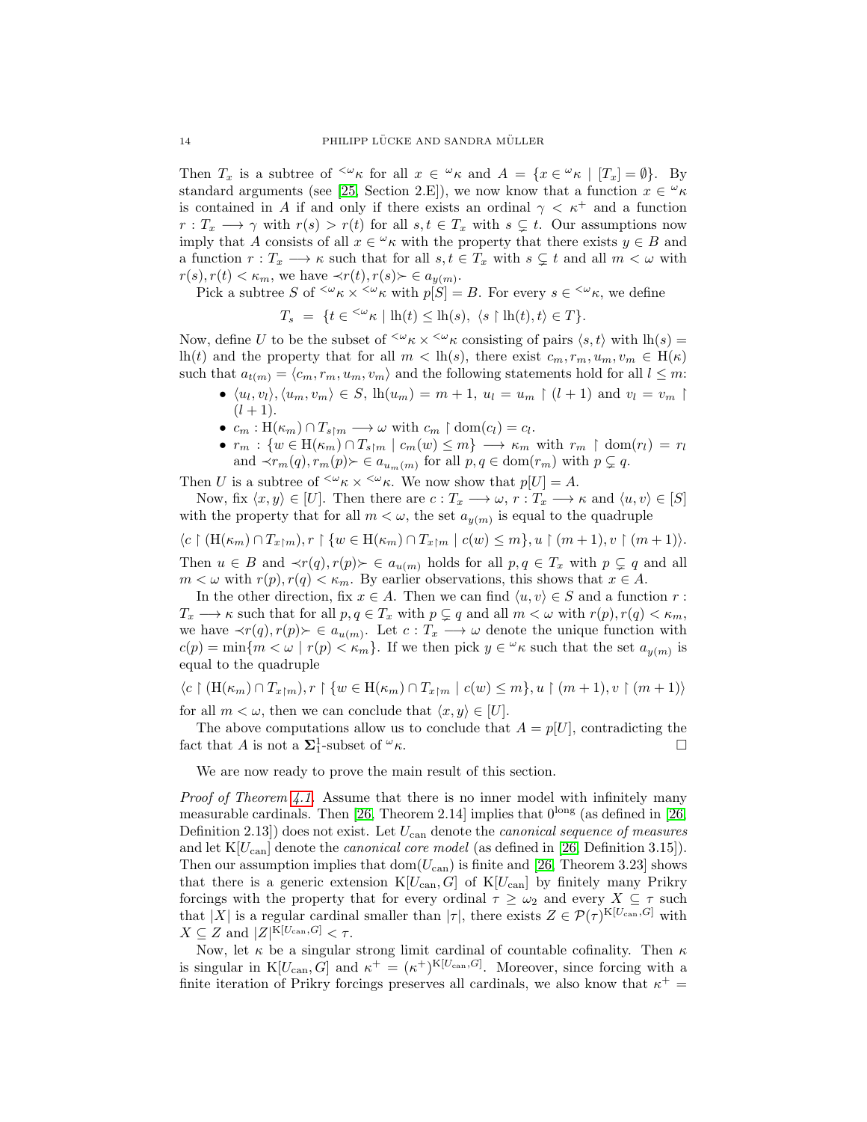Then  $T_x$  is a subtree of  $\langle \omega_{\kappa} \rangle$  for all  $x \in \omega_{\kappa}$  and  $A = \{x \in \omega_{\kappa} \mid [T_x] = \emptyset\}$ . By standard arguments (see [\[25,](#page-36-9) Section 2.E]), we now know that a function  $x \in \mathcal{L}_{\kappa}$ is contained in A if and only if there exists an ordinal  $\gamma < \kappa^+$  and a function  $r: T_x \longrightarrow \gamma$  with  $r(s) > r(t)$  for all  $s, t \in T_x$  with  $s \subsetneq t$ . Our assumptions now imply that A consists of all  $x \in \mathcal{L}_{\kappa}$  with the property that there exists  $y \in B$  and a function  $r: T_x \longrightarrow \kappa$  such that for all  $s, t \in T_x$  with  $s \subsetneq t$  and all  $m < \omega$  with  $r(s), r(t) < \kappa_m$ , we have  $\prec r(t), r(s) \succ \in a_{y(m)}$ .

Pick a subtree S of <sup> $\langle \omega_{\kappa} \times \langle \omega_{\kappa} \rangle$  with  $p[S] = B$ . For every  $s \in \langle \omega_{\kappa} \rangle$ , we define</sup>

$$
T_s \ = \ \{ t \in {}^{< \omega} \kappa \ | \ \mathrm{lh}(t) \leq \mathrm{lh}(s), \ \langle s \restriction \mathrm{lh}(t), t \rangle \in T \}.
$$

Now, define U to be the subset of  $\langle \omega_K \times \langle \omega_K \rangle$  consisting of pairs  $\langle s, t \rangle$  with  $\ln(s)$  = lh(t) and the property that for all  $m <$  lh(s), there exist  $c_m, r_m, u_m, v_m \in$  H( $\kappa$ ) such that  $a_{t(m)} = \langle c_m, r_m, u_m, v_m \rangle$  and the following statements hold for all  $l \leq m$ :

- $\langle u_l, v_l \rangle, \langle u_m, v_m \rangle \in S$ ,  $\ln(u_m) = m + 1$ ,  $u_l = u_m \upharpoonright (l + 1)$  and  $v_l = v_m \upharpoonright$  $(l + 1).$
- $c_m : H(\kappa_m) \cap T_{s \upharpoonright m} \longrightarrow \omega$  with  $c_m \upharpoonright \text{dom}(c_l) = c_l$ .
- $r_m : \{ w \in H(\kappa_m) \cap T_{s \upharpoonright m} \mid c_m(w) \leq m \} \longrightarrow \kappa_m$  with  $r_m \upharpoonright \text{dom}(r_l) = r_l$ and  $\prec r_m(q), r_m(p) \succ \in a_{u_m(m)}$  for all  $p, q \in \text{dom}(r_m)$  with  $p \subsetneq q$ .

Then U is a subtree of  $\langle \omega_K \times \langle \omega_K \rangle$ . We now show that  $p[U] = A$ .

Now, fix  $\langle x, y \rangle \in [U]$ . Then there are  $c : T_x \longrightarrow \omega$ ,  $r : T_x \longrightarrow \kappa$  and  $\langle u, v \rangle \in [S]$ with the property that for all  $m < \omega$ , the set  $a_{y(m)}$  is equal to the quadruple

$$
\langle c \restriction (\mathcal{H}(\kappa_m) \cap T_{x \upharpoonright m}), r \restriction \{w \in \mathcal{H}(\kappa_m) \cap T_{x \upharpoonright m} \mid c(w) \leq m\}, u \restriction (m+1), v \restriction (m+1) \rangle.
$$

Then  $u \in B$  and  $\prec r(q), r(p) \succ \in a_{u(m)}$  holds for all  $p, q \in T_x$  with  $p \subsetneq q$  and all  $m < \omega$  with  $r(p)$ ,  $r(q) < \kappa_m$ . By earlier observations, this shows that  $x \in A$ .

In the other direction, fix  $x \in A$ . Then we can find  $\langle u, v \rangle \in S$  and a function r:  $T_x \longrightarrow \kappa$  such that for all  $p, q \in T_x$  with  $p \subsetneq q$  and all  $m < \omega$  with  $r(p), r(q) < \kappa_m$ , we have  $\prec r(q), r(p) \succ \in a_{u(m)}$ . Let  $c: T_x \longrightarrow \omega$  denote the unique function with  $c(p) = \min\{m < \omega \mid r(p) < \kappa_m\}.$  If we then pick  $y \in \mathcal{L}_\kappa$  such that the set  $a_{y(m)}$  is equal to the quadruple

$$
\langle c \restriction (\mathcal{H}(\kappa_m) \cap T_{x \restriction m}), r \restriction \{w \in \mathcal{H}(\kappa_m) \cap T_{x \restriction m} \mid c(w) \leq m\}, u \restriction (m+1), v \restriction (m+1) \rangle
$$

for all  $m < \omega$ , then we can conclude that  $\langle x, y \rangle \in [U]$ .

The above computations allow us to conclude that  $A = p[U]$ , contradicting the fact that A is not a  $\Sigma_1^1$ -subset of  ${}^{\omega}\kappa$ .

We are now ready to prove the main result of this section.

*Proof of Theorem [4.1.](#page-11-1)* Assume that there is no inner model with infinitely many measurable cardinals. Then [\[26,](#page-36-2) Theorem 2.14] implies that  $0^{\text{long}}$  (as defined in [26, Definition 2.13]) does not exist. Let Ucan denote the *canonical sequence of measures* and let K[Ucan] denote the *canonical core model* (as defined in [\[26,](#page-36-2) Definition 3.15]). Then our assumption implies that  $dom(U_{can})$  is finite and [\[26,](#page-36-2) Theorem 3.23] shows that there is a generic extension  $K[U_{can}, G]$  of  $K[U_{can}]$  by finitely many Prikry forcings with the property that for every ordinal  $\tau \geq \omega_2$  and every  $X \subseteq \tau$  such that |X| is a regular cardinal smaller than  $|\tau|$ , there exists  $Z \in \mathcal{P}(\tau)^{K[U_{\text{can}},G]}$  with  $X \subseteq Z$  and  $|Z|^{K[U_{\mathrm{can}}, G]} < \tau$ .

Now, let  $\kappa$  be a singular strong limit cardinal of countable cofinality. Then  $\kappa$ is singular in K[ $U_{\text{can}}$ , G] and  $\kappa^+ = (\kappa^+)^{\text{K}[U_{\text{can}};G]}$ . Moreover, since forcing with a finite iteration of Prikry forcings preserves all cardinals, we also know that  $\kappa^+$  =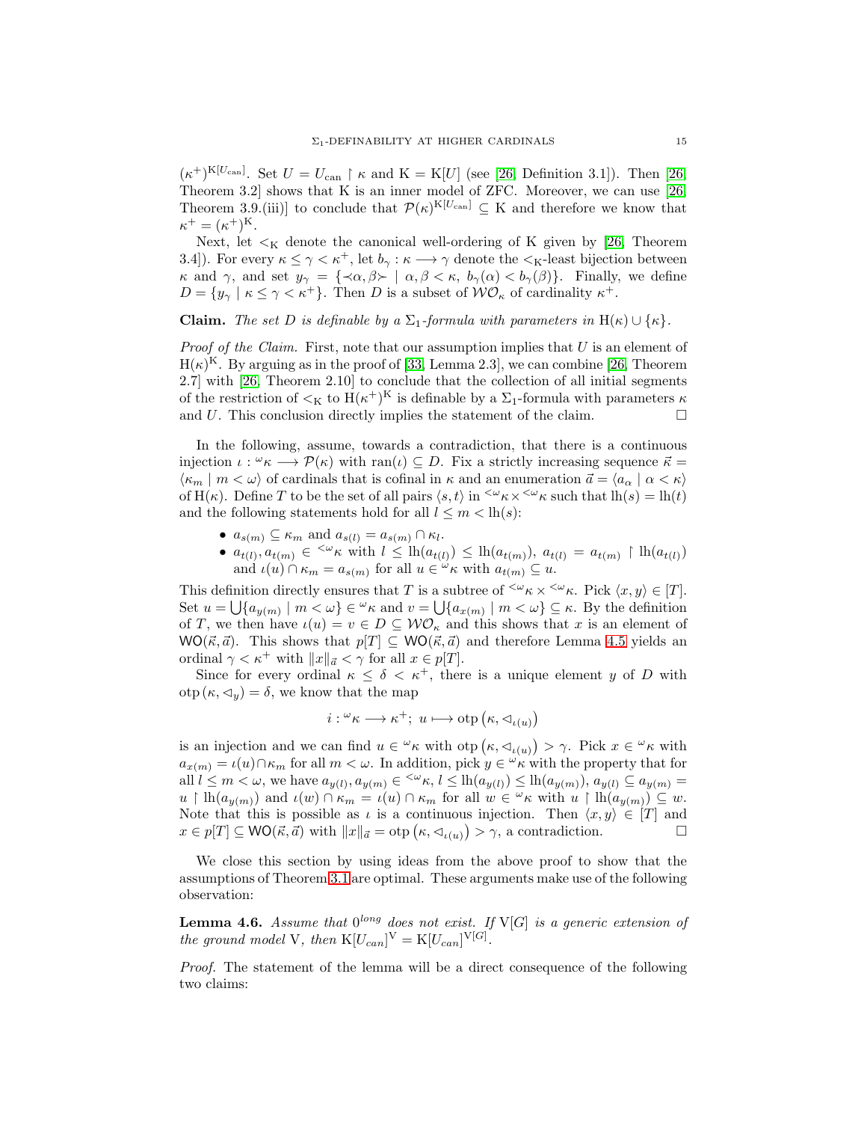$(\kappa^+)^{K[U_{\text{can}}]}$ . Set  $U = U_{\text{can}} \restriction \kappa$  and  $K = K[U]$  (see [\[26,](#page-36-2) Definition 3.1]). Then [26, Theorem 3.2] shows that K is an inner model of ZFC. Moreover, we can use [\[26,](#page-36-2) Theorem 3.9.(iii)] to conclude that  $\mathcal{P}(\kappa)^{K[U_{\text{can}}]} \subseteq K$  and therefore we know that  $\kappa^+ = (\kappa^+)^{K}.$ 

Next, let  $\lt_K$  denote the canonical well-ordering of K given by [\[26,](#page-36-2) Theorem 3.4]). For every  $\kappa \leq \gamma < \kappa^+$ , let  $b_\gamma : \kappa \longrightarrow \gamma$  denote the  $\lt_K$ -least bijection between  $\kappa$  and  $\gamma$ , and set  $y_{\gamma} = {\{\langle \alpha, \beta \rangle | \alpha, \beta \langle \kappa, b_{\gamma}(\alpha) \langle b_{\gamma}(\beta) \rangle\}}$ . Finally, we define  $D = \{y_{\gamma} \mid \kappa \leq \gamma < \kappa^{+}\}\$ . Then D is a subset of  $\mathcal{WO}_{\kappa}$  of cardinality  $\kappa^{+}$ .

**Claim.** *The set* D *is definable by a*  $\Sigma_1$ -formula with parameters in H( $\kappa$ ) ∪ { $\kappa$ }.

*Proof of the Claim.* First, note that our assumption implies that U is an element of  $H(\kappa)$ <sup>K</sup>. By arguing as in the proof of [\[33,](#page-37-9) Lemma 2.3], we can combine [\[26,](#page-36-2) Theorem 2.7] with [\[26,](#page-36-2) Theorem 2.10] to conclude that the collection of all initial segments of the restriction of  $\lt_K$  to  $H(\kappa^+)^K$  is definable by a  $\Sigma_1$ -formula with parameters  $\kappa$ and U. This conclusion directly implies the statement of the claim.  $\Box$ 

In the following, assume, towards a contradiction, that there is a continuous injection  $\iota : \omega_{\kappa} \longrightarrow \mathcal{P}(\kappa)$  with ran $(\iota) \subseteq D$ . Fix a strictly increasing sequence  $\vec{\kappa} =$  $\langle \kappa_m | m \langle \omega \rangle$  of cardinals that is cofinal in  $\kappa$  and an enumeration  $\vec{a} = \langle a_\alpha | \alpha \langle \kappa \rangle$ of H(κ). Define T to be the set of all pairs  $\langle s, t \rangle$  in  $\langle \omega_K \times \langle \omega_K \rangle$  such that  $\ln(s) = \ln(t)$ and the following statements hold for all  $l \leq m <$ lh $(s)$ :

- $a_{s(m)} \subseteq \kappa_m$  and  $a_{s(l)} = a_{s(m)} \cap \kappa_l$ .
- $a_{t(l)}, a_{t(m)} \in \langle \omega_{\kappa} \text{ with } l \leq \text{lh}(a_{t(l)}) \leq \text{lh}(a_{t(m)}), a_{t(l)} = a_{t(m)} \upharpoonright \text{lh}(a_{t(l)})$ and  $u(u) \cap \kappa_m = a_{s(m)}$  for all  $u \in \omega_{\kappa}$  with  $a_{t(m)} \subseteq u$ .

This definition directly ensures that T is a subtree of  $\langle \omega_K \times \langle \omega_K, P_{\text{ick}} \rangle \langle x, y \rangle \in [T]$ . Set  $u = \bigcup \{a_{y(m)} \mid m < \omega\} \in \mathcal{L}_{\kappa}$  and  $v = \bigcup \{a_{x(m)} \mid m < \omega\} \subseteq \kappa$ . By the definition of T, we then have  $u(u) = v \in D \subseteq WO_{\kappa}$  and this shows that x is an element of WO( $\vec{\kappa}, \vec{a}$ ). This shows that  $p[T] \subseteq \text{WO}(\vec{\kappa}, \vec{a})$  and therefore Lemma [4.5](#page-12-2) yields an ordinal  $\gamma < \kappa^+$  with  $||x||_{\vec{a}} < \gamma$  for all  $x \in p[T]$ .

Since for every ordinal  $\kappa \leq \delta < \kappa^+$ , there is a unique element y of D with otp  $(\kappa, \lhd_y) = \delta$ , we know that the map

$$
i: {}^{\omega}\kappa \longrightarrow \kappa^+; u \longmapsto \mathrm{otp}(\kappa, \lhd_{\iota(u)})
$$

is an injection and we can find  $u \in \mathcal{L}_{\kappa}$  with  $\text{otp}(\kappa, \mathcal{L}_{\iota(u)}) > \gamma$ . Pick  $x \in \mathcal{L}_{\kappa}$  with  $a_{x(m)} = \iota(u) \cap \kappa_m$  for all  $m < \omega$ . In addition, pick  $y \in \omega_K$  with the property that for all  $l \leq m < \omega$ , we have  $a_{y(l)}, a_{y(m)} \in \langle \alpha, \alpha \rangle \leq \ln(a_{y(l)}) \leq \ln(a_{y(m)}), a_{y(l)} \subseteq a_{y(m)} =$  $u \restriction \mathrm{lh}(a_{y(m)})$  and  $\iota(w) \cap \kappa_m = \iota(u) \cap \kappa_m$  for all  $w \in \mathscr{L}_\kappa$  with  $u \restriction \mathrm{lh}(a_{y(m)}) \subseteq w$ . Note that this is possible as  $\iota$  is a continuous injection. Then  $\langle x, y \rangle \in [T]$  and  $x \in p[T] \subseteq \textsf{WO}(\vec{\kappa}, \vec{a})$  with  $||x||_{\vec{a}} = \text{otp}(\kappa, \triangleleft_{\iota(u)}) > \gamma$ , a contradiction.

We close this section by using ideas from the above proof to show that the assumptions of Theorem [3.1](#page-10-2) are optimal. These arguments make use of the following observation:

<span id="page-14-0"></span>Lemma 4.6. *Assume that*  $0^{long}$  *does not exist. If*  $V[G]$  *is a generic extension of* the ground model V, then  $K[U_{can}]^V = K[U_{can}]^{V[G]}$ .

*Proof.* The statement of the lemma will be a direct consequence of the following two claims: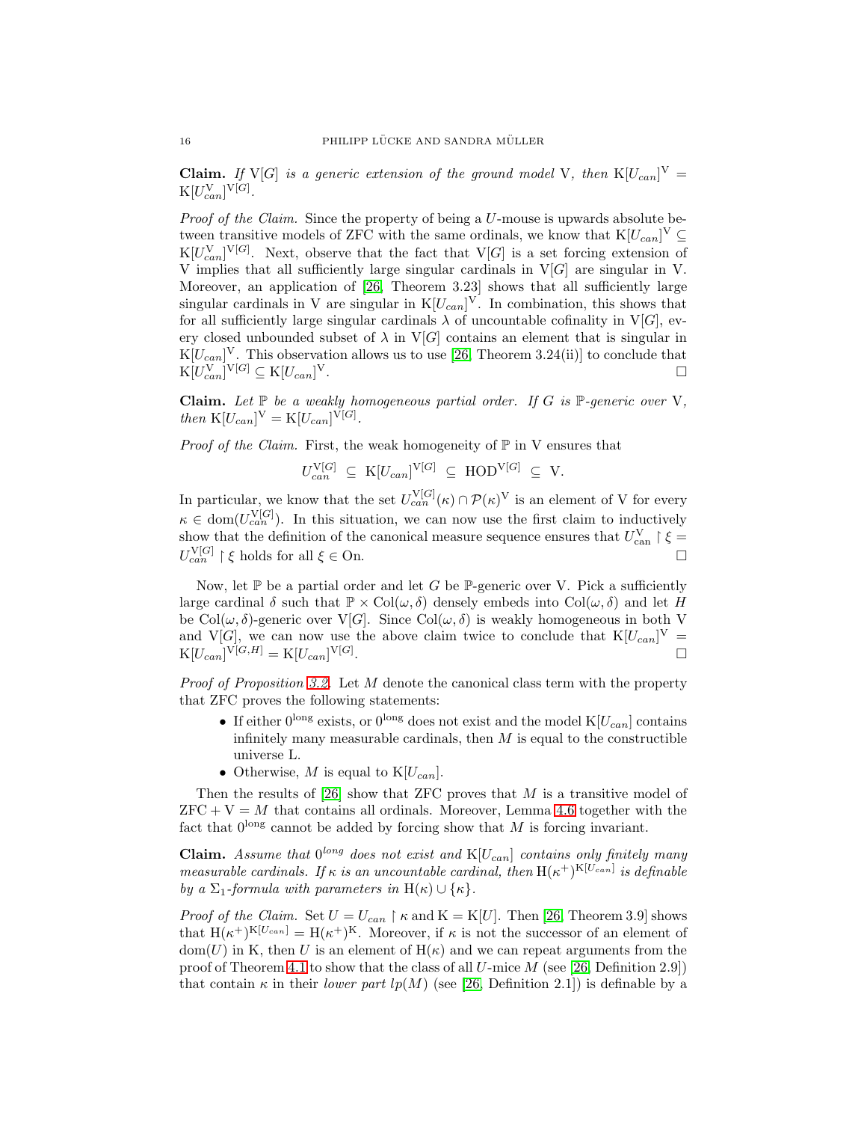**Claim.** If  $V[G]$  is a generic extension of the ground model V, then  $K[U_{can}]^V =$  $K[U_{can}^{\mathrm{V}}]^{\mathrm{V}[G]}.$ 

*Proof of the Claim.* Since the property of being a U-mouse is upwards absolute between transitive models of ZFC with the same ordinals, we know that  $K[U_{can}]^V \subseteq$  $K[U_{can}^V]^{V[G]}$ . Next, observe that the fact that  $V[G]$  is a set forcing extension of V implies that all sufficiently large singular cardinals in  $V[G]$  are singular in V. Moreover, an application of [\[26,](#page-36-2) Theorem 3.23] shows that all sufficiently large singular cardinals in V are singular in  $K[U_{can}]^V$ . In combination, this shows that for all sufficiently large singular cardinals  $\lambda$  of uncountable cofinality in  $V[G]$ , every closed unbounded subset of  $\lambda$  in  $V[G]$  contains an element that is singular in  $K[U_{can}]^V$ . This observation allows us to use [\[26,](#page-36-2) Theorem 3.24(ii)] to conclude that  $K[U_{can}^V]^{V[G]} \subseteq K[U_{can}]^V.$ 

**Claim.** Let  $\mathbb P$  be a weakly homogeneous partial order. If G is  $\mathbb P$ -generic over V, then  $K[U_{can}]^V = K[U_{can}]^{V[G]}.$ 

*Proof of the Claim.* First, the weak homogeneity of  $\mathbb P$  in V ensures that

 $U_{can}^{V[G]} \subseteq K[U_{can}]^{V[G]} \subseteq HOD^{V[G]} \subseteq V.$ 

In particular, we know that the set  $U_{can}^{V[G]}(\kappa) \cap \mathcal{P}(\kappa)^V$  is an element of V for every  $\kappa \in \text{dom}(U_{can}^{\text{V}[G]})$ . In this situation, we can now use the first claim to inductively show that the definition of the canonical measure sequence ensures that  $U_{\text{can}}^{\text{V}}\restriction\xi =$  $U_{can}^{\text{V[G]}} \restriction \xi$  holds for all  $\xi \in \text{On}.$ 

Now, let  $\mathbb P$  be a partial order and let G be  $\mathbb P$ -generic over V. Pick a sufficiently large cardinal  $\delta$  such that  $\mathbb{P} \times \text{Col}(\omega, \delta)$  densely embeds into  $\text{Col}(\omega, \delta)$  and let H be  $Col(\omega, \delta)$ -generic over  $V[G]$ . Since  $Col(\omega, \delta)$  is weakly homogeneous in both V and V[G], we can now use the above claim twice to conclude that  $K[U_{can}]^V =$  $K[U_{can}]^{V[G,H]} = K[U_{can}]^{V[G]}.$ 

*Proof of Proposition [3.2.](#page-11-2)* Let M denote the canonical class term with the property that ZFC proves the following statements:

- If either  $0^{\text{long}}$  exists, or  $0^{\text{long}}$  does not exist and the model  $K[U_{can}]$  contains infinitely many measurable cardinals, then  $M$  is equal to the constructible universe L.
- Otherwise, M is equal to  $K[U_{can}].$

Then the results of  $[26]$  show that ZFC proves that M is a transitive model of  $ZFC + V = M$  that contains all ordinals. Moreover, Lemma [4.6](#page-14-0) together with the fact that  $0^{\text{long}}$  cannot be added by forcing show that M is forcing invariant.

Claim. Assume that  $0^{long}$  does not exist and  $K[U_{can}]$  contains only finitely many *measurable cardinals.* If  $\kappa$  *is an uncountable cardinal, then*  $H(\kappa^+)^{K[U_{can}]}$  *is definable by a*  $\Sigma_1$ -formula with parameters in H( $\kappa$ ) ∪ { $\kappa$ }.

*Proof of the Claim.* Set  $U = U_{can} \restriction \kappa$  and  $K = K[U]$ . Then [\[26,](#page-36-2) Theorem 3.9] shows that  $H(\kappa^+)^{K[U_{can}]} = H(\kappa^+)^K$ . Moreover, if  $\kappa$  is not the successor of an element of  $dom(U)$  in K, then U is an element of  $H(\kappa)$  and we can repeat arguments from the proof of Theorem [4.1](#page-11-1) to show that the class of all U-mice  $M$  (see [\[26,](#page-36-2) Definition 2.9]) that contain  $\kappa$  in their *lower part*  $lp(M)$  (see [\[26,](#page-36-2) Definition 2.1]) is definable by a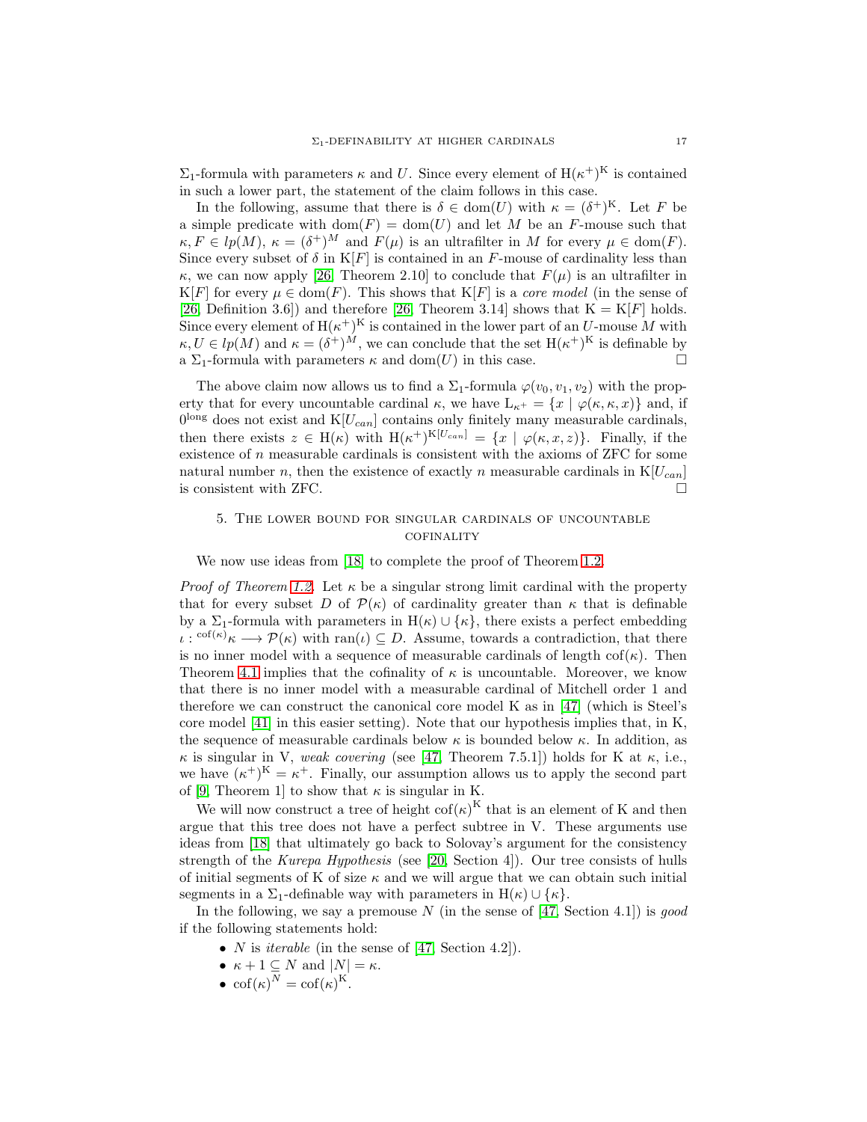$\Sigma_1$ -formula with parameters  $\kappa$  and U. Since every element of  $H(\kappa^+)^K$  is contained in such a lower part, the statement of the claim follows in this case.

In the following, assume that there is  $\delta \in \text{dom}(U)$  with  $\kappa = (\delta^+)^K$ . Let F be a simple predicate with  $dom(F) = dom(U)$  and let M be an F-mouse such that  $\kappa, F \in lp(M), \ \kappa = (\delta^+)^M$  and  $F(\mu)$  is an ultrafilter in M for every  $\mu \in \text{dom}(F)$ . Since every subset of  $\delta$  in K[F] is contained in an F-mouse of cardinality less than  $\kappa$ , we can now apply [\[26,](#page-36-2) Theorem 2.10] to conclude that  $F(\mu)$  is an ultrafilter in K[F] for every  $\mu \in \text{dom}(F)$ . This shows that K[F] is a *core model* (in the sense of [\[26,](#page-36-2) Definition 3.6]) and therefore [\[26,](#page-36-2) Theorem 3.14] shows that  $K = K[F]$  holds. Since every element of  $H(\kappa^+)^K$  is contained in the lower part of an U-mouse M with  $\kappa, U \in lp(M)$  and  $\kappa = (\delta^+)^M$ , we can conclude that the set  $H(\kappa^+)^K$  is definable by a  $\Sigma_1$ -formula with parameters  $\kappa$  and dom(U) in this case.

The above claim now allows us to find a  $\Sigma_1$ -formula  $\varphi(v_0, v_1, v_2)$  with the property that for every uncountable cardinal  $\kappa$ , we have  $L_{\kappa^+} = \{x \mid \varphi(\kappa,\kappa,x)\}\$ and, if  $0^{\text{long}}$  does not exist and  $K[U_{can}]$  contains only finitely many measurable cardinals, then there exists  $z \in H(\kappa)$  with  $H(\kappa^+)^{K[U_{can}]} = \{x \mid \varphi(\kappa, x, z)\}.$  Finally, if the existence of  $n$  measurable cardinals is consistent with the axioms of ZFC for some natural number n, then the existence of exactly n measurable cardinals in  $K[U_{can}]$ is consistent with ZFC.

## 5. The lower bound for singular cardinals of uncountable **COFINALITY**

We now use ideas from [\[18\]](#page-36-10) to complete the proof of Theorem [1.2.](#page-1-2)

*Proof of Theorem [1.2.](#page-1-2)* Let  $\kappa$  be a singular strong limit cardinal with the property that for every subset D of  $\mathcal{P}(\kappa)$  of cardinality greater than  $\kappa$  that is definable by a  $\Sigma_1$ -formula with parameters in H( $\kappa$ ) ∪ { $\kappa$ }, there exists a perfect embedding  $\iota: {\rm cof}(\kappa)_{\kappa} \longrightarrow {\cal P}(\kappa)$  with ran $(\iota) \subseteq D$ . Assume, towards a contradiction, that there is no inner model with a sequence of measurable cardinals of length  $\text{cof}(\kappa)$ . Then Theorem [4.1](#page-11-1) implies that the cofinality of  $\kappa$  is uncountable. Moreover, we know that there is no inner model with a measurable cardinal of Mitchell order 1 and therefore we can construct the canonical core model K as in [\[47\]](#page-37-2) (which is Steel's core model [\[41\]](#page-37-12) in this easier setting). Note that our hypothesis implies that, in K, the sequence of measurable cardinals below  $\kappa$  is bounded below  $\kappa$ . In addition, as  $\kappa$  is singular in V, *weak covering* (see [\[47,](#page-37-2) Theorem 7.5.1]) holds for K at  $\kappa$ , i.e., we have  $(\kappa^+)^K = \kappa^+$ . Finally, our assumption allows us to apply the second part of [\[9,](#page-36-11) Theorem 1] to show that  $\kappa$  is singular in K.

We will now construct a tree of height  $\mathrm{cof}(\kappa)^{K}$  that is an element of K and then argue that this tree does not have a perfect subtree in V. These arguments use ideas from [\[18\]](#page-36-10) that ultimately go back to Solovay's argument for the consistency strength of the *Kurepa Hypothesis* (see [\[20,](#page-36-12) Section 4]). Our tree consists of hulls of initial segments of K of size  $\kappa$  and we will argue that we can obtain such initial segments in a  $\Sigma_1$ -definable way with parameters in H( $\kappa$ ) ∪ { $\kappa$ }.

In the following, we say a premouse N (in the sense of [\[47,](#page-37-2) Section 4.1]) is *good* if the following statements hold:

- N is *iterable* (in the sense of [\[47,](#page-37-2) Section 4.2]).
- $\kappa + 1 \subseteq N$  and  $|N| = \kappa$ .
- $\operatorname{cof}(\kappa)^N = \operatorname{cof}(\kappa)^K$ .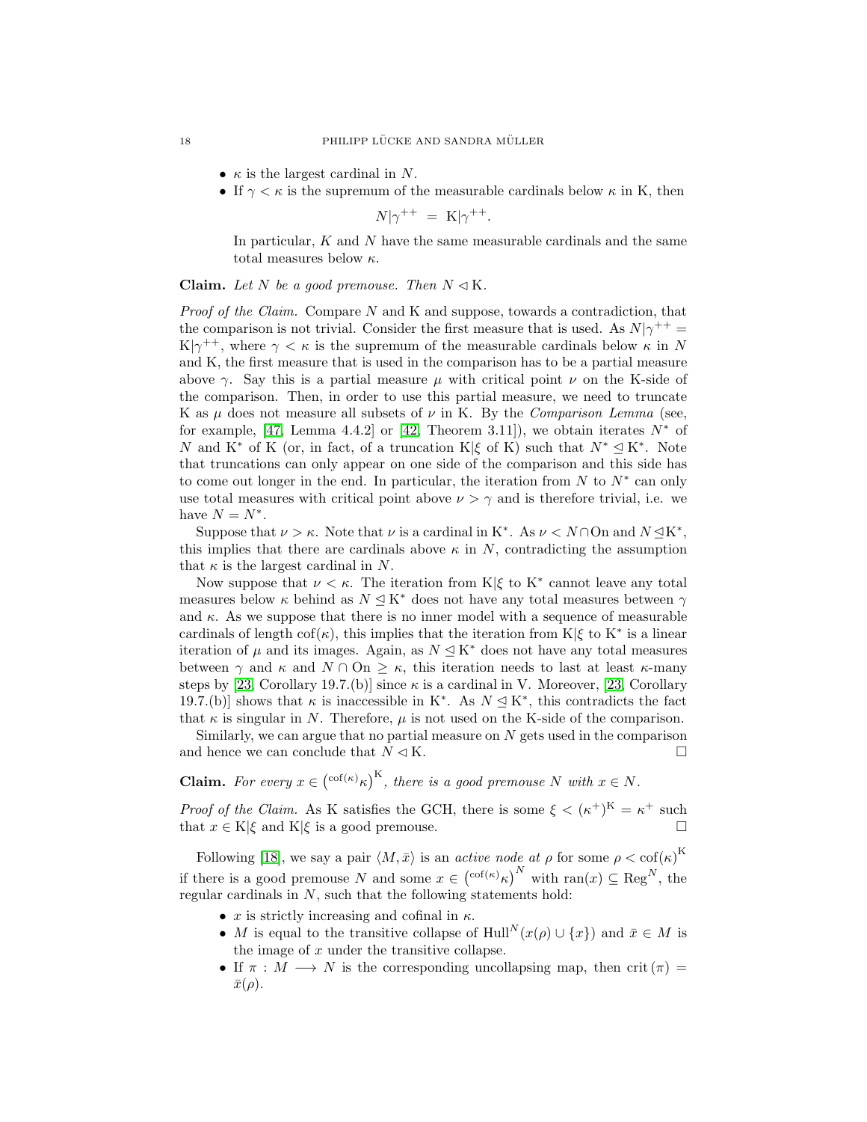- $\kappa$  is the largest cardinal in N.
- If  $\gamma < \kappa$  is the supremum of the measurable cardinals below  $\kappa$  in K, then

$$
N|\gamma^{++} = \mathbf{K}|\gamma^{++}.
$$

In particular,  $K$  and  $N$  have the same measurable cardinals and the same total measures below  $\kappa$ .

**Claim.** Let N be a good premouse. Then  $N \triangleleft K$ .

*Proof of the Claim.* Compare N and K and suppose, towards a contradiction, that the comparison is not trivial. Consider the first measure that is used. As  $N|\gamma^{++} =$  $K|\gamma^{++}$ , where  $\gamma < \kappa$  is the supremum of the measurable cardinals below  $\kappa$  in N and K, the first measure that is used in the comparison has to be a partial measure above  $\gamma$ . Say this is a partial measure  $\mu$  with critical point  $\nu$  on the K-side of the comparison. Then, in order to use this partial measure, we need to truncate K as  $\mu$  does not measure all subsets of  $\nu$  in K. By the *Comparison Lemma* (see, for example, [\[47,](#page-37-2) Lemma 4.4.2] or [\[42,](#page-37-13) Theorem 3.11]), we obtain iterates  $N^*$  of N and K<sup>\*</sup> of K (or, in fact, of a truncation K| $\xi$  of K) such that  $N^* \leq K^*$ . Note that truncations can only appear on one side of the comparison and this side has to come out longer in the end. In particular, the iteration from  $N$  to  $N^*$  can only use total measures with critical point above  $\nu > \gamma$  and is therefore trivial, i.e. we have  $N = N^*$ .

Suppose that  $\nu > \kappa$ . Note that  $\nu$  is a cardinal in K<sup>\*</sup>. As  $\nu < N \cap \text{On and } N \leq K^*$ , this implies that there are cardinals above  $\kappa$  in N, contradicting the assumption that  $\kappa$  is the largest cardinal in N.

Now suppose that  $\nu < \kappa$ . The iteration from K| $\xi$  to K<sup>\*</sup> cannot leave any total measures below  $\kappa$  behind as  $N \leq K^*$  does not have any total measures between  $\gamma$ and  $\kappa$ . As we suppose that there is no inner model with a sequence of measurable cardinals of length  $\text{cof}(\kappa)$ , this implies that the iteration from K| $\xi$  to K<sup>\*</sup> is a linear iteration of  $\mu$  and its images. Again, as  $N \leq K^*$  does not have any total measures between  $\gamma$  and  $\kappa$  and  $N \cap \Omega$  >  $\kappa$ , this iteration needs to last at least  $\kappa$ -many steps by [\[23,](#page-36-3) Corollary 19.7.(b)] since  $\kappa$  is a cardinal in V. Moreover, [23, Corollary 19.7.(b)] shows that  $\kappa$  is inaccessible in K<sup>\*</sup>. As  $N \leq K^*$ , this contradicts the fact that  $\kappa$  is singular in N. Therefore,  $\mu$  is not used on the K-side of the comparison.

Similarly, we can argue that no partial measure on  $N$  gets used in the comparison and hence we can conclude that  $N \lhd K$ .

**Claim.** For every  $x \in (\cot(\kappa)_{\kappa})^K$ , there is a good premouse N with  $x \in N$ .

*Proof of the Claim.* As K satisfies the GCH, there is some  $\xi < (\kappa^+)^K = \kappa^+$  such that  $x \in K|\xi$  and  $K|\xi$  is a good premouse.

Following [\[18\]](#page-36-10), we say a pair  $\langle M, \bar{x} \rangle$  is an *active node at*  $\rho$  for some  $\rho < \text{cof}(\kappa)^{K}$ if there is a good premouse N and some  $x \in (\text{cof}(\kappa)_{\kappa})^N$  with  $\text{ran}(x) \subseteq \text{Reg}^N$ , the regular cardinals in  $N$ , such that the following statements hold:

- x is strictly increasing and cofinal in  $\kappa$ .
- M is equal to the transitive collapse of  $\text{Hull}^N(x(\rho) \cup \{x\})$  and  $\bar{x} \in M$  is the image of  $x$  under the transitive collapse.
- If  $\pi : M \longrightarrow N$  is the corresponding uncollapsing map, then crit  $(\pi) =$  $\bar{x}(\rho)$ .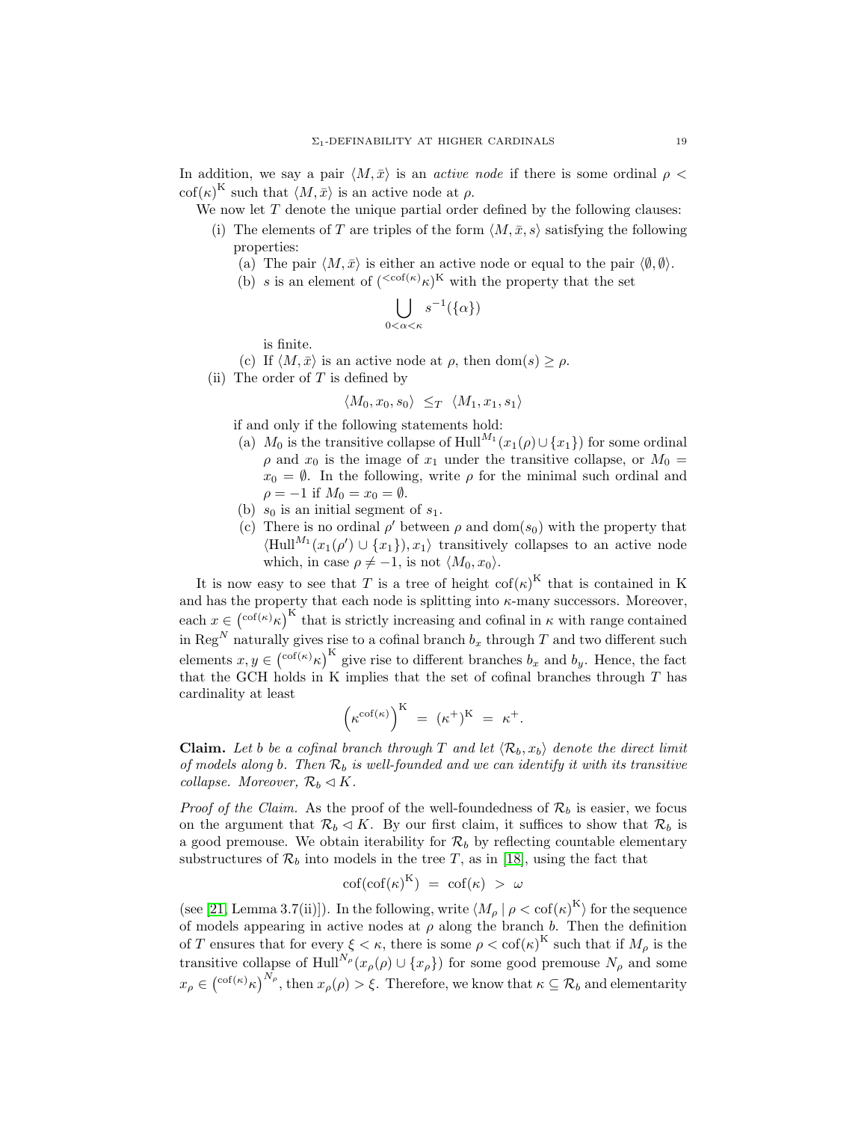In addition, we say a pair  $\langle M, \bar{x} \rangle$  is an *active node* if there is some ordinal  $\rho$  $\mathrm{cof}(\kappa)^{\mathrm{K}}$  such that  $\langle M, \bar{x} \rangle$  is an active node at  $\rho$ .

We now let  $T$  denote the unique partial order defined by the following clauses:

- (i) The elements of T are triples of the form  $\langle M, \bar{x}, s \rangle$  satisfying the following properties:
	- (a) The pair  $\langle M, \bar{x} \rangle$  is either an active node or equal to the pair  $\langle \emptyset, \emptyset \rangle$ .
	- (b) s is an element of  $({}^{<\text{cof}(\kappa)}\kappa)^{K}$  with the property that the set

$$
\bigcup_{0<\alpha<\kappa} s^{-1}(\{\alpha\})
$$

is finite.

- (c) If  $\langle M, \bar{x} \rangle$  is an active node at  $\rho$ , then dom(s)  $\geq \rho$ .
- (ii) The order of  $T$  is defined by

$$
\langle M_0, x_0, s_0 \rangle \leq_T \langle M_1, x_1, s_1 \rangle
$$

if and only if the following statements hold:

- (a)  $M_0$  is the transitive collapse of  $\text{Hull}^{M_1}(x_1(\rho) \cup \{x_1\})$  for some ordinal  $\rho$  and  $x_0$  is the image of  $x_1$  under the transitive collapse, or  $M_0 =$  $x_0 = \emptyset$ . In the following, write  $\rho$  for the minimal such ordinal and  $\rho = -1$  if  $M_0 = x_0 = \emptyset$ .
- (b)  $s_0$  is an initial segment of  $s_1$ .
- (c) There is no ordinal  $\rho'$  between  $\rho$  and dom( $s_0$ ) with the property that  $\langle \text{Hull}^{M_1}(x_1(\rho') \cup \{x_1\}), x_1 \rangle$  transitively collapses to an active node which, in case  $\rho \neq -1$ , is not  $\langle M_0, x_0 \rangle$ .

It is now easy to see that T is a tree of height  $\mathrm{cof}(\kappa)^{K}$  that is contained in K and has the property that each node is splitting into  $\kappa$ -many successors. Moreover, each  $x \in (\cot(\kappa)_{\kappa})^K$  that is strictly increasing and cofinal in  $\kappa$  with range contained in Reg<sup>N</sup> naturally gives rise to a cofinal branch  $b_x$  through T and two different such elements  $x, y \in (\cot(\kappa)_{\kappa})^K$  give rise to different branches  $b_x$  and  $b_y$ . Hence, the fact that the GCH holds in K implies that the set of cofinal branches through  $T$  has cardinality at least

$$
\Big(\kappa^{{\rm cof}(\kappa)}\Big)^{\rm K}\ =\ (\kappa^+)^{\rm K}\ =\ \kappa^+.
$$

**Claim.** Let b be a cofinal branch through T and let  $\langle \mathcal{R}_b, x_b \rangle$  denote the direct limit *of models along b. Then*  $\mathcal{R}_b$  *is well-founded and we can identify it with its transitive collapse. Moreover,*  $\mathcal{R}_b \triangleleft K$ .

*Proof of the Claim.* As the proof of the well-foundedness of  $\mathcal{R}_b$  is easier, we focus on the argument that  $\mathcal{R}_b \lhd K$ . By our first claim, it suffices to show that  $\mathcal{R}_b$  is a good premouse. We obtain iterability for  $\mathcal{R}_b$  by reflecting countable elementary substructures of  $\mathcal{R}_b$  into models in the tree T, as in [\[18\]](#page-36-10), using the fact that

$$
\mathrm{cof}(\mathrm{cof}(\kappa)^{\mathrm{K}}) \; = \; \mathrm{cof}(\kappa) \; > \; \omega
$$

(see [\[21,](#page-36-13) Lemma 3.7(ii)]). In the following, write  $\langle M_{\rho} | \rho < \text{cof}(\kappa)^{K} \rangle$  for the sequence of models appearing in active nodes at  $\rho$  along the branch b. Then the definition of T ensures that for every  $\xi < \kappa$ , there is some  $\rho < \text{cof}(\kappa)^{K}$  such that if  $M_{\rho}$  is the transitive collapse of  $\text{Hull}^{N_\rho}(x_\rho(\rho) \cup \{x_\rho\})$  for some good premouse  $N_\rho$  and some  $x_{\rho} \in (\cot(\kappa)_{\kappa})^{N_{\rho}},$  then  $x_{\rho}(\rho) > \xi$ . Therefore, we know that  $\kappa \subseteq \mathcal{R}_b$  and elementarity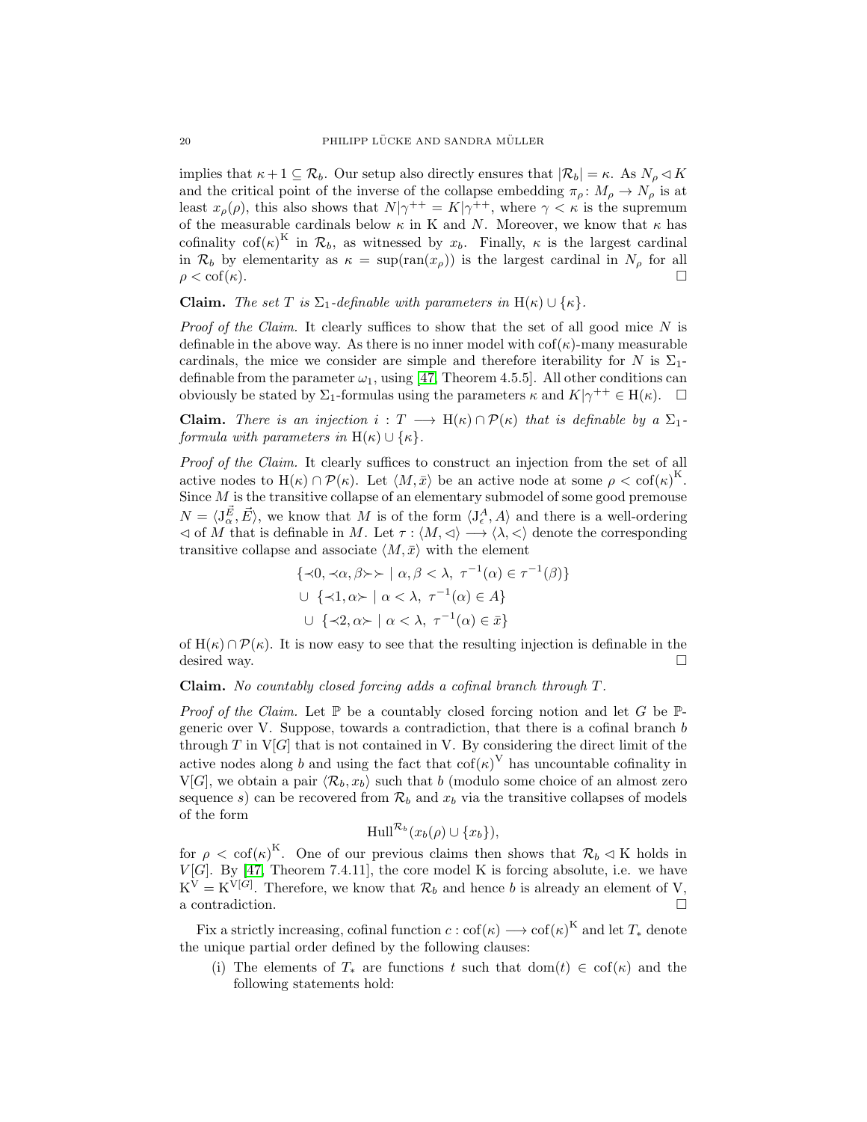implies that  $\kappa + 1 \subseteq \mathcal{R}_b$ . Our setup also directly ensures that  $|\mathcal{R}_b| = \kappa$ . As  $N_\rho \triangleleft K$ and the critical point of the inverse of the collapse embedding  $\pi_{\rho} : M_{\rho} \to N_{\rho}$  is at least  $x_{\rho}(\rho)$ , this also shows that  $N|\gamma^{++} = K|\gamma^{++}$ , where  $\gamma < \kappa$  is the supremum of the measurable cardinals below  $\kappa$  in K and N. Moreover, we know that  $\kappa$  has cofinality  $\mathrm{cof}(\kappa)^{K}$  in  $\mathcal{R}_{b}$ , as witnessed by  $x_{b}$ . Finally,  $\kappa$  is the largest cardinal in  $\mathcal{R}_b$  by elementarity as  $\kappa = \sup(\text{ran}(x_\rho))$  is the largest cardinal in  $N_\rho$  for all  $\rho < \text{cof}(\kappa).$ 

**Claim.** *The set* T *is*  $\Sigma_1$ -definable with parameters in H( $\kappa$ )  $\cup$  { $\kappa$ }.

*Proof of the Claim.* It clearly suffices to show that the set of all good mice N is definable in the above way. As there is no inner model with  $\text{cof}(\kappa)$ -many measurable cardinals, the mice we consider are simple and therefore iterability for N is  $\Sigma_1$ definable from the parameter  $\omega_1$ , using [\[47,](#page-37-2) Theorem 4.5.5]. All other conditions can obviously be stated by  $\Sigma_1$ -formulas using the parameters  $\kappa$  and  $K|\gamma^{++} \in H(\kappa)$ .  $\Box$ 

**Claim.** *There is an injection*  $i : T \longrightarrow H(\kappa) \cap \mathcal{P}(\kappa)$  *that is definable by a*  $\Sigma_1$ *formula with parameters in*  $H(\kappa) \cup {\kappa}$ .

*Proof of the Claim.* It clearly suffices to construct an injection from the set of all active nodes to  $H(\kappa) \cap \mathcal{P}(\kappa)$ . Let  $\langle M, \bar{x} \rangle$  be an active node at some  $\rho < \text{cof}(\kappa)^K$ . Since  $M$  is the transitive collapse of an elementary submodel of some good premouse  $N = \langle J_{\alpha}^{\vec{E}}, \vec{E} \rangle$ , we know that M is of the form  $\langle J_{\epsilon}^A, A \rangle$  and there is a well-ordering  $\prec$  of M that is definable in M. Let  $\tau : \langle M, \prec \rangle \longrightarrow \langle \lambda, \prec \rangle$  denote the corresponding transitive collapse and associate  $\langle M, \bar{x} \rangle$  with the element

$$
\{\prec 0, \prec \alpha, \beta \succ \succ \mid \alpha, \beta < \lambda, \ \tau^{-1}(\alpha) \in \tau^{-1}(\beta) \}
$$
\n
$$
\cup \{\prec 1, \alpha \succ \mid \alpha < \lambda, \ \tau^{-1}(\alpha) \in A \}
$$
\n
$$
\cup \{\prec 2, \alpha \succ \mid \alpha < \lambda, \ \tau^{-1}(\alpha) \in \bar{x} \}
$$

of  $H(\kappa) \cap \mathcal{P}(\kappa)$ . It is now easy to see that the resulting injection is definable in the desired way.

### Claim. *No countably closed forcing adds a cofinal branch through* T *.*

*Proof of the Claim.* Let  $\mathbb P$  be a countably closed forcing notion and let G be  $\mathbb P$ generic over V. Suppose, towards a contradiction, that there is a cofinal branch b through  $T$  in  $V[G]$  that is not contained in V. By considering the direct limit of the active nodes along b and using the fact that  $\mathrm{cof}(\kappa)^{\mathrm{V}}$  has uncountable cofinality in  $V[G]$ , we obtain a pair  $\langle \mathcal{R}_b, x_b \rangle$  such that b (modulo some choice of an almost zero sequence s) can be recovered from  $\mathcal{R}_b$  and  $x_b$  via the transitive collapses of models of the form

$$
\text{Hull}^{\mathcal{R}_b}(x_b(\rho) \cup \{x_b\}),
$$

for  $\rho < \text{cof}(\kappa)^K$ . One of our previous claims then shows that  $\mathcal{R}_b \lhd K$  holds in  $V[G]$ . By [\[47,](#page-37-2) Theorem 7.4.11], the core model K is forcing absolute, i.e. we have  $K^V = K^{V[G]}$ . Therefore, we know that  $\mathcal{R}_b$  and hence b is already an element of V, a contradiction.  $\hfill \square$ 

Fix a strictly increasing, cofinal function  $c: \mathrm{cof}(\kappa) \longrightarrow \mathrm{cof}(\kappa)^{\mathrm{K}}$  and let  $T_*$  denote the unique partial order defined by the following clauses:

(i) The elements of  $T_*$  are functions t such that  $dom(t) \in cof(\kappa)$  and the following statements hold: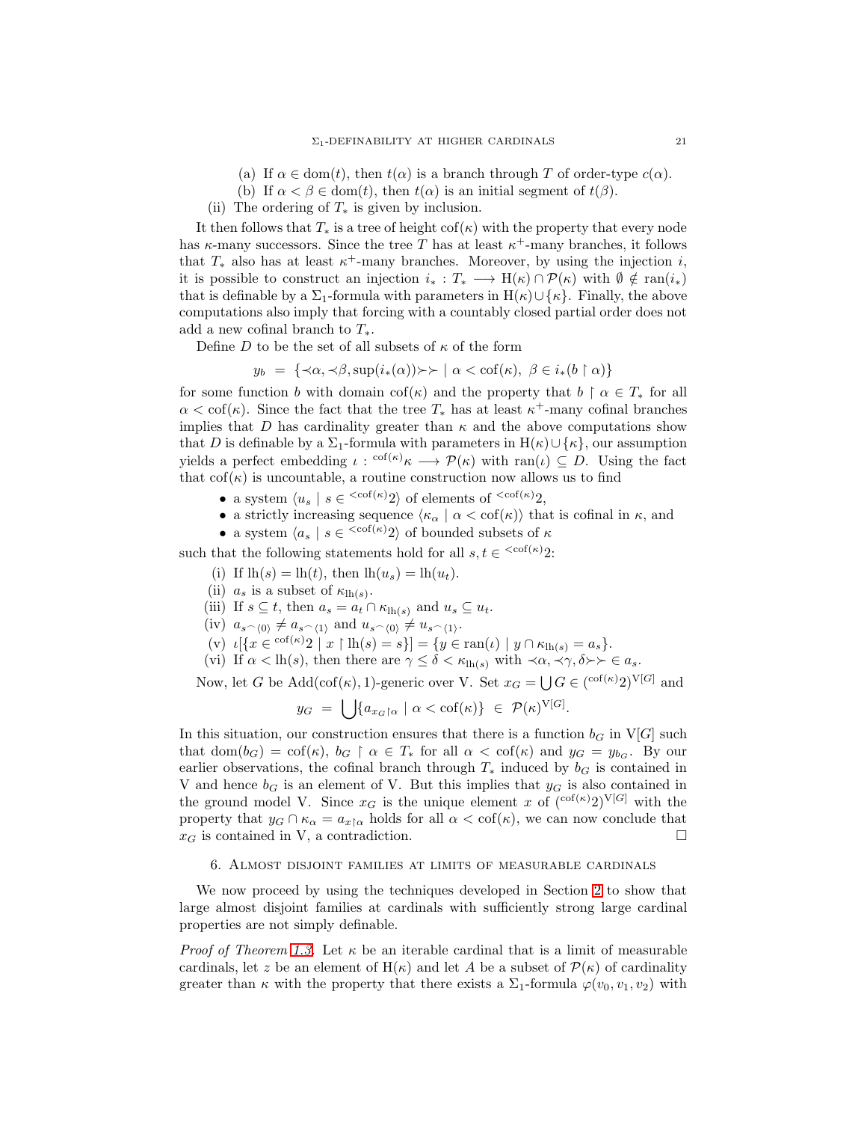- (a) If  $\alpha \in \text{dom}(t)$ , then  $t(\alpha)$  is a branch through T of order-type  $c(\alpha)$ .
- (b) If  $\alpha < \beta \in \text{dom}(t)$ , then  $t(\alpha)$  is an initial segment of  $t(\beta)$ .
- (ii) The ordering of  $T_*$  is given by inclusion.

It then follows that  $T_*$  is a tree of height  $\text{cof}(\kappa)$  with the property that every node has  $\kappa$ -many successors. Since the tree T has at least  $\kappa$ <sup>+</sup>-many branches, it follows that  $T_*$  also has at least  $\kappa^+$ -many branches. Moreover, by using the injection i, it is possible to construct an injection  $i_* : T_* \longrightarrow \mathcal{H}(\kappa) \cap \mathcal{P}(\kappa)$  with  $\emptyset \notin \text{ran}(i_*)$ that is definable by a  $\Sigma_1$ -formula with parameters in H( $\kappa$ )∪ $\{\kappa\}$ . Finally, the above computations also imply that forcing with a countably closed partial order does not add a new cofinal branch to  $T_*$ .

Define D to be the set of all subsets of  $\kappa$  of the form

$$
y_b = \{ \prec \alpha, \prec \beta, \sup(i_*(\alpha)) \succ \succ \mid \alpha < \mathrm{cof}(\kappa), \ \beta \in i_*(b \restriction \alpha) \}
$$

for some function b with domain  $\text{cof}(\kappa)$  and the property that  $b \restriction \alpha \in T_*$  for all  $\alpha < \text{cof}(\kappa)$ . Since the fact that the tree  $T_*$  has at least  $\kappa^+$ -many cofinal branches implies that D has cardinality greater than  $\kappa$  and the above computations show that D is definable by a  $\Sigma_1$ -formula with parameters in H( $\kappa$ )∪ $\{\kappa\}$ , our assumption yields a perfect embedding  $\iota : \operatorname{cof}^{(\kappa)} \kappa \longrightarrow \mathcal{P}(\kappa)$  with  $\operatorname{ran}(\iota) \subseteq D$ . Using the fact that  $\text{cof}(\kappa)$  is uncountable, a routine construction now allows us to find

- a system  $\langle u_s | s \in \langle \text{cof}(\kappa) 2 \rangle$  of elements of  $\langle \text{cof}(\kappa) 2,$
- a strictly increasing sequence  $\langle \kappa_\alpha | \alpha < \text{cof}(\kappa) \rangle$  that is cofinal in  $\kappa$ , and
- a system  $\langle a_s | s \in \langle \text{cof}(\kappa) 2 \rangle$  of bounded subsets of  $\kappa$

such that the following statements hold for all  $s, t \in \frac{\text{cof}(\kappa)}{2}$ :

- (i) If  $lh(s) = lh(t)$ , then  $lh(u_s) = lh(u_t)$ .
- (ii)  $a_s$  is a subset of  $\kappa_{\ln(s)}$ .
- (iii) If  $s \subseteq t$ , then  $a_s = a_t \cap \kappa_{\text{lh}(s)}$  and  $u_s \subseteq u_t$ .
- $(iv)$   $a_s \sim_{(0)} \neq a_s \sim_{(1)}$  and  $u_s \sim_{(0)} \neq u_s \sim_{(1)}$ .
- (v)  $\iota[\{x \in {}^{\text{cof}(\kappa)}2 \mid x \restriction \text{lh}(s) = s\}] = \{y \in \text{ran}(\iota) \mid y \cap \kappa_{\text{lh}(s)} = a_s\}.$
- (vi) If  $\alpha <$ lh(s), then there are  $\gamma \leq \delta < \kappa$ <sub>lh(s)</sub> with  $\prec \alpha$ ,  $\prec \gamma$ ,  $\delta \succ \succ \in a_s$ .

Now, let G be Add(cof( $\kappa$ ), 1)-generic over V. Set  $x_G = \bigcup G \in {cot(\kappa)}2$ <sup>V[G]</sup> and

$$
y_G = \bigcup \{ a_{x_G \upharpoonright \alpha} \mid \alpha < \text{cof}(\kappa) \} \in \mathcal{P}(\kappa)^{\text{V}[G]}.
$$

In this situation, our construction ensures that there is a function  $b_G$  in V[G] such that  $dom(b_G) = cof(\kappa)$ ,  $b_G \restriction \alpha \in T_*$  for all  $\alpha < cof(\kappa)$  and  $y_G = y_{b_G}$ . By our earlier observations, the cofinal branch through  $T_*$  induced by  $b_G$  is contained in V and hence  $b_G$  is an element of V. But this implies that  $y_G$  is also contained in the ground model V. Since  $x_G$  is the unique element x of  $({}^{\text{cof}(\kappa)}2)^{V[G]}$  with the property that  $y_G \cap \kappa_\alpha = a_{x\upharpoonright \alpha}$  holds for all  $\alpha < \text{cof}(\kappa)$ , we can now conclude that  $x_G$  is contained in V, a contradiction.

## 6. Almost disjoint families at limits of measurable cardinals

We now proceed by using the techniques developed in Section [2](#page-3-0) to show that large almost disjoint families at cardinals with sufficiently strong large cardinal properties are not simply definable.

*Proof of Theorem [1.3.](#page-2-0)* Let  $\kappa$  be an iterable cardinal that is a limit of measurable cardinals, let z be an element of  $H(\kappa)$  and let A be a subset of  $\mathcal{P}(\kappa)$  of cardinality greater than  $\kappa$  with the property that there exists a  $\Sigma_1$ -formula  $\varphi(v_0, v_1, v_2)$  with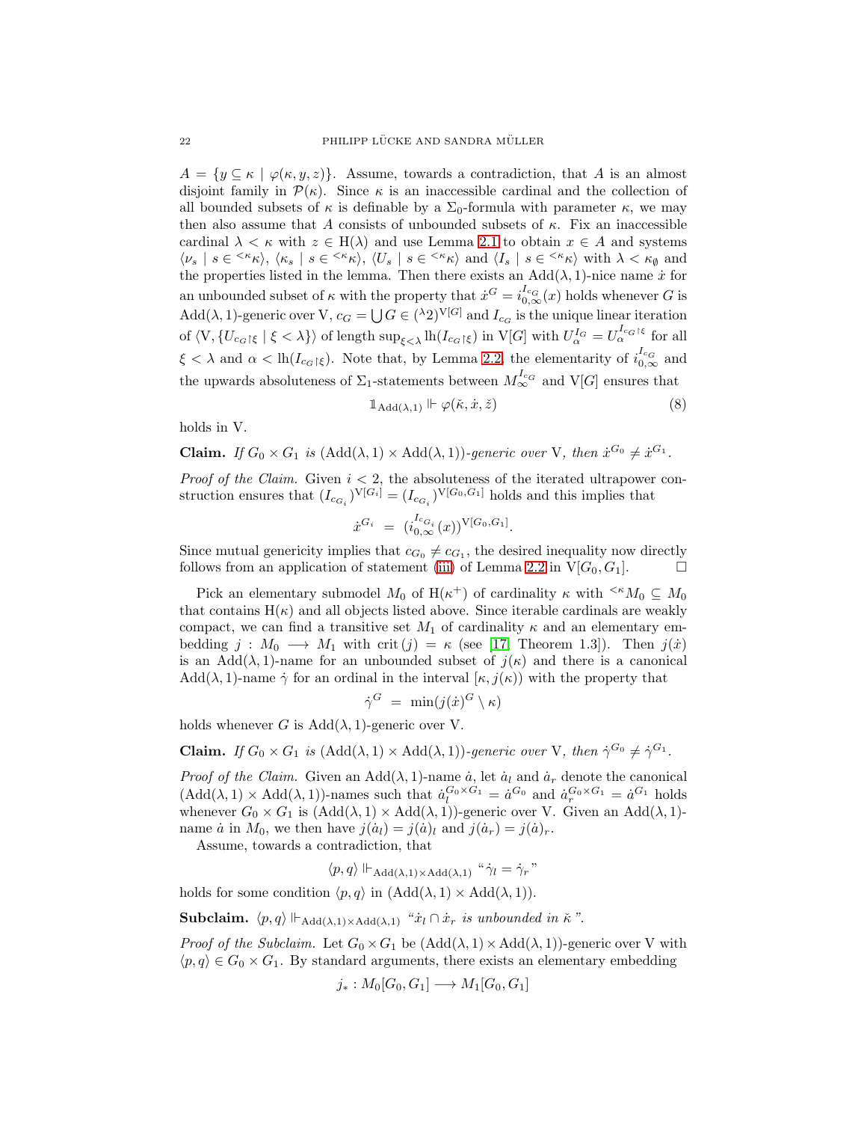$A = \{y \subseteq \kappa \mid \varphi(\kappa, y, z)\}.$  Assume, towards a contradiction, that A is an almost disjoint family in  $\mathcal{P}(\kappa)$ . Since  $\kappa$  is an inaccessible cardinal and the collection of all bounded subsets of  $\kappa$  is definable by a  $\Sigma_0$ -formula with parameter  $\kappa$ , we may then also assume that A consists of unbounded subsets of  $\kappa$ . Fix an inaccessible cardinal  $\lambda < \kappa$  with  $z \in H(\lambda)$  and use Lemma [2.1](#page-4-7) to obtain  $x \in A$  and systems  $\langle \nu_s | s \in \langle K \kappa \rangle, \langle \kappa_s | s \in \langle K \kappa \rangle, \langle U_s | s \in \langle K \kappa \rangle \text{ and } \langle I_s | s \in \langle K \kappa \rangle \text{ with } \lambda < \kappa_{\emptyset} \text{ and }$ the properties listed in the lemma. Then there exists an  $Add(\lambda, 1)$ -nice name  $\dot{x}$  for an unbounded subset of  $\kappa$  with the property that  $\dot{x}^G = i_{0,\infty}^{I_{c_G}}(x)$  holds whenever G is Add( $\lambda$ , 1)-generic over V,  $c_G = \bigcup G \in (^{\lambda}2)^{V[G]}$  and  $I_{c_G}$  is the unique linear iteration of  $\langle V, \{U_{c_G\upharpoonright\xi} \mid \xi < \lambda\}\rangle$  of length  $\sup_{\xi < \lambda} \text{lh}(I_{c_G\upharpoonright\xi})$  in  $\text{V}[G]$  with  $U_{\alpha}^{I_G} = U_{\alpha}^{I_{c_G\upharpoonright\xi}}$  for all  $\xi < \lambda$  and  $\alpha < \ln(I_{c_G \upharpoonright \xi})$ . Note that, by Lemma [2.2,](#page-7-2) the elementarity of  $i_{0,\infty}^{I_{c_G}}$  and the upwards absoluteness of  $\Sigma_1$ -statements between  $M^{I_{c}}_{\infty}$  and  $V[G]$  ensures that

<span id="page-21-0"></span>
$$
\mathbb{1}_{\text{Add}(\lambda,1)} \Vdash \varphi(\check{\kappa}, \dot{x}, \check{z}) \tag{8}
$$

holds in V.

**Claim.** *If*  $G_0 \times G_1$  *is*  $(Add(\lambda, 1) \times Add(\lambda, 1))$ *-generic over* V*, then*  $\dot{x}^{G_0} \neq \dot{x}^{G_1}$ *.* 

*Proof of the Claim.* Given  $i < 2$ , the absoluteness of the iterated ultrapower construction ensures that  $(I_{c_{G_i}})^{V[G_i]} = (I_{c_{G_i}})^{V[G_0, G_1]}$  holds and this implies that

$$
\dot{x}^{G_i} = (i_{0,\infty}^{I_{c_{G_i}}}(x))^{V[G_0,G_1]}.
$$

Since mutual genericity implies that  $c_{G_0} \neq c_{G_1}$ , the desired inequality now directly follows from an application of statement [\(iii\)](#page-8-3) of Lemma [2.2](#page-7-2) in  $V[G_0, G_1]$ .

Pick an elementary submodel  $M_0$  of  $H(\kappa^+)$  of cardinality  $\kappa$  with <sup> $\kappa M_0 \subseteq M_0$ </sup> that contains  $H(\kappa)$  and all objects listed above. Since iterable cardinals are weakly compact, we can find a transitive set  $M_1$  of cardinality  $\kappa$  and an elementary embedding  $j : M_0 \longrightarrow M_1$  with crit  $(j) = \kappa$  (see [\[17,](#page-36-14) Theorem 1.3]). Then  $j(\dot{x})$ is an Add( $\lambda$ , 1)-name for an unbounded subset of  $j(\kappa)$  and there is a canonical Add( $\lambda$ , 1)-name  $\dot{\gamma}$  for an ordinal in the interval  $[\kappa, j(\kappa))$  with the property that

$$
\dot{\gamma}^G = \min(j(\dot{x})^G \setminus \kappa)
$$

holds whenever G is  $Add(\lambda, 1)$ -generic over V.

**Claim.** *If*  $G_0 \times G_1$  *is*  $(Add(\lambda, 1) \times Add(\lambda, 1))$ *-generic over* V*, then*  $\dot{\gamma}^{G_0} \neq \dot{\gamma}^{G_1}$ *.* 

*Proof of the Claim.* Given an  $Add(\lambda, 1)$ -name  $\dot{a}$ , let  $\dot{a}_l$  and  $\dot{a}_r$  denote the canonical  $(\text{Add}(\lambda, 1) \times \text{Add}(\lambda, 1))$ -names such that  $a_l^{G_0 \times G_1} = a^{G_0}$  and  $a_r^{G_0 \times G_1} = a^{G_1}$  holds whenever  $G_0 \times G_1$  is  $(Add(\lambda, 1) \times Add(\lambda, 1))$ -generic over V. Given an  $Add(\lambda, 1)$ name  $\dot{a}$  in  $M_0$ , we then have  $j(\dot{a}_l) = j(\dot{a})_l$  and  $j(\dot{a}_r) = j(\dot{a})_r$ .

Assume, towards a contradiction, that

$$
\langle p, q \rangle \Vdash_{\text{Add}(\lambda, 1) \times \text{Add}(\lambda, 1)} \text{``$\dot{\gamma} \chi = \dot{\gamma}_r$''}
$$

holds for some condition  $\langle p, q \rangle$  in  $(Add(\lambda, 1) \times Add(\lambda, 1)).$ 

**Subclaim.**  $\langle p, q \rangle \Vdash_{\text{Add}(\lambda,1)\times \text{Add}(\lambda,1)}$  *"* $\dot{x}_l \cap \dot{x}_r$  *is unbounded in*  $\check{\kappa}$ ".

*Proof of the Subclaim.* Let  $G_0 \times G_1$  be  $(Add(\lambda, 1) \times Add(\lambda, 1))$ -generic over V with  $\langle p, q \rangle \in G_0 \times G_1$ . By standard arguments, there exists an elementary embedding

 $j_*: M_0[G_0, G_1] \longrightarrow M_1[G_0, G_1]$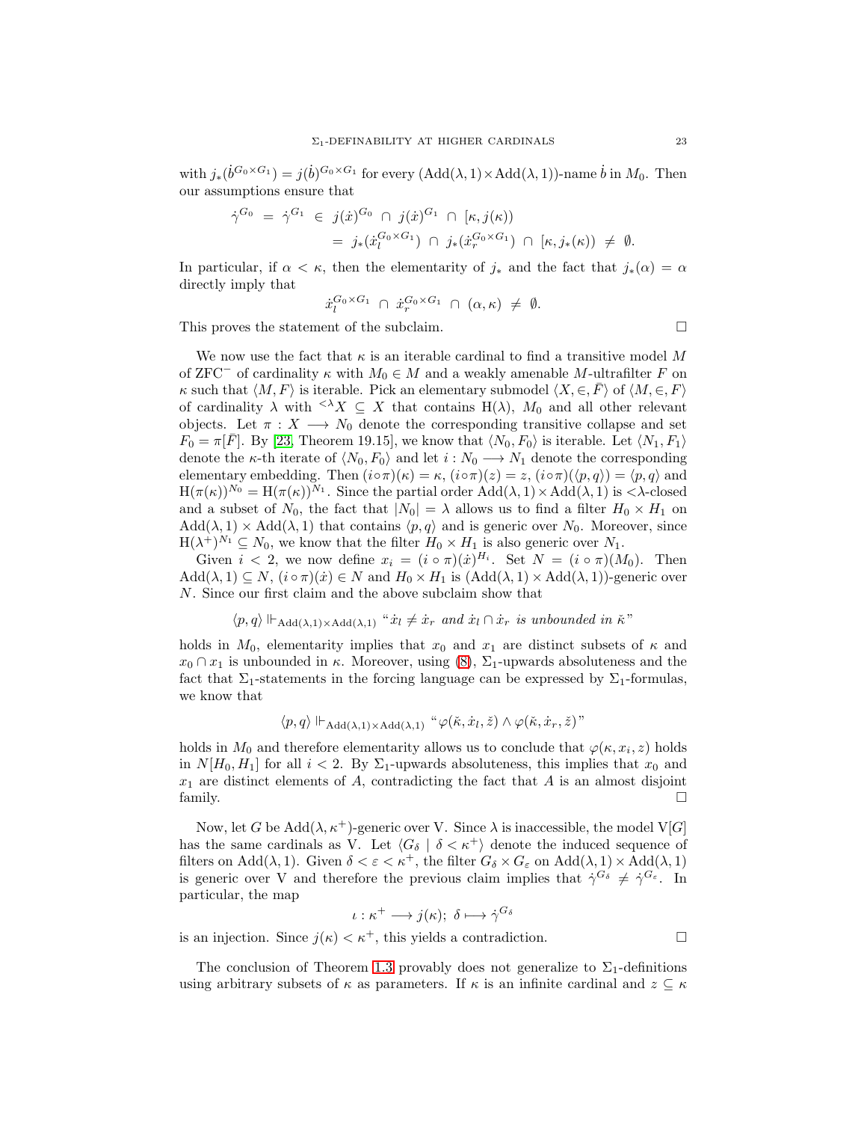with  $j_*(\dot{b}^{G_0 \times G_1}) = j(\dot{b})^{G_0 \times G_1}$  for every  $(\text{Add}(\lambda, 1) \times \text{Add}(\lambda, 1))$ -name  $\dot{b}$  in  $M_0$ . Then our assumptions ensure that

$$
\dot{\gamma}^{G_0} = \dot{\gamma}^{G_1} \in j(\dot{x})^{G_0} \cap j(\dot{x})^{G_1} \cap [\kappa, j(\kappa))
$$
  
=  $j_*(\dot{x}_i^{G_0 \times G_1}) \cap j_*(\dot{x}_i^{G_0 \times G_1}) \cap [\kappa, j_*(\kappa)) \neq \emptyset.$ 

In particular, if  $\alpha < \kappa$ , then the elementarity of  $j_*$  and the fact that  $j_*(\alpha) = \alpha$ directly imply that

$$
\dot{x}_l^{G_0 \times G_1} \cap \dot{x}_r^{G_0 \times G_1} \cap (\alpha, \kappa) \neq \emptyset.
$$

This proves the statement of the subclaim.  $\Box$ 

We now use the fact that  $\kappa$  is an iterable cardinal to find a transitive model M of ZFC<sup>−</sup> of cardinality  $\kappa$  with  $M_0 \in M$  and a weakly amenable M-ultrafilter F on κ such that  $\langle M, F \rangle$  is iterable. Pick an elementary submodel  $\langle X, \in, \overline{F} \rangle$  of  $\langle M, \in, F \rangle$ of cardinality  $\lambda$  with  $\lambda X \subseteq X$  that contains  $H(\lambda)$ ,  $M_0$  and all other relevant objects. Let  $\pi : X \longrightarrow N_0$  denote the corresponding transitive collapse and set  $F_0 = \pi[F]$ . By [\[23,](#page-36-3) Theorem 19.15], we know that  $\langle N_0, F_0 \rangle$  is iterable. Let  $\langle N_1, F_1 \rangle$ denote the  $\kappa$ -th iterate of  $\langle N_0, F_0 \rangle$  and let  $i : N_0 \longrightarrow N_1$  denote the corresponding elementary embedding. Then  $(i \circ \pi)(\kappa) = \kappa$ ,  $(i \circ \pi)(z) = z$ ,  $(i \circ \pi)(\langle p, q \rangle) = \langle p, q \rangle$  and  $H(\pi(\kappa))^{N_0} = H(\pi(\kappa))^{N_1}$ . Since the partial order  $Add(\lambda, 1) \times Add(\lambda, 1)$  is  $\langle \lambda$ -closed and a subset of  $N_0$ , the fact that  $|N_0| = \lambda$  allows us to find a filter  $H_0 \times H_1$  on  $Add(\lambda, 1) \times Add(\lambda, 1)$  that contains  $\langle p, q \rangle$  and is generic over  $N_0$ . Moreover, since  $H(\lambda^+)^{N_1} \subseteq N_0$ , we know that the filter  $H_0 \times H_1$  is also generic over  $N_1$ .

Given  $i < 2$ , we now define  $x_i = (i \circ \pi)(\dot{x})^{H_i}$ . Set  $N = (i \circ \pi)(M_0)$ . Then  $Add(\lambda, 1) \subseteq N$ ,  $(i \circ \pi)(\dot{x}) \in N$  and  $H_0 \times H_1$  is  $(Add(\lambda, 1) \times Add(\lambda, 1))$ -generic over N. Since our first claim and the above subclaim show that

$$
\langle p, q \rangle \Vdash_{\text{Add}(\lambda,1) \times \text{Add}(\lambda,1)}
$$
 " $\dot{x}_l \neq \dot{x}_r$  and  $\dot{x}_l \cap \dot{x}_r$  is unbounded in  $\check{\kappa}$ "

holds in  $M_0$ , elementarity implies that  $x_0$  and  $x_1$  are distinct subsets of  $\kappa$  and  $x_0 \cap x_1$  is unbounded in  $\kappa$ . Moreover, using [\(8\)](#page-21-0),  $\Sigma_1$ -upwards absoluteness and the fact that  $\Sigma_1$ -statements in the forcing language can be expressed by  $\Sigma_1$ -formulas, we know that

$$
\langle p, q \rangle \Vdash_{\mathrm{Add}(\lambda, 1) \times \mathrm{Add}(\lambda, 1)} \text{``}\varphi(\check{\kappa}, \dot{x}_l, \check{z}) \wedge \varphi(\check{\kappa}, \dot{x}_r, \check{z})\text{''}
$$

holds in  $M_0$  and therefore elementarity allows us to conclude that  $\varphi(\kappa, x_i, z)$  holds in  $N[H_0, H_1]$  for all  $i < 2$ . By  $\Sigma_1$ -upwards absoluteness, this implies that  $x_0$  and  $x_1$  are distinct elements of A, contradicting the fact that A is an almost disjoint family.  $\square$ 

Now, let G be Add $(\lambda, \kappa^+)$ -generic over V. Since  $\lambda$  is inaccessible, the model V[G] has the same cardinals as V. Let  $\langle G_{\delta} | \delta \langle \kappa^+\rangle$  denote the induced sequence of filters on Add( $\lambda$ , 1). Given  $\delta < \varepsilon < \kappa^+$ , the filter  $G_{\delta} \times G_{\varepsilon}$  on Add( $\lambda$ , 1)  $\times$  Add( $\lambda$ , 1) is generic over V and therefore the previous claim implies that  $\dot{\gamma}^{G_{\delta}} \neq \dot{\gamma}^{G_{\epsilon}}$ . In particular, the map

$$
\iota:\kappa^+\longrightarrow j(\kappa);\,\,\delta\longmapsto \dot\gamma^{G_\delta}
$$

is an injection. Since  $j(\kappa) < \kappa^+$ , this yields a contradiction.

The conclusion of Theorem [1.3](#page-2-0) provably does not generalize to  $\Sigma_1$ -definitions using arbitrary subsets of  $\kappa$  as parameters. If  $\kappa$  is an infinite cardinal and  $z \subseteq \kappa$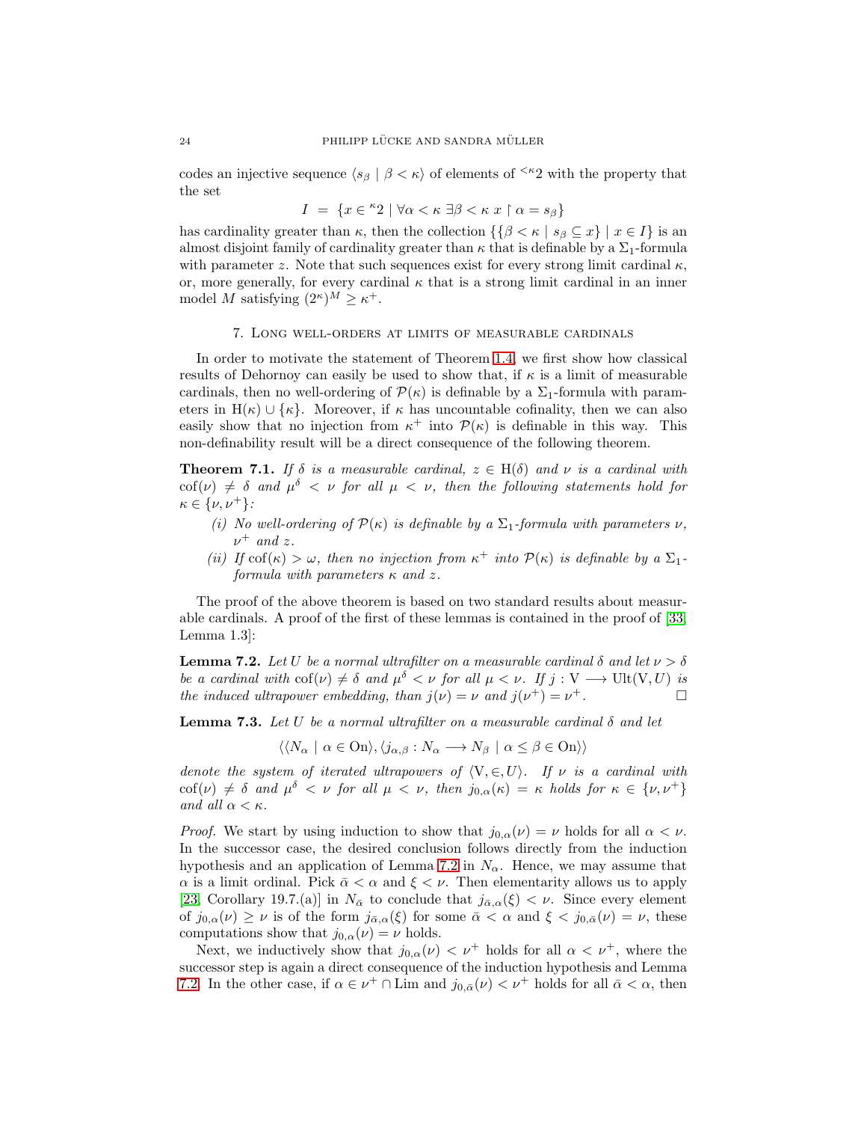codes an injective sequence  $\langle s_\beta | \beta \langle \kappa \rangle$  of elements of  $\langle k_2 \rangle$  with the property that the set

$$
I = \{ x \in {}^{\kappa}2 \mid \forall \alpha < \kappa \exists \beta < \kappa \ x \upharpoonright \alpha = s_{\beta} \}
$$

has cardinality greater than  $\kappa$ , then the collection  $\{\{\beta < \kappa \mid s_\beta \subseteq x\} \mid x \in I\}$  is an almost disjoint family of cardinality greater than  $\kappa$  that is definable by a  $\Sigma_1$ -formula with parameter z. Note that such sequences exist for every strong limit cardinal  $\kappa$ , or, more generally, for every cardinal  $\kappa$  that is a strong limit cardinal in an inner model M satisfying  $(2^{\kappa})^M \geq \kappa^+$ .

## 7. Long well-orders at limits of measurable cardinals

<span id="page-23-0"></span>In order to motivate the statement of Theorem [1.4,](#page-2-1) we first show how classical results of Dehornoy can easily be used to show that, if  $\kappa$  is a limit of measurable cardinals, then no well-ordering of  $\mathcal{P}(\kappa)$  is definable by a  $\Sigma_1$ -formula with parameters in H( $\kappa$ ) ∪  $\{\kappa\}$ . Moreover, if  $\kappa$  has uncountable cofinality, then we can also easily show that no injection from  $\kappa^+$  into  $\mathcal{P}(\kappa)$  is definable in this way. This non-definability result will be a direct consequence of the following theorem.

<span id="page-23-2"></span>**Theorem 7.1.** *If*  $\delta$  *is a measurable cardinal,*  $z \in H(\delta)$  *and*  $\nu$  *is a cardinal with*  $\cot(\nu) \neq \delta$  and  $\mu^{\delta} < \nu$  for all  $\mu < \nu$ , then the following statements hold for  $\kappa \in {\{\nu, \nu^+\}}$ :

- *(i) No well-ordering of*  $\mathcal{P}(\kappa)$  *is definable by a*  $\Sigma_1$ -formula with parameters  $\nu$ , ν <sup>+</sup> *and* z*.*
- *(ii)* If  $\text{cof}(\kappa) > \omega$ , then no injection from  $\kappa^+$  *into*  $\mathcal{P}(\kappa)$  *is definable by a*  $\Sigma_1$ *formula with parameters* κ *and* z*.*

The proof of the above theorem is based on two standard results about measurable cardinals. A proof of the first of these lemmas is contained in the proof of [\[33,](#page-37-9) Lemma 1.3]:

<span id="page-23-1"></span>**Lemma 7.2.** Let U be a normal ultrafilter on a measurable cardinal  $\delta$  and let  $\nu > \delta$ *be a cardinal with*  $\text{cof}(v) \neq \delta$  *and*  $\mu^{\delta} < v$  *for all*  $\mu < v$ . If  $j : V \longrightarrow \text{Ult}(V, U)$  *is the induced ultrapower embedding, than*  $j(\nu) = \nu$  *and*  $j(\nu^+) = \nu^+$ .

<span id="page-23-3"></span>Lemma 7.3. *Let* U *be a normal ultrafilter on a measurable cardinal* δ *and let*

 $\langle\langle N_{\alpha} \mid \alpha \in \mathcal{O}n \rangle, \langle j_{\alpha,\beta} : N_{\alpha} \longrightarrow N_{\beta} \mid \alpha \leq \beta \in \mathcal{O}n \rangle\rangle$ 

*denote the system of iterated ultrapowers of*  $\langle V, \in, U \rangle$ *. If*  $\nu$  *is a cardinal with*  $\cot(\nu) \neq \delta$  and  $\mu^{\delta} < \nu$  for all  $\mu < \nu$ , then  $j_{0,\alpha}(\kappa) = \kappa$  holds for  $\kappa \in {\{\nu, \nu^+\}}$ *and all*  $\alpha < \kappa$ *.* 

*Proof.* We start by using induction to show that  $j_{0,\alpha}(\nu) = \nu$  holds for all  $\alpha < \nu$ . In the successor case, the desired conclusion follows directly from the induction hypothesis and an application of Lemma [7.2](#page-23-1) in  $N_{\alpha}$ . Hence, we may assume that  $\alpha$  is a limit ordinal. Pick  $\bar{\alpha} < \alpha$  and  $\xi < \nu$ . Then elementarity allows us to apply [\[23,](#page-36-3) Corollary 19.7.(a)] in  $N_{\bar{\alpha}}$  to conclude that  $j_{\bar{\alpha},\alpha}(\xi) < \nu$ . Since every element of  $j_{0,\alpha}(\nu) \geq \nu$  is of the form  $j_{\bar{\alpha},\alpha}(\xi)$  for some  $\bar{\alpha} < \alpha$  and  $\xi < j_{0,\bar{\alpha}}(\nu) = \nu$ , these computations show that  $j_{0,\alpha}(\nu) = \nu$  holds.

Next, we inductively show that  $j_{0,\alpha}(\nu) < \nu^+$  holds for all  $\alpha < \nu^+$ , where the successor step is again a direct consequence of the induction hypothesis and Lemma [7.2.](#page-23-1) In the other case, if  $\alpha \in \nu^+ \cap \text{Lim}$  and  $j_{0,\bar{\alpha}}(\nu) < \nu^+$  holds for all  $\bar{\alpha} < \alpha$ , then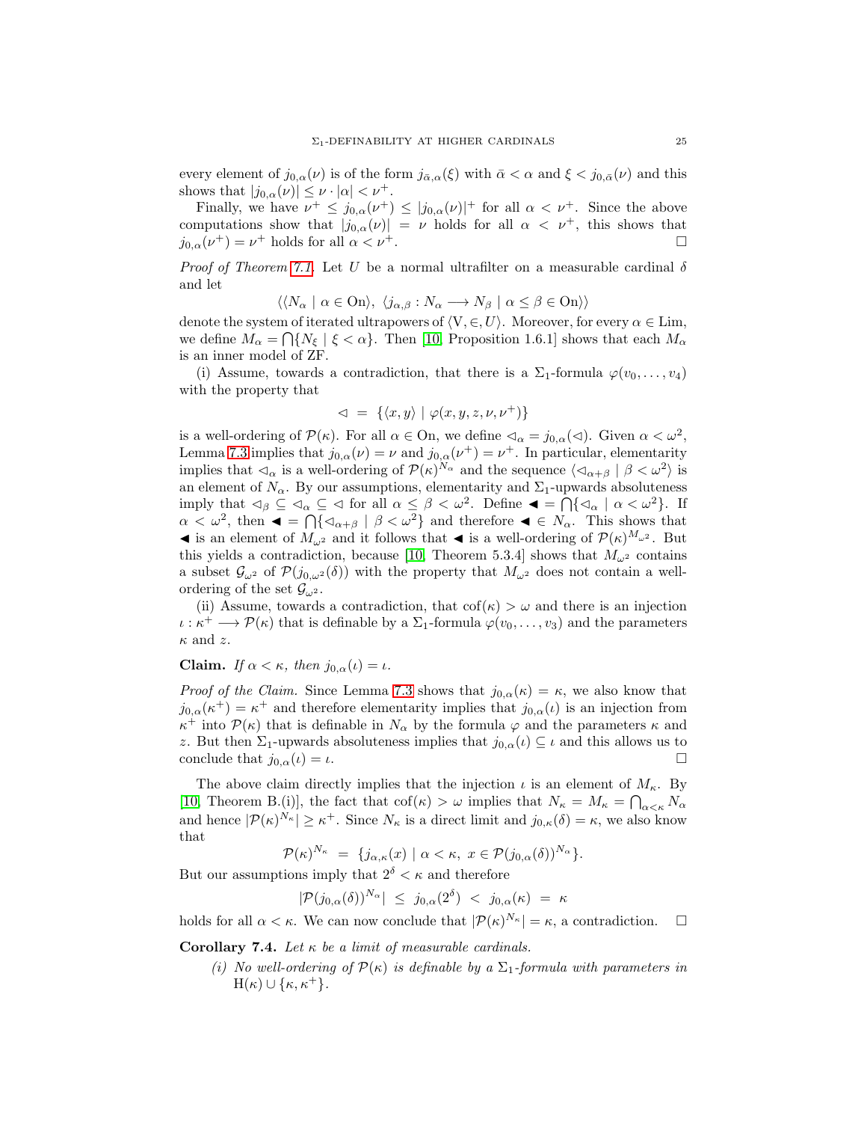every element of  $j_{0,\alpha}(\nu)$  is of the form  $j_{\bar{\alpha},\alpha}(\xi)$  with  $\bar{\alpha} < \alpha$  and  $\xi < j_{0,\bar{\alpha}}(\nu)$  and this shows that  $|j_{0,\alpha}(\nu)| \leq \nu \cdot |\alpha| < \nu^+$ .

Finally, we have  $\nu^+ \leq j_{0,\alpha}(\nu^+) \leq |j_{0,\alpha}(\nu)|^+$  for all  $\alpha < \nu^+$ . Since the above computations show that  $|j_{0,\alpha}(\nu)| = \nu$  holds for all  $\alpha < \nu^+$ , this shows that  $j_{0,\alpha}(\nu^+) = \nu^+$  holds for all  $\alpha < \nu^+$ .

*Proof of Theorem [7.1.](#page-23-2)* Let U be a normal ultrafilter on a measurable cardinal  $\delta$ and let

 $\langle\langle N_{\alpha} \mid \alpha \in \Omega_{\mathfrak{n}}\rangle, \langle j_{\alpha,\beta} : N_{\alpha} \longrightarrow N_{\beta} \mid \alpha \leq \beta \in \Omega_{\mathfrak{n}}\rangle$ 

denote the system of iterated ultrapowers of  $\langle V, \in, U \rangle$ . Moreover, for every  $\alpha \in \text{Lim}$ , we define  $M_{\alpha} = \bigcap \{N_{\xi} \mid \xi < \alpha\}$ . Then [\[10,](#page-36-8) Proposition 1.6.1] shows that each  $M_{\alpha}$ is an inner model of ZF.

(i) Assume, towards a contradiction, that there is a  $\Sigma_1$ -formula  $\varphi(v_0,\ldots,v_4)$ with the property that

$$
\vartriangleleft = \{ \langle x, y \rangle \mid \varphi(x, y, z, \nu, \nu^+) \}
$$

is a well-ordering of  $\mathcal{P}(\kappa)$ . For all  $\alpha \in \Omega$ , we define  $\lhd_{\alpha} = j_{0,\alpha}(\lhd)$ . Given  $\alpha < \omega^2$ , Lemma [7.3](#page-23-3) implies that  $j_{0,\alpha}(\nu) = \nu$  and  $j_{0,\alpha}(\nu^+) = \nu^+$ . In particular, elementarity implies that  $\lhd_{\alpha}$  is a well-ordering of  $\mathcal{P}(\kappa)^{N_{\alpha}}$  and the sequence  $\lhd_{\alpha+\beta} \mid \beta < \omega^2$  is an element of  $N_{\alpha}$ . By our assumptions, elementarity and  $\Sigma_1$ -upwards absoluteness imply that  $\lhd_\beta \subseteq \lhd_\alpha \subseteq \lhd$  for all  $\alpha \leq \beta < \omega^2$ . Define  $\blacktriangleleft = \bigcap \{ \lhd_\alpha \mid \alpha < \omega^2 \}$ . If  $\alpha < \omega^2$ , then  $\blacksquare = \bigcap \{ \lhd_{\alpha+\beta} \mid \beta < \omega^2 \}$  and therefore  $\blacksquare \in N_\alpha$ . This shows that  $\blacktriangleleft$  is an element of  $M_{\omega^2}$  and it follows that  $\blacktriangleleft$  is a well-ordering of  $\mathcal{P}(\kappa)^{M_{\omega^2}}$ . But this yields a contradiction, because [\[10,](#page-36-8) Theorem 5.3.4] shows that  $M_{\omega^2}$  contains a subset  $\mathcal{G}_{\omega^2}$  of  $\mathcal{P}(j_{0,\omega^2}(\delta))$  with the property that  $M_{\omega^2}$  does not contain a wellordering of the set  $\mathcal{G}_{\omega^2}$ .

(ii) Assume, towards a contradiction, that  $\text{cof}(\kappa) > \omega$  and there is an injection  $\iota : \kappa^+ \longrightarrow \mathcal{P}(\kappa)$  that is definable by a  $\Sigma_1$ -formula  $\varphi(v_0, \ldots, v_3)$  and the parameters  $\kappa$  and z.

## Claim. *If*  $\alpha < \kappa$ *, then*  $j_{0,\alpha}(\iota) = \iota$ *.*

*Proof of the Claim.* Since Lemma [7.3](#page-23-3) shows that  $j_{0,\alpha}(\kappa) = \kappa$ , we also know that  $j_{0,\alpha}(\kappa^+) = \kappa^+$  and therefore elementarity implies that  $j_{0,\alpha}(\iota)$  is an injection from  $\kappa^+$  into  $\mathcal{P}(\kappa)$  that is definable in  $N_\alpha$  by the formula  $\varphi$  and the parameters  $\kappa$  and z. But then  $\Sigma_1$ -upwards absoluteness implies that  $j_{0,\alpha}(t) \subseteq \iota$  and this allows us to conclude that  $j_{0,\alpha}(t) = t$ .

The above claim directly implies that the injection  $\iota$  is an element of  $M_{\kappa}$ . By [\[10,](#page-36-8) Theorem B.(i)], the fact that  $\cot(\kappa) > \omega$  implies that  $N_{\kappa} = M_{\kappa} = \bigcap_{\alpha < \kappa} N_{\alpha}$ and hence  $|\mathcal{P}(\kappa)^{N_{\kappa}}| \geq \kappa^+$ . Since  $N_{\kappa}$  is a direct limit and  $j_{0,\kappa}(\delta) = \kappa$ , we also know that

 $\mathcal{P}(\kappa)^{N_{\kappa}} = \{j_{\alpha,\kappa}(x) \mid \alpha < \kappa, \ x \in \mathcal{P}(j_{0,\alpha}(\delta))^{N_{\alpha}}\}.$ 

But our assumptions imply that  $2^{\delta} < \kappa$  and therefore

 $|\mathcal{P}(j_{0,\alpha}(\delta))^{N_{\alpha}}| \leq j_{0,\alpha}(2^{\delta}) \ < \ j_{0,\alpha}(\kappa) \ = \ \kappa$ 

holds for all  $\alpha < \kappa$ . We can now conclude that  $|\mathcal{P}(\kappa)^{N_{\kappa}}| = \kappa$ , a contradiction.  $\square$ 

<span id="page-24-0"></span>Corollary 7.4. *Let* κ *be a limit of measurable cardinals.*

*(i)* No well-ordering of  $\mathcal{P}(\kappa)$  is definable by a  $\Sigma_1$ -formula with parameters in  $H(\kappa) \cup {\kappa, \kappa^+}.$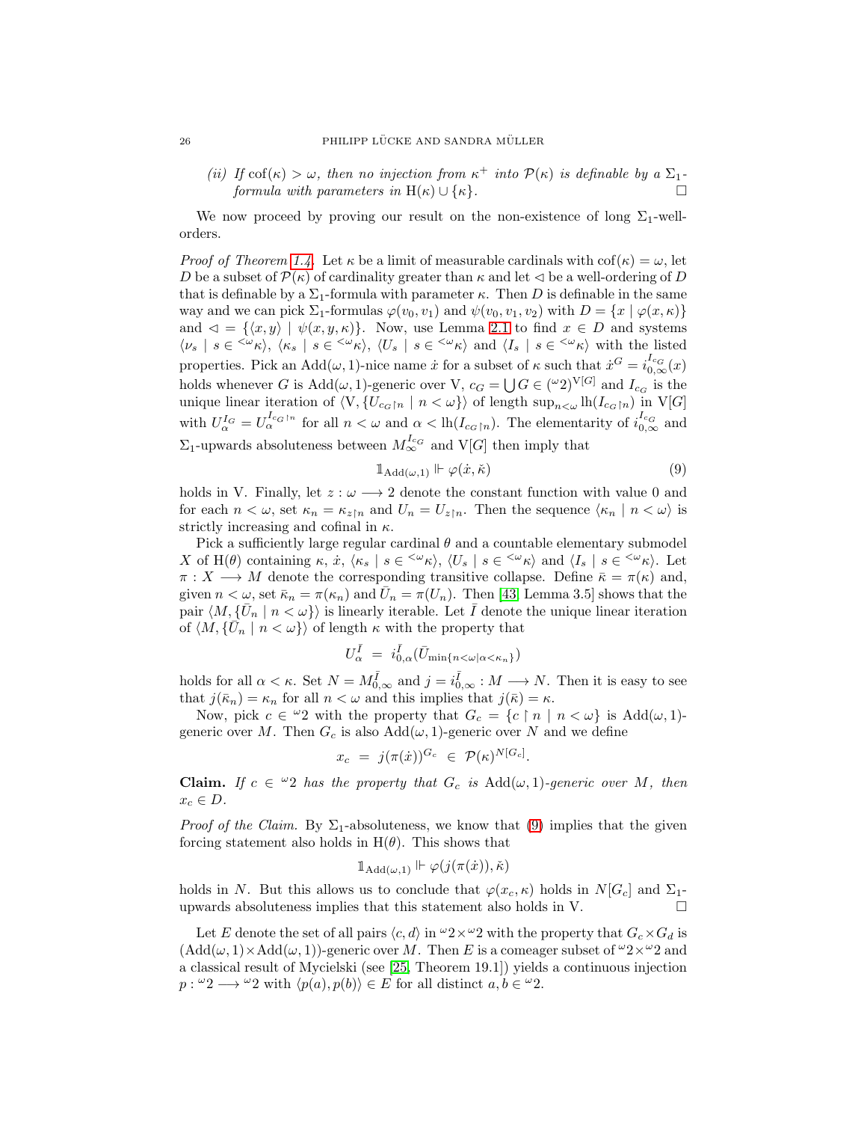*(ii)* If  $\text{cof}(\kappa) > \omega$ , then no injection from  $\kappa^+$  *into*  $\mathcal{P}(\kappa)$  *is definable by a*  $\Sigma_1$ *formula with parameters in*  $H(\kappa) \cup {\kappa}$ .

We now proceed by proving our result on the non-existence of long  $\Sigma_1$ -wellorders.

*Proof of Theorem [1.4.](#page-2-1)* Let  $\kappa$  be a limit of measurable cardinals with  $\cot(\kappa) = \omega$ , let D be a subset of  $\mathcal{P}(\kappa)$  of cardinality greater than  $\kappa$  and let  $\lhd$  be a well-ordering of D that is definable by a  $\Sigma_1$ -formula with parameter  $\kappa$ . Then D is definable in the same way and we can pick  $\Sigma_1$ -formulas  $\varphi(v_0, v_1)$  and  $\psi(v_0, v_1, v_2)$  with  $D = \{x \mid \varphi(x, \kappa)\}\$ and  $\triangleleft = \{ \langle x, y \rangle \mid \psi(x, y, \kappa) \}.$  Now, use Lemma [2.1](#page-4-7) to find  $x \in D$  and systems  $\langle \nu_s | s \in \langle \omega_K \rangle, \ \langle \kappa_s | s \in \langle \omega_K \rangle, \ \langle U_s | s \in \langle \omega_K \rangle \text{ and } \langle I_s | s \in \langle \omega_K \rangle \text{ with the listed }$ properties. Pick an Add $(\omega, 1)$ -nice name  $\dot{x}$  for a subset of  $\kappa$  such that  $\dot{x}^G = i_{0,\infty}^{I_{c_G}}(x)$ holds whenever G is  $Add(\omega, 1)$ -generic over V,  $c_G = \bigcup G \in (^\omega 2)^{V[G]}$  and  $I_{c_G}$  is the unique linear iteration of  $\langle V, \{U_{c_G \upharpoonright n} \mid n < \omega\} \rangle$  of length  $\sup_{n < \omega} \text{lh}(I_{c_G \upharpoonright n})$  in  $V[G]$ with  $U_{\alpha}^{I_G} = U_{\alpha}^{I_{c_G \upharpoonright n}}$  for all  $n < \omega$  and  $\alpha < \text{lh}(I_{c_G \upharpoonright n})$ . The elementarity of  $i_{0,\infty}^{I_{c_G}}$  and  $\Sigma_1$ -upwards absoluteness between  $M_\infty^{I_{c_G}}$  and  $V[G]$  then imply that

<span id="page-25-0"></span>
$$
\mathbb{1}_{\text{Add}(\omega,1)} \Vdash \varphi(\dot{x},\check{\kappa}) \tag{9}
$$

holds in V. Finally, let  $z : \omega \longrightarrow 2$  denote the constant function with value 0 and for each  $n < \omega$ , set  $\kappa_n = \kappa_{z\upharpoonright n}$  and  $U_n = U_{z\upharpoonright n}$ . Then the sequence  $\langle \kappa_n | n < \omega \rangle$  is strictly increasing and cofinal in  $\kappa$ .

Pick a sufficiently large regular cardinal  $\theta$  and a countable elementary submodel X of H( $\theta$ ) containing  $\kappa$ ,  $\dot{x}$ ,  $\langle \kappa_s | s \in \langle \omega \kappa \rangle$ ,  $\langle U_s | s \in \langle \omega \kappa \rangle$  and  $\langle I_s | s \in \langle \omega \kappa \rangle$ . Let  $\pi: X \longrightarrow M$  denote the corresponding transitive collapse. Define  $\bar{\kappa} = \pi(\kappa)$  and, given  $n < \omega$ , set  $\bar{\kappa}_n = \pi(\kappa_n)$  and  $\bar{U}_n = \pi(U_n)$ . Then [\[43,](#page-37-11) Lemma 3.5] shows that the pair  $\langle M, {\{\bar{U}_n \mid n < \omega\}} \rangle$  is linearly iterable. Let  $\bar{I}$  denote the unique linear iteration of  $\langle M, {\{\bar{U}_n \mid n<\omega\}} \rangle$  of length  $\kappa$  with the property that

$$
U^{\bar{I}}_{\alpha} = i^{\bar{I}}_{0,\alpha}(\bar{U}_{\min\{n<\omega|\alpha<\kappa_n\}})
$$

holds for all  $\alpha < \kappa$ . Set  $N = M_{0,\infty}^{\overline{I}}$  and  $j = i_{0,\infty}^{\overline{I}} : M \longrightarrow N$ . Then it is easy to see that  $j(\bar{\kappa}_n) = \kappa_n$  for all  $n < \omega$  and this implies that  $j(\bar{\kappa}) = \kappa$ .

Now, pick  $c \in \omega_2$  with the property that  $G_c = \{c \mid n \mid n < \omega\}$  is  $Add(\omega, 1)$ generic over M. Then  $G_c$  is also  $Add(\omega, 1)$ -generic over N and we define

$$
x_c = j(\pi(\dot{x}))^{G_c} \in \mathcal{P}(\kappa)^{N[G_c]}.
$$

**Claim.** *If*  $c \in \mathcal{L}2$  *has the property that*  $G_c$  *is*  $Add(\omega, 1)$ *-generic over*  $M$ *, then*  $x_c \in D$ .

*Proof of the Claim.* By  $\Sigma_1$ -absoluteness, we know that [\(9\)](#page-25-0) implies that the given forcing statement also holds in  $H(\theta)$ . This shows that

$$
\mathbb{1}_{\text{Add}(\omega,1)} \Vdash \varphi(j(\pi(\dot{x})),\check{\kappa})
$$

holds in N. But this allows us to conclude that  $\varphi(x_c, \kappa)$  holds in  $N[G_c]$  and  $\Sigma_1$ upwards absoluteness implies that this statement also holds in V.  $\Box$ 

Let E denote the set of all pairs  $\langle c, d \rangle$  in  $\omega_2 \times \omega_2$  with the property that  $G_c \times G_d$  is  $(\text{Add}(\omega, 1) \times \text{Add}(\omega, 1))$ -generic over M. Then E is a comeager subset of  $\omega_2 \times \omega_2$  and a classical result of Mycielski (see [\[25,](#page-36-9) Theorem 19.1]) yields a continuous injection  $p: \omega_2 \longrightarrow \omega_2$  with  $\langle p(a), p(b) \rangle \in E$  for all distinct  $a, b \in \omega_2$ .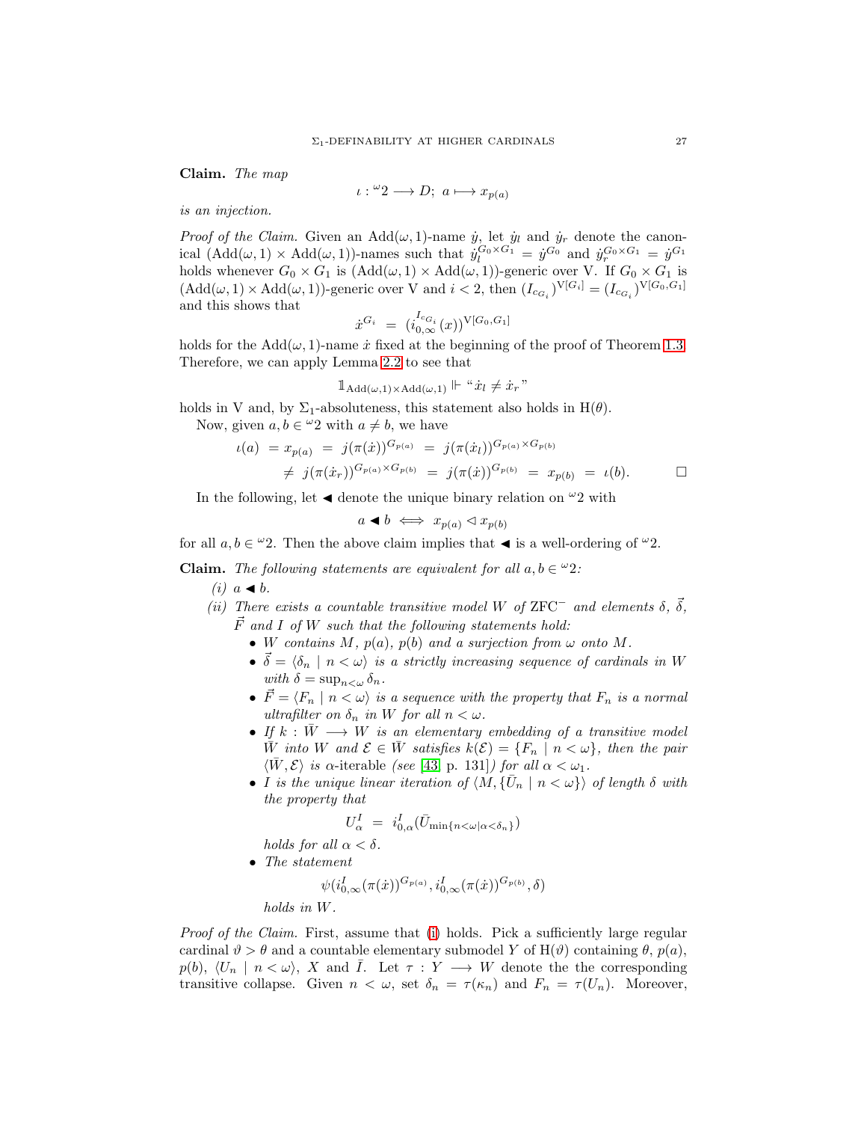Claim. *The map*

$$
\iota: {}^{\omega}2 \longrightarrow D; \ a \longmapsto x_{p(a)}
$$

*is an injection.*

*Proof of the Claim.* Given an  $Add(\omega, 1)$ -name  $\dot{y}$ , let  $\dot{y}_l$  and  $\dot{y}_r$  denote the canonical  $(\text{Add}(\omega, 1) \times \text{Add}(\omega, 1))$ -names such that  $\dot{y}_l^{G_0 \times G_1} = \dot{y}^{G_0}$  and  $\dot{y}_r^{G_0 \times G_1} = \dot{y}^{G_1}$ holds whenever  $G_0 \times G_1$  is  $(Add(\omega, 1) \times Add(\omega, 1))$ -generic over V. If  $G_0 \times G_1$  is  $(\text{Add}(\omega, 1) \times \text{Add}(\omega, 1))$ -generic over V and  $i < 2$ , then  $(I_{c_{G_i}})^{V[G_i]} = (I_{c_{G_i}})^{V[G_0, G_1]}$ and this shows that

$$
\dot x^{G_i}\ =\ (i_{0,\infty}^{I_{c_{G_i}}}(x))^{{\rm V}[G_0,G_1]}
$$

holds for the Add $(\omega, 1)$ -name  $\dot{x}$  fixed at the beginning of the proof of Theorem [1.3.](#page-2-0) Therefore, we can apply Lemma [2.2](#page-7-2) to see that

$$
\mathbb{1}_{\text{Add}(\omega,1)\times \text{Add}(\omega,1)} \Vdash ``\dot{x}_l \neq \dot{x}_r"
$$

holds in V and, by  $\Sigma_1$ -absoluteness, this statement also holds in  $H(\theta)$ .

Now, given  $a, b \in \mathcal{Q}$  with  $a \neq b$ , we have

$$
\begin{array}{lcl}\n\iota(a) & = x_{p(a)} = j(\pi(\dot{x}))^{G_{p(a)}} = j(\pi(\dot{x}_l))^{G_{p(a)} \times G_{p(b)}} \\
& \neq j(\pi(\dot{x}_r))^{G_{p(a)} \times G_{p(b)}} = j(\pi(\dot{x}))^{G_{p(b)}} = x_{p(b)} = \iota(b).\n\end{array} \Box
$$

In the following, let  $\triangleleft$  denote the unique binary relation on  $\omega_2$  with

$$
a \blacktriangleleft b \iff x_{p(a)} \lhd x_{p(b)}
$$

for all  $a, b \in \mathcal{Q}$ . Then the above claim implies that  $\blacktriangleleft$  is a well-ordering of  $\mathcal{Q}$ .

<span id="page-26-1"></span><span id="page-26-0"></span>**Claim.** *The following statements are equivalent for all*  $a, b \in \mathcal{Q}$ *:* 

 $(i)$   $a \triangleleft b$ .

*(ii)* There exists a countable transitive model W of ZFC<sup>−</sup> and elements  $\delta$ ,  $\vec{\delta}$ ,  $\vec{F}$  and I of W such that the following statements hold:

- W *contains*  $M$ *,*  $p(a)$ *,*  $p(b)$  *and a surjection from*  $\omega$  *onto*  $M$ *.*
- $\bullet$   $\vec{\delta} = \langle \delta_n | n \langle \omega \rangle$  *is a strictly increasing sequence of cardinals in* W *with*  $\delta = \sup_{n \leq \omega} \delta_n$ .
- $\vec{F} = \langle F_n | n \langle \omega \rangle$  *is a sequence with the property that*  $F_n$  *is a normal ultrafilter on*  $\delta_n$  *in* W *for all*  $n < \omega$ *.*
- If  $k : \overline{W} \longrightarrow W$  *is an elementary embedding of a transitive model*  $\overline{W}$  *into* W and  $\mathcal{E} \in \overline{W}$  *satisfies*  $k(\mathcal{E}) = \{F_n \mid n < \omega\}$ *, then the pair*  $\langle \bar{W}, \mathcal{E} \rangle$  *is*  $\alpha$ -iterable *(see* [\[43,](#page-37-11) p. 131]*) for all*  $\alpha < \omega_1$ *.*
- I is the unique linear iteration of  $\langle M, {\{\bar{U}_n \mid n < \omega\}} \rangle$  of length  $\delta$  with *the property that*

$$
U_{\alpha}^{I} = i_{0,\alpha}^{I}(\bar{U}_{\min\{n<\omega|\alpha<\delta_{n}\}})
$$

*holds for all*  $\alpha < \delta$ *.* 

• *The statement*

 $\psi(i^I_{0,\infty}(\pi(\dot x))^{G_{p(a)}},i^I_{0,\infty}(\pi(\dot x))^{G_{p(b)}},\delta)$ 

*holds in* W*.*

*Proof of the Claim.* First, assume that [\(i\)](#page-26-0) holds. Pick a sufficiently large regular cardinal  $\vartheta > \theta$  and a countable elementary submodel Y of H( $\vartheta$ ) containing  $\theta$ ,  $p(a)$ ,  $p(b), \langle U_n | n < \omega \rangle$ , X and I. Let  $\tau : Y \longrightarrow W$  denote the the corresponding transitive collapse. Given  $n < \omega$ , set  $\delta_n = \tau(\kappa_n)$  and  $F_n = \tau(U_n)$ . Moreover,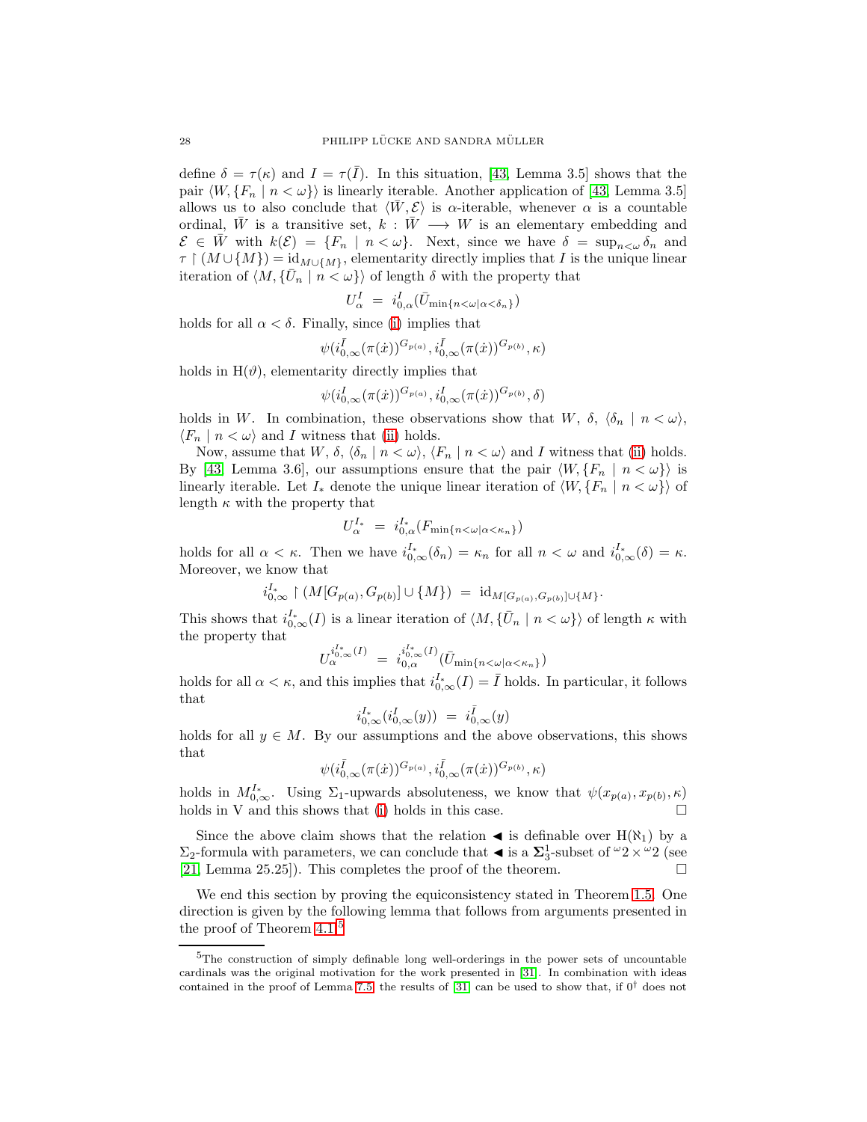define  $\delta = \tau(\kappa)$  and  $I = \tau(\bar{I})$ . In this situation, [\[43,](#page-37-11) Lemma 3.5] shows that the pair  $\langle W, {F_n | n < \omega} \rangle$  is linearly iterable. Another application of [\[43,](#page-37-11) Lemma 3.5] allows us to also conclude that  $\langle W, \mathcal{E} \rangle$  is  $\alpha$ -iterable, whenever  $\alpha$  is a countable ordinal,  $\bar{W}$  is a transitive set,  $k : \bar{W} \longrightarrow W$  is an elementary embedding and  $\mathcal{E} \in \overline{W}$  with  $k(\mathcal{E}) = \{F_n \mid n < \omega\}$ . Next, since we have  $\delta = \sup_{n \leq \omega} \delta_n$  and  $\tau \restriction (M \cup \{M\}) = \mathrm{id}_{M \cup \{M\}}$ , elementarity directly implies that I is the unique linear iteration of  $\langle M, {\{\overline{U}}_n \mid n < \omega \} \rangle$  of length  $\delta$  with the property that

$$
U^I_\alpha~=~i^I_{0,\alpha}(\bar U_{\min\{n<\omega|\alpha<\delta_n\}})
$$

holds for all  $\alpha < \delta$ . Finally, since [\(i\)](#page-26-0) implies that

$$
\psi(i^{\bar I}_{0,\infty}(\pi(\dot x))^{G_{p(a)}},i^{\bar I}_{0,\infty}(\pi(\dot x))^{G_{p(b)}},\kappa)
$$

holds in  $H(\vartheta)$ , elementarity directly implies that

$$
\psi(i^I_{0,\infty}(\pi(\dot{x}))^{G_{p(a)}}, i^I_{0,\infty}(\pi(\dot{x}))^{G_{p(b)}}, \delta)
$$

holds in W. In combination, these observations show that W,  $\delta$ ,  $\langle \delta_n | n < \omega \rangle$ ,  $\langle F_n | n < \omega \rangle$  and I witness that [\(ii\)](#page-26-1) holds.

Now, assume that W,  $\delta$ ,  $\langle \delta_n | n < \omega \rangle$ ,  $\langle F_n | n < \omega \rangle$  and I witness that [\(ii\)](#page-26-1) holds. By [\[43,](#page-37-11) Lemma 3.6], our assumptions ensure that the pair  $\langle W, {F_n | n < \omega} \rangle$  is linearly iterable. Let  $I_*$  denote the unique linear iteration of  $\langle W, {F_n | n < \omega} \rangle$  of length  $\kappa$  with the property that

$$
U_{\alpha}^{I_*} = i_{0,\alpha}^{I_*} (F_{\min\{n<\omega|\alpha<\kappa_n\}})
$$

holds for all  $\alpha < \kappa$ . Then we have  $i_{0,\infty}^{I_*}(\delta_n) = \kappa_n$  for all  $n < \omega$  and  $i_{0,\infty}^{I_*}(\delta) = \kappa$ . Moreover, we know that

$$
i_{0,\infty}^{I_*} \upharpoonright (M[G_{p(a)}, G_{p(b)}] \cup \{M\}) = \mathrm{id}_{M[G_{p(a)}, G_{p(b)}] \cup \{M\}}.
$$

This shows that  $i_{0,\infty}^{I_*}(I)$  is a linear iteration of  $\langle M, {\{\overline{U}}_n | n < \omega \} \rangle$  of length  $\kappa$  with the property that

$$
U_{\alpha}^{i_{0,\infty}^{I*}(I)} = i_{0,\alpha}^{i_{0,\infty}^{I*}(I)}(\bar{U}_{\min\{n<\omega|\alpha<\kappa_{n}\}})
$$

holds for all  $\alpha < \kappa$ , and this implies that  $i_{0,\infty}^{I_*}(I) = \overline{I}$  holds. In particular, it follows that

$$
i^{I_*}_{0,\infty}(i^I_{0,\infty}(y))\,\,=\,\,i^{\bar I}_{0,\infty}(y)
$$

holds for all  $y \in M$ . By our assumptions and the above observations, this shows that

$$
\psi(i^{\bar{I}}_{0,\infty}(\pi(\dot{x}))^{G_{p(a)}}, i^{\bar{I}}_{0,\infty}(\pi(\dot{x}))^{G_{p(b)}}, \kappa)
$$

holds in  $M_{0,\infty}^{I_*}$ . Using  $\Sigma_1$ -upwards absoluteness, we know that  $\psi(x_{p(a)}, x_{p(b)}, \kappa)$ holds in V and this shows that [\(i\)](#page-26-0) holds in this case.  $\Box$ 

Since the above claim shows that the relation  $\blacktriangleleft$  is definable over  $H(\aleph_1)$  by a  $\Sigma_2$ -formula with parameters, we can conclude that  $\blacktriangleleft$  is a  $\Sigma_3^1$ -subset of  $\omega_2 \times \omega_2$  (see  $[21, \text{ Lemma } 25.25]$  $[21, \text{ Lemma } 25.25]$ . This completes the proof of the theorem.

We end this section by proving the equiconsistency stated in Theorem [1.5.](#page-3-1) One direction is given by the following lemma that follows from arguments presented in the proof of Theorem [4.1.](#page-11-1)<sup>[5](#page-27-0)</sup>

<span id="page-27-0"></span><sup>5</sup>The construction of simply definable long well-orderings in the power sets of uncountable cardinals was the original motivation for the work presented in [\[31\]](#page-37-14). In combination with ideas contained in the proof of Lemma [7.5,](#page-28-0) the results of [\[31\]](#page-37-14) can be used to show that, if  $0^{\dagger}$  does not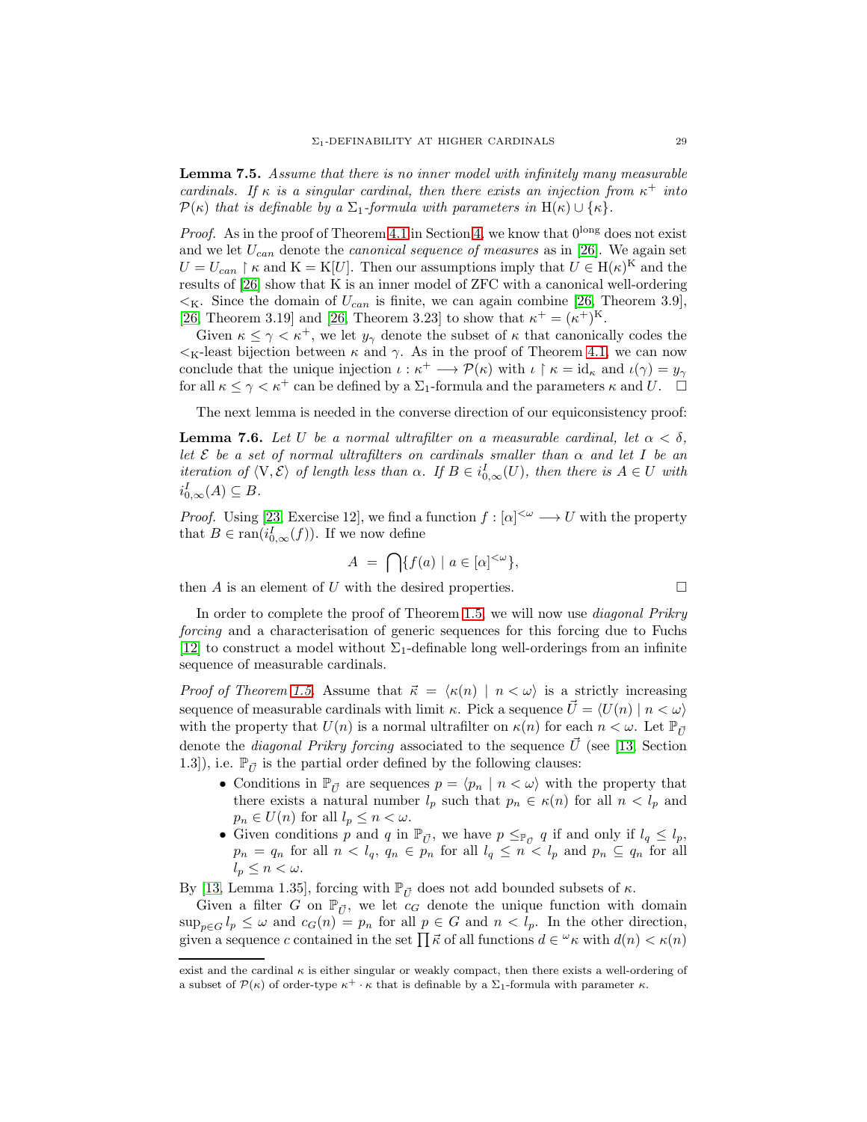<span id="page-28-0"></span>Lemma 7.5. *Assume that there is no inner model with infinitely many measurable cardinals.* If  $\kappa$  *is a singular cardinal, then there exists an injection from*  $\kappa^+$  *into*  $\mathcal{P}(\kappa)$  *that is definable by a*  $\Sigma_1$ -formula with parameters in H( $\kappa$ )  $\cup$  { $\kappa$ }.

*Proof.* As in the proof of Theorem [4.1](#page-11-1) in Section [4,](#page-11-0) we know that  $0^{\text{long}}$  does not exist and we let  $U_{can}$  denote the *canonical sequence of measures* as in [\[26\]](#page-36-2). We again set  $U = U_{can} \restriction \kappa$  and  $K = K[U]$ . Then our assumptions imply that  $U \in H(\kappa)^K$  and the results of [\[26\]](#page-36-2) show that K is an inner model of ZFC with a canonical well-ordering  $\langle K \rangle$ . Since the domain of  $U_{can}$  is finite, we can again combine [\[26,](#page-36-2) Theorem 3.9], [\[26,](#page-36-2) Theorem 3.19] and [\[26,](#page-36-2) Theorem 3.23] to show that  $\kappa^+ = (\kappa^+)^K$ .

Given  $\kappa \leq \gamma < \kappa^+$ , we let  $y_\gamma$  denote the subset of  $\kappa$  that canonically codes the  $\lt_{K}$ -least bijection between  $\kappa$  and  $\gamma$ . As in the proof of Theorem [4.1,](#page-11-1) we can now conclude that the unique injection  $\iota : \kappa^+ \longrightarrow \mathcal{P}(\kappa)$  with  $\iota \restriction \kappa = \mathrm{id}_{\kappa}$  and  $\iota(\gamma) = y_{\gamma}$ for all  $\kappa \leq \gamma < \kappa^+$  can be defined by a  $\Sigma_1$ -formula and the parameters  $\kappa$  and  $U$ .  $\Box$ 

The next lemma is needed in the converse direction of our equiconsistency proof:

<span id="page-28-1"></span>**Lemma 7.6.** Let U be a normal ultrafilter on a measurable cardinal, let  $\alpha < \delta$ , *let* E *be a set of normal ultrafilters on cardinals smaller than* α *and let* I *be an iteration of*  $\langle V, \mathcal{E} \rangle$  *of length less than*  $\alpha$ *. If*  $B \in i_{0,\infty}^I(U)$ *, then there is*  $A \in U$  *with*  $i_{0,\infty}^I(A) \subseteq B$ .

*Proof.* Using [\[23,](#page-36-3) Exercise 12], we find a function  $f : [\alpha]^{<\omega} \longrightarrow U$  with the property that  $B \in \text{ran}(i_{0,\infty}^I(f))$ . If we now define

$$
A = \bigcap \{ f(a) \mid a \in [\alpha]^{<\omega} \},
$$

then A is an element of U with the desired properties.

In order to complete the proof of Theorem 1.5, we will now use *diagonal Prikry forcing* and a characterization of generic sequences for this forcing due to Fuchs [12] to construct a model without 
$$
\Sigma_1
$$
-definable long well-orderings from an infinite sequence of measurable cardinals.

*Proof of Theorem [1.5.](#page-3-1)* Assume that  $\vec{\kappa} = \langle \kappa(n) | n \langle \omega \rangle$  is a strictly increasing sequence of measurable cardinals with limit  $\kappa$ . Pick a sequence  $\vec{U} = \langle U(n) | n < \omega \rangle$ with the property that  $U(n)$  is a normal ultrafilter on  $\kappa(n)$  for each  $n < \omega$ . Let  $\mathbb{P}_{\vec{n}}$ denote the *diagonal Prikry forcing* associated to the sequence  $\vec{U}$  (see [\[13,](#page-36-16) Section 1.3]), i.e.  $\mathbb{P}_{\vec{l}}$  is the partial order defined by the following clauses:

- Conditions in  $\mathbb{P}_{\vec{U}}$  are sequences  $p = \langle p_n | n \langle \omega \rangle$  with the property that there exists a natural number  $l_p$  such that  $p_n \in \kappa(n)$  for all  $n \lt l_p$  and  $p_n \in U(n)$  for all  $l_p \leq n < \omega$ .
- Given conditions p and q in  $\mathbb{P}_{\vec{U}}$ , we have  $p \leq_{\mathbb{P}_{\vec{U}}} q$  if and only if  $l_q \leq l_p$ ,  $p_n = q_n$  for all  $n < l_q$ ,  $q_n \in p_n$  for all  $l_q \leq n < l_p$  and  $p_n \subseteq q_n$  for all  $l_p \leq n < \omega$ .

By [\[13,](#page-36-16) Lemma 1.35], forcing with  $\mathbb{P}_{\vec{U}}$  does not add bounded subsets of  $\kappa$ .

Given a filter G on  $\mathbb{P}_{\vec{U}}$ , we let  $c_G$  denote the unique function with domain  $\sup_{p\in G}l_p\leq \omega$  and  $c_G(n)=p_n$  for all  $p\in G$  and  $n. In the other direction,$ given a sequence c contained in the set  $\prod \vec{\kappa}$  of all functions  $d \in \alpha^k$  with  $d(n) < \kappa(n)$ 

$$
\Box
$$

exist and the cardinal  $\kappa$  is either singular or weakly compact, then there exists a well-ordering of a subset of  $\mathcal{P}(\kappa)$  of order-type  $\kappa^+ \cdot \kappa$  that is definable by a  $\Sigma_1$ -formula with parameter  $\kappa$ .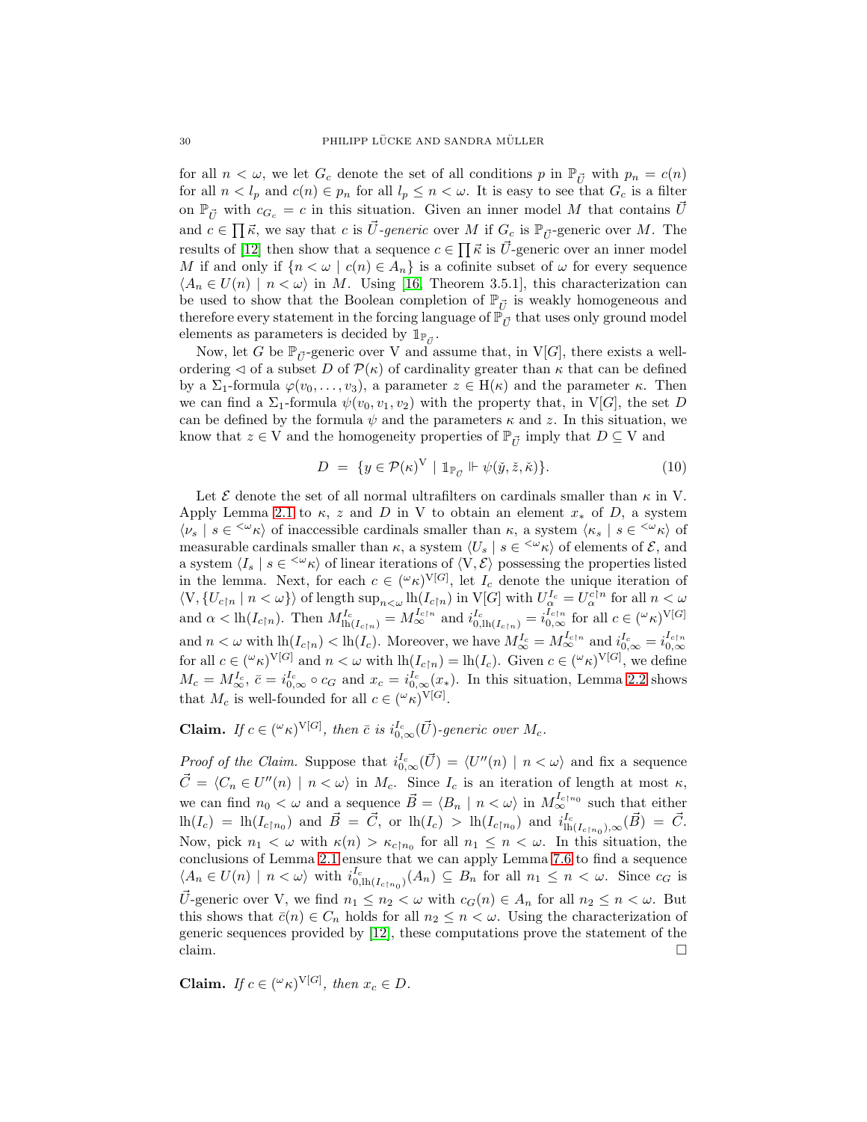for all  $n < \omega$ , we let  $G_c$  denote the set of all conditions p in  $\mathbb{P}_{U}$  with  $p_n = c(n)$ for all  $n < l_p$  and  $c(n) \in p_n$  for all  $l_p \leq n < \omega$ . It is easy to see that  $G_c$  is a filter on  $\mathbb{P}_{\vec{U}}$  with  $c_{G_c} = c$  in this situation. Given an inner model M that contains  $\vec{U}$ and  $c \in \prod \vec{\kappa}$ , we say that c is  $\vec{U}$ -generic over M if  $G_c$  is  $\mathbb{P}_{\vec{U}}$ -generic over M. The results of [\[12\]](#page-36-15) then show that a sequence  $c \in \prod \vec{\kappa}$  is  $\vec{U}$ -generic over an inner model M if and only if  $\{n < \omega \mid c(n) \in A_n\}$  is a cofinite subset of  $\omega$  for every sequence  $\langle A_n \in U(n) \mid n < \omega \rangle$  in M. Using [\[16,](#page-36-17) Theorem 3.5.1], this characterization can be used to show that the Boolean completion of  $\mathbb{P}_{\vec{l}}$  is weakly homogeneous and therefore every statement in the forcing language of  $\mathbb{P}_{\vec{U}}$  that uses only ground model elements as parameters is decided by  $\mathbbm{1}_{\mathbb{P}_{\vec{U}}}.$ 

Now, let G be  $\mathbb{P}_{\vec{U}}$ -generic over V and assume that, in V[G], there exists a wellordering  $\triangleleft$  of a subset D of  $\mathcal{P}(\kappa)$  of cardinality greater than  $\kappa$  that can be defined by a  $\Sigma_1$ -formula  $\varphi(v_0,\ldots,v_3)$ , a parameter  $z \in H(\kappa)$  and the parameter  $\kappa$ . Then we can find a  $\Sigma_1$ -formula  $\psi(v_0, v_1, v_2)$  with the property that, in V[G], the set D can be defined by the formula  $\psi$  and the parameters  $\kappa$  and z. In this situation, we know that  $z \in V$  and the homogeneity properties of  $\mathbb{P}_{\vec{U}}$  imply that  $D \subseteq V$  and

<span id="page-29-0"></span>
$$
D = \{ y \in \mathcal{P}(\kappa)^{\mathcal{V}} \mid \mathbb{1}_{\mathbb{P}_{\vec{U}}} \Vdash \psi(\check{y}, \check{z}, \check{\kappa}) \}. \tag{10}
$$

Let  $\mathcal E$  denote the set of all normal ultrafilters on cardinals smaller than  $\kappa$  in V. Apply Lemma [2.1](#page-4-7) to  $\kappa$ , z and D in V to obtain an element  $x_*$  of D, a system  $\langle \nu_s | s \in \langle \nu_\kappa \rangle$  of inaccessible cardinals smaller than  $\kappa$ , a system  $\langle \kappa_s | s \in \langle \nu_\kappa \rangle$  of measurable cardinals smaller than  $\kappa$ , a system  $\langle U_s | s \in \langle \omega \kappa \rangle$  of elements of  $\mathcal{E}$ , and a system  $\langle I_s | s \in \langle \omega_{\kappa} \rangle$  of linear iterations of  $\langle V, \mathcal{E} \rangle$  possessing the properties listed in the lemma. Next, for each  $c \in (\alpha \kappa)^{V[G]}$ , let  $I_c$  denote the unique iteration of  $\langle V, \{U_{c \upharpoonright n} \mid n < \omega\} \rangle$  of length  $\sup_{n < \omega}$   $\ln(I_{c \upharpoonright n})$  in  $V[G]$  with  $U_{\alpha}^{I_c} = U_{\alpha}^{c \upharpoonright n}$  for all  $n < \omega$ and  $\alpha < \text{lh}(I_{c\upharpoonright n})$ . Then  $M_{\text{lh}(I_{c\upharpoonright n})}^{I_c} = M_{\infty}^{I_{c\upharpoonright n}}$  and  $i_{0,\text{lh}(I_{c\upharpoonright n})}^{I_c} = i_{0,\infty}^{I_{c\upharpoonright n}}$  for all  $c \in (\alpha \kappa)^{\text{V}[G]}$ and  $n < \omega$  with  $\ln(I_{c\upharpoonright n}) < \ln(I_c)$ . Moreover, we have  $M_{\infty}^{I_c} = M_{\infty}^{I_{c\upharpoonright n}}$  and  $i_{0,\infty}^{I_c} = i_{0,\infty}^{I_{c\upharpoonright n}}$ for all  $c \in (\omega_{\kappa})^{\mathrm{V}[G]}$  and  $n < \omega$  with  $\mathrm{lh}(I_{c}{}_{n}) = \mathrm{lh}(I_{c})$ . Given  $c \in (\omega_{\kappa})^{\mathrm{V}[G]}$ , we define  $M_c = M_{\infty}^{I_c}$ ,  $\bar{c} = i_{0,\infty}^{I_c} \circ c_G$  and  $x_c = i_{0,\infty}^{I_c}(x_*)$ . In this situation, Lemma [2.2](#page-7-2) shows that  $M_c$  is well-founded for all  $c \in (\omega_K)^{V[G]}$ .

**Claim.** *If*  $c \in (\alpha \kappa)^{V[G]}$ , then  $\bar{c}$  is  $i_{0,\infty}^{\bar{l}c}(\vec{U})$ -generic over  $M_c$ .

*Proof of the Claim.* Suppose that  $i_{0,\infty}^{I_c}(\vec{U}) = \langle U''(n) | n < \omega \rangle$  and fix a sequence  $\vec{C} = \langle C_n \in U''(n) \mid n \langle \omega \rangle$  in  $M_c$ . Since  $I_c$  is an iteration of length at most  $\kappa$ , we can find  $n_0 < \omega$  and a sequence  $\vec{B} = \langle B_n \mid n < \omega \rangle$  in  $M_{\infty}^{I_{c} \nmid n_0}$  such that either  $\ln(I_c) = \ln(I_{c\upharpoonright n_0})$  and  $\vec{B} = \vec{C}$ , or  $\ln(I_c) > \ln(I_{c\upharpoonright n_0})$  and  $i_{\ln(I_{c\upharpoonright n_0}),\infty}^{I_c}(\vec{B}) = \vec{C}$ . Now, pick  $n_1 < \omega$  with  $\kappa(n) > \kappa_{c \restriction n_0}$  for all  $n_1 \leq n < \omega$ . In this situation, the conclusions of Lemma [2.1](#page-4-7) ensure that we can apply Lemma [7.6](#page-28-1) to find a sequence  $\langle A_n \in U(n) \mid n < \omega \rangle$  with  $i_{0, \ln(I_{c \restriction n_0})}^{I_c}(A_n) \subseteq B_n$  for all  $n_1 \leq n < \omega$ . Since  $c_G$  is U-generic over V, we find  $n_1 \leq n_2 < \omega$  with  $c_G(n) \in A_n$  for all  $n_2 \leq n < \omega$ . But this shows that  $\bar{c}(n) \in C_n$  holds for all  $n_2 \leq n < \omega$ . Using the characterization of generic sequences provided by [\[12\]](#page-36-15), these computations prove the statement of the claim.  $\Box$ 

**Claim.** *If*  $c \in (\alpha \kappa)^{V[G]}$ *, then*  $x_c \in D$ *.*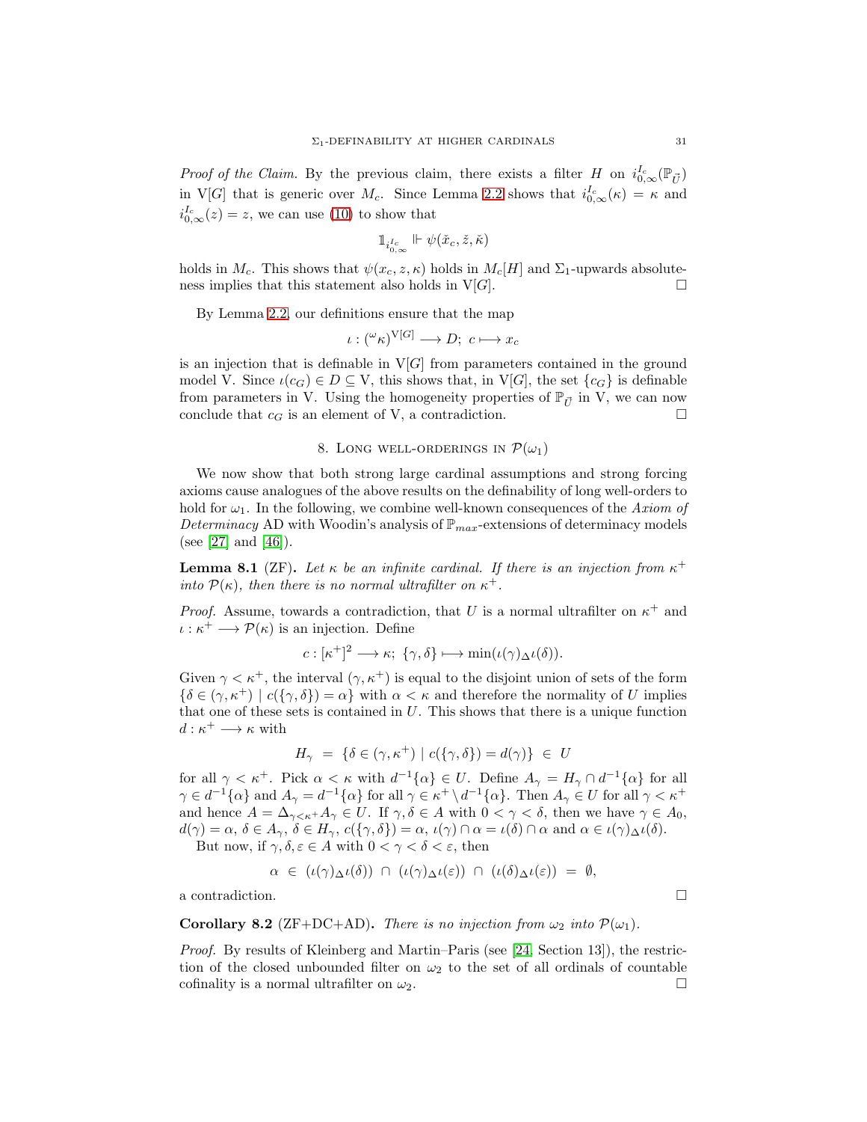*Proof of the Claim.* By the previous claim, there exists a filter H on  $i_{0,\infty}^{I_c}(\mathbb{P}_{\vec{U}})$ in V[G] that is generic over  $M_c$ . Since Lemma [2.2](#page-7-2) shows that  $i_{0,\infty}^{I_c}(\kappa) = \kappa$  and  $i_{0,\infty}^{I_c}(z) = z$ , we can use [\(10\)](#page-29-0) to show that

$$
\mathbb{1}_{i^{I_c}_{0,\infty}} \Vdash \psi(\check{x}_c,\check{z},\check{\kappa})
$$

holds in  $M_c$ . This shows that  $\psi(x_c, z, \kappa)$  holds in  $M_c[H]$  and  $\Sigma_1$ -upwards absoluteness implies that this statement also holds in  $V[G]$ .

By Lemma [2.2,](#page-7-2) our definitions ensure that the map

$$
\iota:({}^{\omega}\kappa)^{\operatorname{V}[G]}\longrightarrow D; c\longmapsto x_c
$$

is an injection that is definable in  $V[G]$  from parameters contained in the ground model V. Since  $\iota(c_G) \in D \subseteq V$ , this shows that, in V[G], the set  $\{c_G\}$  is definable from parameters in V. Using the homogeneity properties of  $\mathbb{P}_{\vec{U}}$  in V, we can now conclude that  $c_G$  is an element of V, a contradiction. conclude that  $c_G$  is an element of V, a contradiction.

# 8. LONG WELL-ORDERINGS IN  $\mathcal{P}(\omega_1)$

We now show that both strong large cardinal assumptions and strong forcing axioms cause analogues of the above results on the definability of long well-orders to hold for  $\omega_1$ . In the following, we combine well-known consequences of the *Axiom of Determinacy* AD with Woodin's analysis of  $\mathbb{P}_{max}$ -extensions of determinacy models (see [\[27\]](#page-36-18) and [\[46\]](#page-37-10)).

**Lemma 8.1** (ZF). Let  $\kappa$  be an infinite cardinal. If there is an injection from  $\kappa^+$ *into*  $\mathcal{P}(\kappa)$ *, then there is no normal ultrafilter on*  $\kappa^+$ *.* 

*Proof.* Assume, towards a contradiction, that U is a normal ultrafilter on  $\kappa^+$  and  $\iota : \kappa^+ \longrightarrow \mathcal{P}(\kappa)$  is an injection. Define

$$
c: [\kappa^+]^2 \longrightarrow \kappa; \ \{\gamma, \delta\} \longmapsto \min(\iota(\gamma)_{\Delta} \iota(\delta)).
$$

Given  $\gamma < \kappa^+$ , the interval  $(\gamma, \kappa^+)$  is equal to the disjoint union of sets of the form  $\{\delta \in (\gamma, \kappa^+) \mid c(\{\gamma, \delta\}) = \alpha\}$  with  $\alpha < \kappa$  and therefore the normality of U implies that one of these sets is contained in  $U$ . This shows that there is a unique function  $d:\kappa^+\longrightarrow \kappa$  with

$$
H_{\gamma} = \{ \delta \in (\gamma, \kappa^{+}) \mid c(\{\gamma, \delta\}) = d(\gamma) \} \in U
$$

for all  $\gamma < \kappa^+$ . Pick  $\alpha < \kappa$  with  $d^{-1}\{\alpha\} \in U$ . Define  $A_{\gamma} = H_{\gamma} \cap d^{-1}\{\alpha\}$  for all  $\gamma \in d^{-1}\{\alpha\}$  and  $A_{\gamma} = d^{-1}\{\alpha\}$  for all  $\gamma \in \kappa^+ \setminus d^{-1}\{\alpha\}$ . Then  $A_{\gamma} \in U$  for all  $\gamma < \kappa^+$ and hence  $A = \Delta_{\gamma \leq \kappa^+} A_{\gamma} \in U$ . If  $\gamma, \delta \in A$  with  $0 < \gamma < \delta$ , then we have  $\gamma \in A_0$ ,  $d(\gamma) = \alpha, \, \delta \in A_{\gamma}, \, \delta \in H_{\gamma}, \, c(\{\gamma, \delta\}) = \alpha, \, \iota(\gamma) \cap \alpha = \iota(\delta) \cap \alpha$  and  $\alpha \in \iota(\gamma)_{\Delta} \iota(\delta)$ .

But now, if  $\gamma, \delta, \varepsilon \in A$  with  $0 < \gamma < \delta < \varepsilon$ , then

$$
\alpha \in (\iota(\gamma)_{\Delta}\iota(\delta)) \,\cap\, (\iota(\gamma)_{\Delta}\iota(\varepsilon)) \,\cap\, (\iota(\delta)_{\Delta}\iota(\varepsilon)) \,=\, \emptyset,
$$

a contradiction.  $\hfill \square$ 

<span id="page-30-0"></span>**Corollary 8.2** (ZF+DC+AD). *There is no injection from* 
$$
\omega_2
$$
 *into*  $\mathcal{P}(\omega_1)$ .

*Proof.* By results of Kleinberg and Martin–Paris (see [\[24,](#page-36-19) Section 13]), the restriction of the closed unbounded filter on  $\omega_2$  to the set of all ordinals of countable cofinality is a normal ultrafilter on  $\omega_2$ .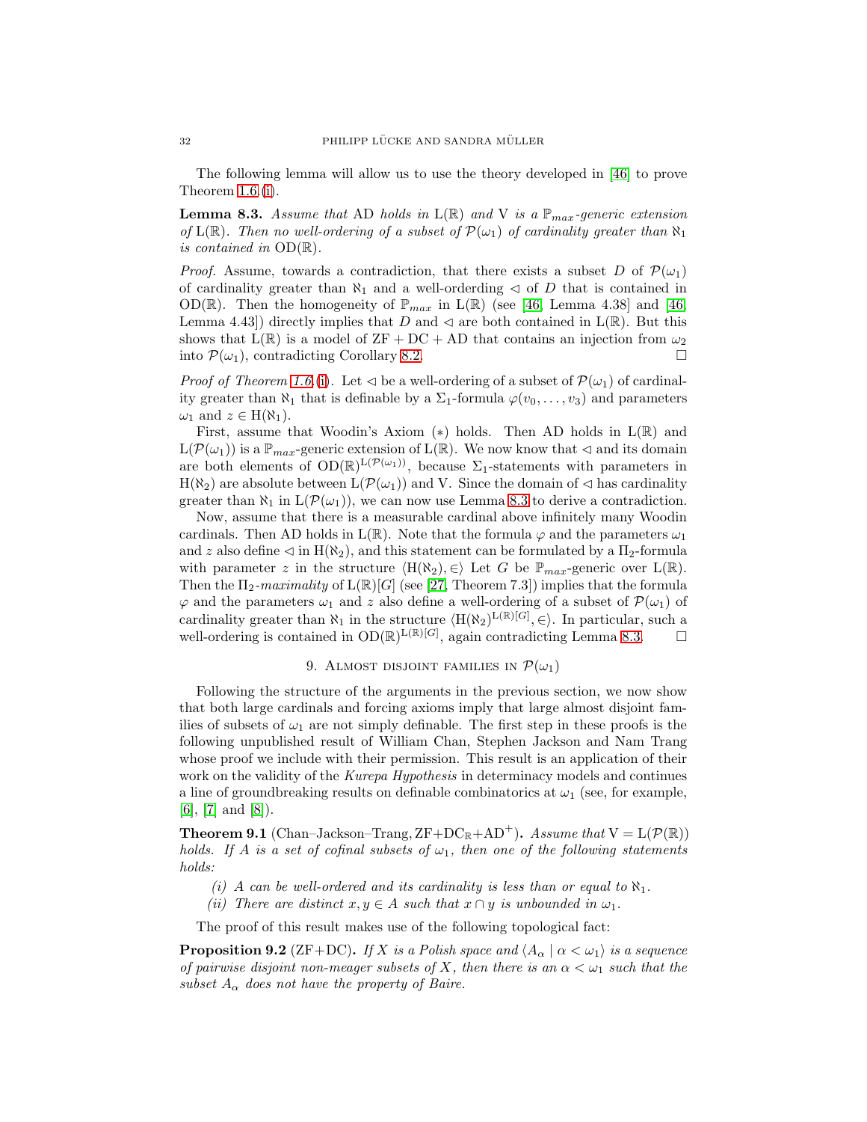The following lemma will allow us to use the theory developed in [\[46\]](#page-37-10) to prove Theorem [1.6.](#page-3-2)[\(i\)](#page-3-3).

<span id="page-31-1"></span>**Lemma 8.3.** Assume that AD holds in  $L(\mathbb{R})$  and V is a  $\mathbb{P}_{max}$ -generic extension *of*  $L(\mathbb{R})$ *. Then no well-ordering of a subset of*  $\mathcal{P}(\omega_1)$  *of cardinality greater than*  $\aleph_1$ *is contained in* OD(R)*.*

*Proof.* Assume, towards a contradiction, that there exists a subset D of  $\mathcal{P}(\omega_1)$ of cardinality greater than  $\aleph_1$  and a well-orderding  $\triangleleft$  of D that is contained in OD(R). Then the homogeneity of  $\mathbb{P}_{max}$  in  $L(\mathbb{R})$  (see [\[46,](#page-37-10) Lemma 4.38] and [46, Lemma 4.43)) directly implies that D and  $\triangleleft$  are both contained in L(R). But this shows that  $L(\mathbb{R})$  is a model of  $ZF + DC + AD$  that contains an injection from  $\omega_2$ into  $\mathcal{P}(\omega_1)$ , contradicting Corollary [8.2.](#page-30-0)

*Proof of Theorem [1.6.](#page-3-2)*[\(i\)](#page-3-3). Let  $\triangleleft$  be a well-ordering of a subset of  $\mathcal{P}(\omega_1)$  of cardinality greater than  $\aleph_1$  that is definable by a  $\Sigma_1$ -formula  $\varphi(v_0, \ldots, v_3)$  and parameters  $\omega_1$  and  $z \in H(\aleph_1)$ .

First, assume that Woodin's Axiom  $(*)$  holds. Then AD holds in  $L(\mathbb{R})$  and  $L(\mathcal{P}(\omega_1))$  is a  $\mathbb{P}_{max}$ -generic extension of  $L(\mathbb{R})$ . We now know that  $\triangleleft$  and its domain are both elements of  $OD(\mathbb{R})^{\mathbb{L}(\mathcal{P}(\omega_1))}$ , because  $\Sigma_1$ -statements with parameters in  $H(\aleph_2)$  are absolute between  $L(\mathcal{P}(\omega_1))$  and V. Since the domain of  $\triangleleft$  has cardinality greater than  $\aleph_1$  in  $L(\mathcal{P}(\omega_1))$ , we can now use Lemma [8.3](#page-31-1) to derive a contradiction.

Now, assume that there is a measurable cardinal above infinitely many Woodin cardinals. Then AD holds in  $L(\mathbb{R})$ . Note that the formula  $\varphi$  and the parameters  $\omega_1$ and z also define  $\lhd$  in H( $\aleph_2$ ), and this statement can be formulated by a  $\Pi_2$ -formula with parameter z in the structure  $\langle H(\aleph_2), \in \rangle$  Let G be  $\mathbb{P}_{max}$ -generic over L(R). Then the  $\Pi_2$ -maximality of  $L(\mathbb{R})[G]$  (see [\[27,](#page-36-18) Theorem 7.3]) implies that the formula  $\varphi$  and the parameters  $\omega_1$  and z also define a well-ordering of a subset of  $\mathcal{P}(\omega_1)$  of cardinality greater than  $\aleph_1$  in the structure  $\langle H(\aleph_2)^{L(\mathbb{R})[G]}, \in \rangle$ . In particular, such a well-ordering is contained in  $OD(\mathbb{R})^{\mathbb{L}(\mathbb{R})[G]}$ , again contradicting Lemma [8.3.](#page-31-1)  $\Box$ 

### 9. ALMOST DISJOINT FAMILIES IN  $\mathcal{P}(\omega_1)$

<span id="page-31-3"></span>Following the structure of the arguments in the previous section, we now show that both large cardinals and forcing axioms imply that large almost disjoint families of subsets of  $\omega_1$  are not simply definable. The first step in these proofs is the following unpublished result of William Chan, Stephen Jackson and Nam Trang whose proof we include with their permission. This result is an application of their work on the validity of the *Kurepa Hypothesis* in determinacy models and continues a line of groundbreaking results on definable combinatorics at  $\omega_1$  (see, for example, [\[6\]](#page-36-20), [\[7\]](#page-36-21) and [\[8\]](#page-36-22)).

<span id="page-31-0"></span>**Theorem 9.1** (Chan–Jackson–Trang,  $ZF+DC_{\mathbb{R}}+AD^+$ ). Assume that  $V = L(\mathcal{P}(\mathbb{R}))$ *holds.* If A is a set of cofinal subsets of  $\omega_1$ , then one of the following statements *holds:*

- *(i)* A can be well-ordered and its cardinality is less than or equal to  $\aleph_1$ .
- *(ii)* There are distinct  $x, y \in A$  such that  $x \cap y$  is unbounded in  $\omega_1$ *.*

The proof of this result makes use of the following topological fact:

<span id="page-31-2"></span>**Proposition 9.2** (ZF+DC). *If* X *is a Polish space and*  $\langle A_{\alpha} | \alpha < \omega_1 \rangle$  *is a sequence of pairwise disjoint non-meager subsets of* X, then there is an  $\alpha < \omega_1$  such that the *subset*  $A_{\alpha}$  *does not have the property of Baire.*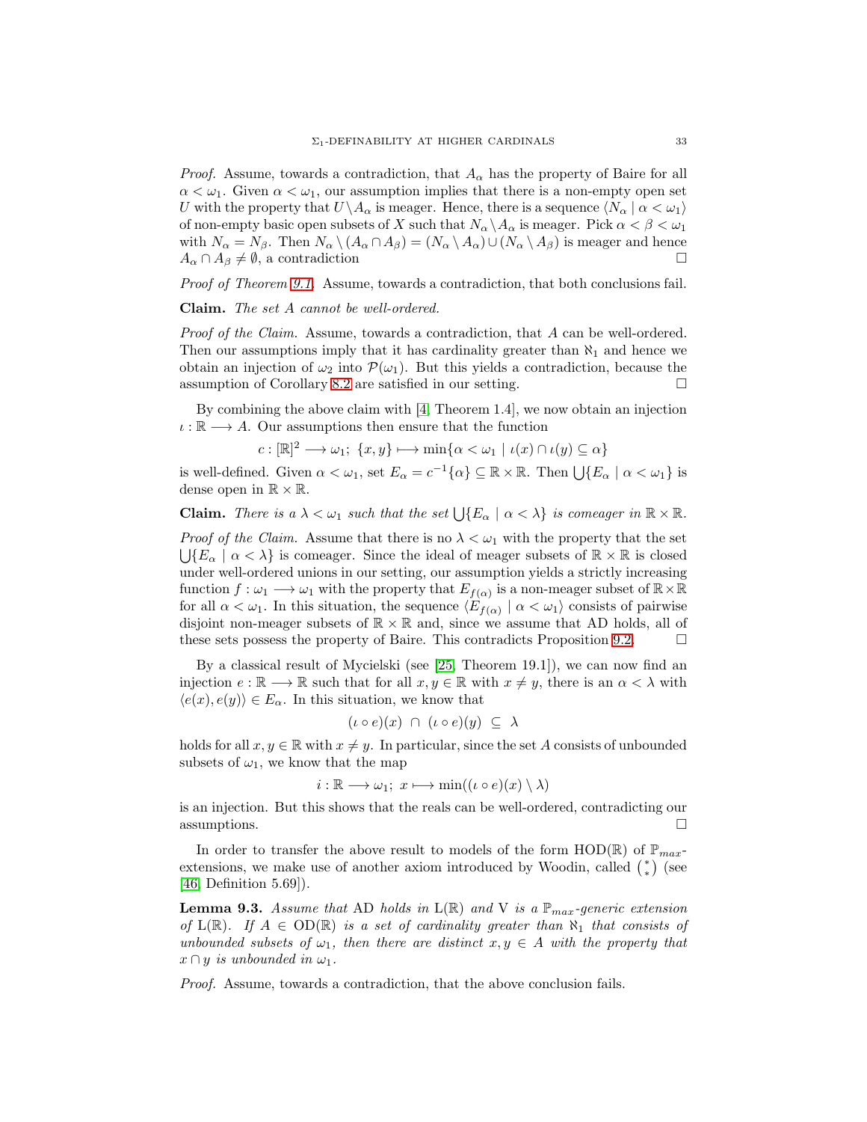*Proof.* Assume, towards a contradiction, that  $A_{\alpha}$  has the property of Baire for all  $\alpha < \omega_1$ . Given  $\alpha < \omega_1$ , our assumption implies that there is a non-empty open set U with the property that  $U\setminus A_\alpha$  is meager. Hence, there is a sequence  $\langle N_\alpha | \alpha < \omega_1 \rangle$ of non-empty basic open subsets of X such that  $N_{\alpha} \setminus A_{\alpha}$  is meager. Pick  $\alpha < \beta < \omega_1$ with  $N_{\alpha} = N_{\beta}$ . Then  $N_{\alpha} \setminus (A_{\alpha} \cap A_{\beta}) = (N_{\alpha} \setminus A_{\alpha}) \cup (N_{\alpha} \setminus A_{\beta})$  is meager and hence  $A_{\alpha} \cap A_{\beta} \neq \emptyset$ , a contradiction

*Proof of Theorem [9.1.](#page-31-0)* Assume, towards a contradiction, that both conclusions fail.

Claim. *The set* A *cannot be well-ordered.*

*Proof of the Claim.* Assume, towards a contradiction, that A can be well-ordered. Then our assumptions imply that it has cardinality greater than  $\aleph_1$  and hence we obtain an injection of  $\omega_2$  into  $\mathcal{P}(\omega_1)$ . But this yields a contradiction, because the assumption of Corollary [8.2](#page-30-0) are satisfied in our setting.  $\Box$ 

By combining the above claim with [\[4,](#page-36-23) Theorem 1.4], we now obtain an injection  $\iota : \mathbb{R} \longrightarrow A$ . Our assumptions then ensure that the function

 $c : [\mathbb{R}]^2 \longrightarrow \omega_1; \ \{x, y\} \longmapsto \min\{\alpha < \omega_1 \mid \iota(x) \cap \iota(y) \subseteq \alpha\}$ 

is well-defined. Given  $\alpha < \omega_1$ , set  $E_\alpha = c^{-1}\{\alpha\} \subseteq \mathbb{R} \times \mathbb{R}$ . Then  $\bigcup \{E_\alpha \mid \alpha < \omega_1\}$  is dense open in  $\mathbb{R} \times \mathbb{R}$ .

**Claim.** *There is a*  $\lambda < \omega_1$  *such that the set*  $\bigcup \{ E_\alpha \mid \alpha < \lambda \}$  *is comeager in*  $\mathbb{R} \times \mathbb{R}$ *.* 

*Proof of the Claim.* Assume that there is no  $\lambda < \omega_1$  with the property that the set  $\bigcup \{E_\alpha \mid \alpha < \lambda\}$  is comeager. Since the ideal of meager subsets of  $\mathbb{R} \times \mathbb{R}$  is closed under well-ordered unions in our setting, our assumption yields a strictly increasing function  $f: \omega_1 \longrightarrow \omega_1$  with the property that  $E_{f(\alpha)}$  is a non-meager subset of  $\mathbb{R} \times \mathbb{R}$ for all  $\alpha < \omega_1$ . In this situation, the sequence  $\langle E_{f(\alpha)} | \alpha < \omega_1 \rangle$  consists of pairwise disjoint non-meager subsets of  $\mathbb{R} \times \mathbb{R}$  and, since we assume that AD holds, all of these sets possess the property of Baire. This contradicts Proposition [9.2.](#page-31-2)  $\Box$ 

By a classical result of Mycielski (see [\[25,](#page-36-9) Theorem 19.1]), we can now find an injection  $e : \mathbb{R} \longrightarrow \mathbb{R}$  such that for all  $x, y \in \mathbb{R}$  with  $x \neq y$ , there is an  $\alpha < \lambda$  with  $\langle e(x), e(y) \rangle \in E_\alpha$ . In this situation, we know that

$$
(\iota \circ e)(x) \cap (\iota \circ e)(y) \subseteq \lambda
$$

holds for all  $x, y \in \mathbb{R}$  with  $x \neq y$ . In particular, since the set A consists of unbounded subsets of  $\omega_1$ , we know that the map

$$
i : \mathbb{R} \longrightarrow \omega_1; \ x \longmapsto \min((\iota \circ e)(x) \setminus \lambda)
$$

is an injection. But this shows that the reals can be well-ordered, contradicting our assumptions.  $\square$ 

In order to transfer the above result to models of the form HOD( $\mathbb{R}$ ) of  $\mathbb{P}_{max}$ extensions, we make use of another axiom introduced by Woodin, called  $\binom{*}{*}$  (see [\[46,](#page-37-10) Definition 5.69]).

<span id="page-32-0"></span>**Lemma 9.3.** Assume that AD holds in  $L(\mathbb{R})$  and V is a  $\mathbb{P}_{max}$ -generic extension *of*  $L(\mathbb{R})$ *. If*  $A \in OD(\mathbb{R})$  *is a set of cardinality greater than*  $\aleph_1$  *that consists of unbounded subsets of*  $\omega_1$ *, then there are distinct*  $x, y \in A$  *with the property that*  $x \cap y$  *is unbounded in*  $\omega_1$ *.* 

*Proof.* Assume, towards a contradiction, that the above conclusion fails.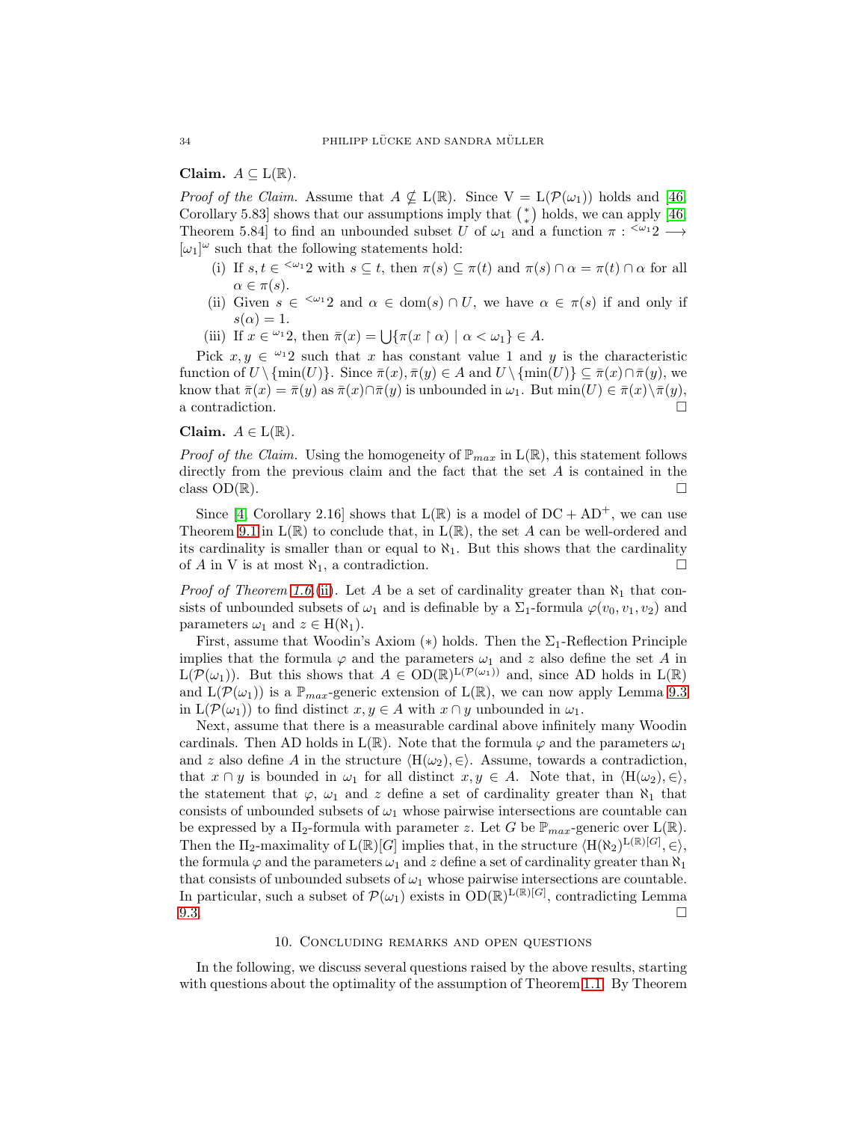## Claim.  $A \subseteq L(\mathbb{R})$ .

*Proof of the Claim.* Assume that  $A \nsubseteq L(\mathbb{R})$ . Since  $V = L(\mathcal{P}(\omega_1))$  holds and [\[46,](#page-37-10) Corollary 5.83] shows that our assumptions imply that  $\binom{*}{*}$  holds, we can apply [\[46,](#page-37-10) Theorem 5.84] to find an unbounded subset U of  $\omega_1$  and a function  $\pi:$  <sup> $\leq \omega_1$ </sup>2  $\longrightarrow$  $[\omega_1]^\omega$  such that the following statements hold:

- (i) If  $s, t \in \infty$ <sup>2</sup> with  $s \subseteq t$ , then  $\pi(s) \subseteq \pi(t)$  and  $\pi(s) \cap \alpha = \pi(t) \cap \alpha$  for all  $\alpha \in \pi(s)$ .
- (ii) Given  $s \in \langle \omega_1 2 \text{ and } \alpha \in \text{dom}(s) \cap U$ , we have  $\alpha \in \pi(s)$  if and only if  $s(\alpha) = 1.$
- (iii) If  $x \in \mathbb{Z}^2$ , then  $\overline{\pi}(x) = \bigcup \{ \pi(x \restriction \alpha) \mid \alpha < \omega_1 \} \in A$ .

Pick  $x, y \in \mathbb{Z}^2$  such that x has constant value 1 and y is the characteristic function of  $U \setminus \{\min(U)\}\$ . Since  $\overline{\pi}(x), \overline{\pi}(y) \in A$  and  $U \setminus \{\min(U)\}\subseteq \overline{\pi}(x) \cap \overline{\pi}(y)$ , we know that  $\bar{\pi}(x) = \bar{\pi}(y)$  as  $\bar{\pi}(x) \cap \bar{\pi}(y)$  is unbounded in  $\omega_1$ . But  $\min(U) \in \bar{\pi}(x) \setminus \bar{\pi}(y)$ , a contradiction.

# Claim.  $A \in L(\mathbb{R})$ .

*Proof of the Claim.* Using the homogeneity of  $\mathbb{P}_{max}$  in  $L(\mathbb{R})$ , this statement follows directly from the previous claim and the fact that the set  $A$  is contained in the class  $OD(\mathbb{R})$ .

Since [\[4,](#page-36-23) Corollary 2.16] shows that  $L(\mathbb{R})$  is a model of  $DC + AD^+$ , we can use Theorem [9.1](#page-31-0) in  $L(\mathbb{R})$  to conclude that, in  $L(\mathbb{R})$ , the set A can be well-ordered and its cardinality is smaller than or equal to  $\aleph_1$ . But this shows that the cardinality of A in V is at most  $\aleph_1$ , a contradiction.

*Proof of Theorem [1.6.](#page-3-2)*[\(ii\)](#page-3-4). Let A be a set of cardinality greater than  $\aleph_1$  that consists of unbounded subsets of  $\omega_1$  and is definable by a  $\Sigma_1$ -formula  $\varphi(v_0, v_1, v_2)$  and parameters  $\omega_1$  and  $z \in H(\aleph_1)$ .

First, assume that Woodin's Axiom (\*) holds. Then the  $\Sigma_1$ -Reflection Principle implies that the formula  $\varphi$  and the parameters  $\omega_1$  and z also define the set A in  $L(\mathcal{P}(\omega_1))$ . But this shows that  $A \in OD(\mathbb{R})^{L(\mathcal{P}(\omega_1))}$  and, since AD holds in  $L(\mathbb{R})$ and  $L(\mathcal{P}(\omega_1))$  is a  $\mathbb{P}_{max}$ -generic extension of  $L(\mathbb{R})$ , we can now apply Lemma [9.3](#page-32-0) in  $L(\mathcal{P}(\omega_1))$  to find distinct  $x, y \in A$  with  $x \cap y$  unbounded in  $\omega_1$ .

Next, assume that there is a measurable cardinal above infinitely many Woodin cardinals. Then AD holds in  $L(\mathbb{R})$ . Note that the formula  $\varphi$  and the parameters  $\omega_1$ and z also define A in the structure  $\langle H(\omega_2), \in \rangle$ . Assume, towards a contradiction, that  $x \cap y$  is bounded in  $\omega_1$  for all distinct  $x, y \in A$ . Note that, in  $\langle H(\omega_2), \in \rangle$ , the statement that  $\varphi$ ,  $\omega_1$  and z define a set of cardinality greater than  $\aleph_1$  that consists of unbounded subsets of  $\omega_1$  whose pairwise intersections are countable can be expressed by a  $\Pi_2$ -formula with parameter z. Let G be  $\mathbb{P}_{max}$ -generic over  $L(\mathbb{R})$ . Then the  $\Pi_2$ -maximality of  $L(\mathbb{R})[G]$  implies that, in the structure  $\langle H(\aleph_2)^{L(\mathbb{R})[G]}, \in \rangle$ , the formula  $\varphi$  and the parameters  $\omega_1$  and  $z$  define a set of cardinality greater than  $\aleph_1$ that consists of unbounded subsets of  $\omega_1$  whose pairwise intersections are countable. In particular, such a subset of  $\mathcal{P}(\omega_1)$  exists in  $\text{OD}(\mathbb{R})^{\text{L}(\mathbb{R})[G]}$ , contradicting Lemma  $9.3.$ 

#### 10. Concluding remarks and open questions

In the following, we discuss several questions raised by the above results, starting with questions about the optimality of the assumption of Theorem [1.1.](#page-1-1) By Theorem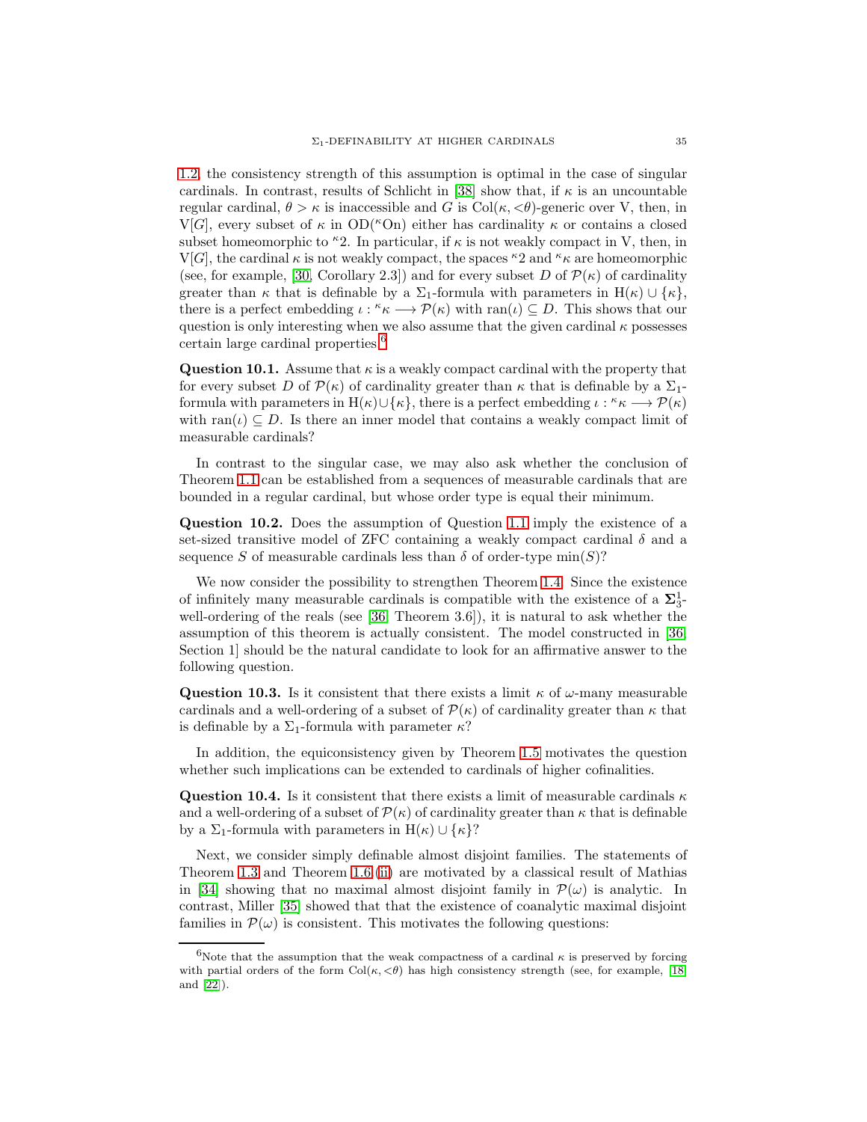[1.2,](#page-1-2) the consistency strength of this assumption is optimal in the case of singular cardinals. In contrast, results of Schlicht in [\[38\]](#page-37-15) show that, if  $\kappa$  is an uncountable regular cardinal,  $\theta > \kappa$  is inaccessible and G is Col $(\kappa, \langle \theta \rangle)$ -generic over V, then, in V[G], every subset of  $\kappa$  in OD(<sup> $\kappa$ </sup>On) either has cardinality  $\kappa$  or contains a closed subset homeomorphic to <sup> $k$ </sup>2. In particular, if  $\kappa$  is not weakly compact in V, then, in  $V[G]$ , the cardinal  $\kappa$  is not weakly compact, the spaces  ${}^{\kappa}2$  and  ${}^{\kappa}\kappa$  are homeomorphic (see, for example, [\[30,](#page-36-24) Corollary 2.3]) and for every subset D of  $\mathcal{P}(\kappa)$  of cardinality greater than  $\kappa$  that is definable by a  $\Sigma_1$ -formula with parameters in H( $\kappa$ ) ∪  $\{\kappa\},\$ there is a perfect embedding  $\iota: {}^{\kappa} \kappa \longrightarrow \mathcal{P}(\kappa)$  with  $\text{ran}(\iota) \subseteq D$ . This shows that our question is only interesting when we also assume that the given cardinal  $\kappa$  possesses certain large cardinal properties.[6](#page-34-0)

**Question 10.1.** Assume that  $\kappa$  is a weakly compact cardinal with the property that for every subset D of  $\mathcal{P}(\kappa)$  of cardinality greater than  $\kappa$  that is definable by a  $\Sigma_1$ formula with parameters in H( $\kappa$ ) $\cup$ { $\kappa$ }, there is a perfect embedding  $\iota : \kappa \to \mathcal{P}(\kappa)$ with ran( $\iota$ )  $\subseteq$  D. Is there an inner model that contains a weakly compact limit of measurable cardinals?

In contrast to the singular case, we may also ask whether the conclusion of Theorem [1.1](#page-1-1) can be established from a sequences of measurable cardinals that are bounded in a regular cardinal, but whose order type is equal their minimum.

Question 10.2. Does the assumption of Question [1.1](#page-1-1) imply the existence of a set-sized transitive model of ZFC containing a weakly compact cardinal  $\delta$  and a sequence S of measurable cardinals less than  $\delta$  of order-type min $(S)$ ?

We now consider the possibility to strengthen Theorem [1.4.](#page-2-1) Since the existence of infinitely many measurable cardinals is compatible with the existence of a  $\Sigma_3^1$ well-ordering of the reals (see [\[36,](#page-37-16) Theorem 3.6]), it is natural to ask whether the assumption of this theorem is actually consistent. The model constructed in [\[36,](#page-37-16) Section 1] should be the natural candidate to look for an affirmative answer to the following question.

**Question 10.3.** Is it consistent that there exists a limit  $\kappa$  of  $\omega$ -many measurable cardinals and a well-ordering of a subset of  $\mathcal{P}(\kappa)$  of cardinality greater than  $\kappa$  that is definable by a  $\Sigma_1$ -formula with parameter  $\kappa$ ?

In addition, the equiconsistency given by Theorem [1.5](#page-3-1) motivates the question whether such implications can be extended to cardinals of higher cofinalities.

**Question 10.4.** Is it consistent that there exists a limit of measurable cardinals  $\kappa$ and a well-ordering of a subset of  $\mathcal{P}(\kappa)$  of cardinality greater than  $\kappa$  that is definable by a  $\Sigma_1$ -formula with parameters in H( $\kappa$ ) ∪ { $\kappa$ }?

Next, we consider simply definable almost disjoint families. The statements of Theorem [1.3](#page-2-0) and Theorem [1.6.](#page-3-2)[\(ii\)](#page-3-4) are motivated by a classical result of Mathias in [\[34\]](#page-37-3) showing that no maximal almost disjoint family in  $\mathcal{P}(\omega)$  is analytic. In contrast, Miller [\[35\]](#page-37-4) showed that that the existence of coanalytic maximal disjoint families in  $\mathcal{P}(\omega)$  is consistent. This motivates the following questions:

<span id="page-34-0"></span><sup>&</sup>lt;sup>6</sup>Note that the assumption that the weak compactness of a cardinal  $\kappa$  is preserved by forcing with partial orders of the form  $Col(\kappa, <\theta)$  has high consistency strength (see, for example, [\[18\]](#page-36-10) and [\[22\]](#page-36-25)).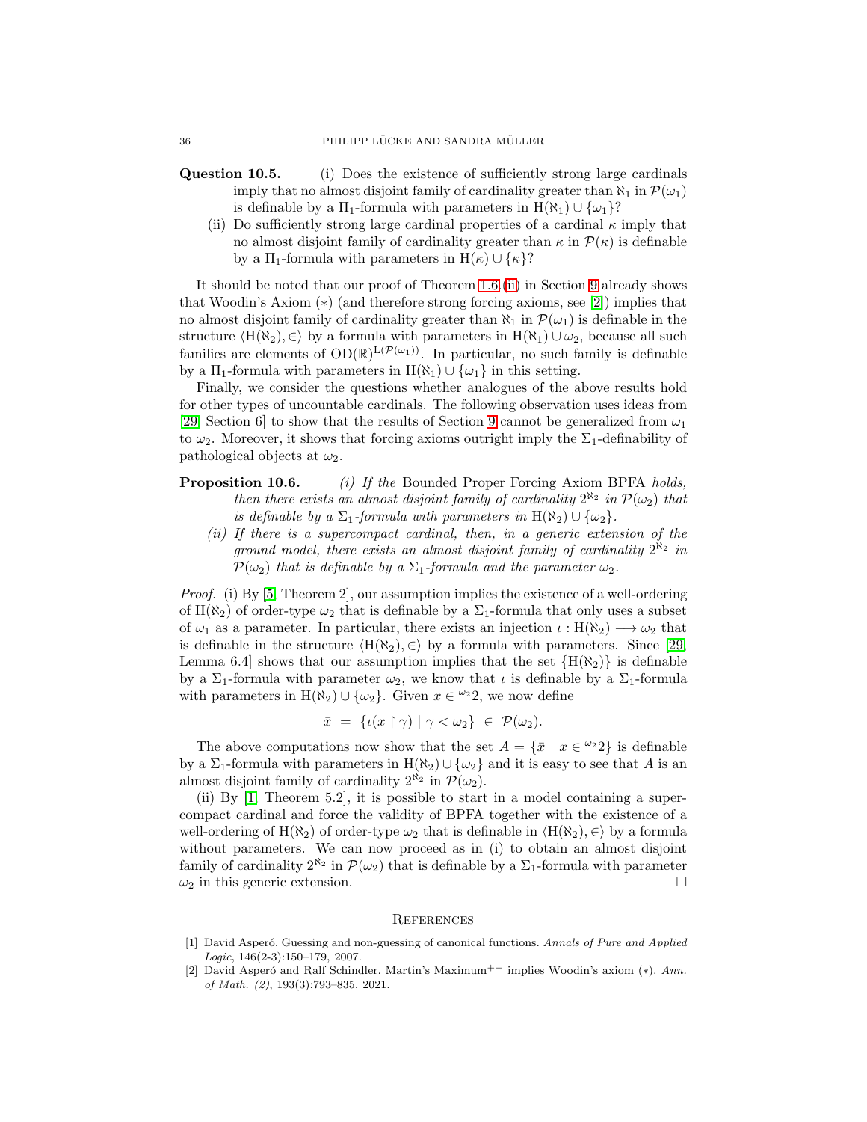- Question 10.5. (i) Does the existence of sufficiently strong large cardinals imply that no almost disjoint family of cardinality greater than  $\aleph_1$  in  $\mathcal{P}(\omega_1)$ is definable by a  $\Pi_1$ -formula with parameters in  $H(\aleph_1) \cup {\omega_1}$ ?
	- (ii) Do sufficiently strong large cardinal properties of a cardinal  $\kappa$  imply that no almost disjoint family of cardinality greater than  $\kappa$  in  $\mathcal{P}(\kappa)$  is definable by a  $\Pi_1$ -formula with parameters in  $H(\kappa) \cup {\kappa}$ ?

It should be noted that our proof of Theorem [1.6.](#page-3-2)[\(ii\)](#page-3-4) in Section [9](#page-31-3) already shows that Woodin's Axiom (∗) (and therefore strong forcing axioms, see [\[2\]](#page-35-0)) implies that no almost disjoint family of cardinality greater than  $\aleph_1$  in  $\mathcal{P}(\omega_1)$  is definable in the structure  $\langle H(\aleph_2), \in \rangle$  by a formula with parameters in  $H(\aleph_1) \cup \omega_2$ , because all such families are elements of  $OD(\mathbb{R})^{L(\mathcal{P}(\omega_1))}$ . In particular, no such family is definable by a  $\Pi_1$ -formula with parameters in  $H(\aleph_1) \cup {\omega_1}$  in this setting.

Finally, we consider the questions whether analogues of the above results hold for other types of uncountable cardinals. The following observation uses ideas from [\[29,](#page-36-0) Section 6] to show that the results of Section [9](#page-31-3) cannot be generalized from  $\omega_1$ to  $\omega_2$ . Moreover, it shows that forcing axioms outright imply the  $\Sigma_1$ -definability of pathological objects at  $\omega_2$ .

- Proposition 10.6. *(i) If the* Bounded Proper Forcing Axiom BPFA *holds, then there exists an almost disjoint family of cardinality*  $2^{\aleph_2}$  *in*  $\mathcal{P}(\omega_2)$  *that is definable by a*  $\Sigma_1$ -formula with parameters in H( $\aleph_2$ ) ∪  $\{\omega_2\}$ .
	- *(ii) If there is a supercompact cardinal, then, in a generic extension of the* ground model, there exists an almost disjoint family of cardinality  $2^{\aleph_2}$  in  $\mathcal{P}(\omega_2)$  *that is definable by a*  $\Sigma_1$ -formula and the parameter  $\omega_2$ .

*Proof.* (i) By [\[5,](#page-36-26) Theorem 2], our assumption implies the existence of a well-ordering of H( $\aleph_2$ ) of order-type  $\omega_2$  that is definable by a  $\Sigma_1$ -formula that only uses a subset of  $\omega_1$  as a parameter. In particular, there exists an injection  $\iota : H(\aleph_2) \longrightarrow \omega_2$  that is definable in the structure  $\langle H(\aleph_2), \in \rangle$  by a formula with parameters. Since [\[29,](#page-36-0) Lemma 6.4] shows that our assumption implies that the set  ${H(\aleph_2)}$  is definable by a  $\Sigma_1$ -formula with parameter  $\omega_2$ , we know that  $\iota$  is definable by a  $\Sigma_1$ -formula with parameters in  $H(\aleph_2) \cup \{\omega_2\}$ . Given  $x \in \omega^2$ , we now define

$$
\bar{x} = \{ \iota(x \restriction \gamma) \mid \gamma < \omega_2 \} \in \mathcal{P}(\omega_2).
$$

The above computations now show that the set  $A = \{\bar{x} \mid x \in \omega^2 2\}$  is definable by a  $\Sigma_1$ -formula with parameters in  $H(\aleph_2) \cup {\omega_2}$  and it is easy to see that A is an almost disjoint family of cardinality  $2^{\aleph_2}$  in  $\mathcal{P}(\omega_2)$ .

(ii) By [\[1,](#page-35-1) Theorem 5.2], it is possible to start in a model containing a supercompact cardinal and force the validity of BPFA together with the existence of a well-ordering of H( $\aleph_2$ ) of order-type  $\omega_2$  that is definable in  $\langle H(\aleph_2), \in \rangle$  by a formula without parameters. We can now proceed as in (i) to obtain an almost disjoint family of cardinality  $2^{\aleph_2}$  in  $\mathcal{P}(\omega_2)$  that is definable by a  $\Sigma_1$ -formula with parameter  $\omega_2$  in this generic extension.

#### **REFERENCES**

<span id="page-35-1"></span><sup>[1]</sup> David Asperó. Guessing and non-guessing of canonical functions. *Annals of Pure and Applied Logic*, 146(2-3):150–179, 2007.

<span id="page-35-0"></span><sup>[2]</sup> David Asper´o and Ralf Schindler. Martin's Maximum++ implies Woodin's axiom (∗). *Ann. of Math. (2)*, 193(3):793–835, 2021.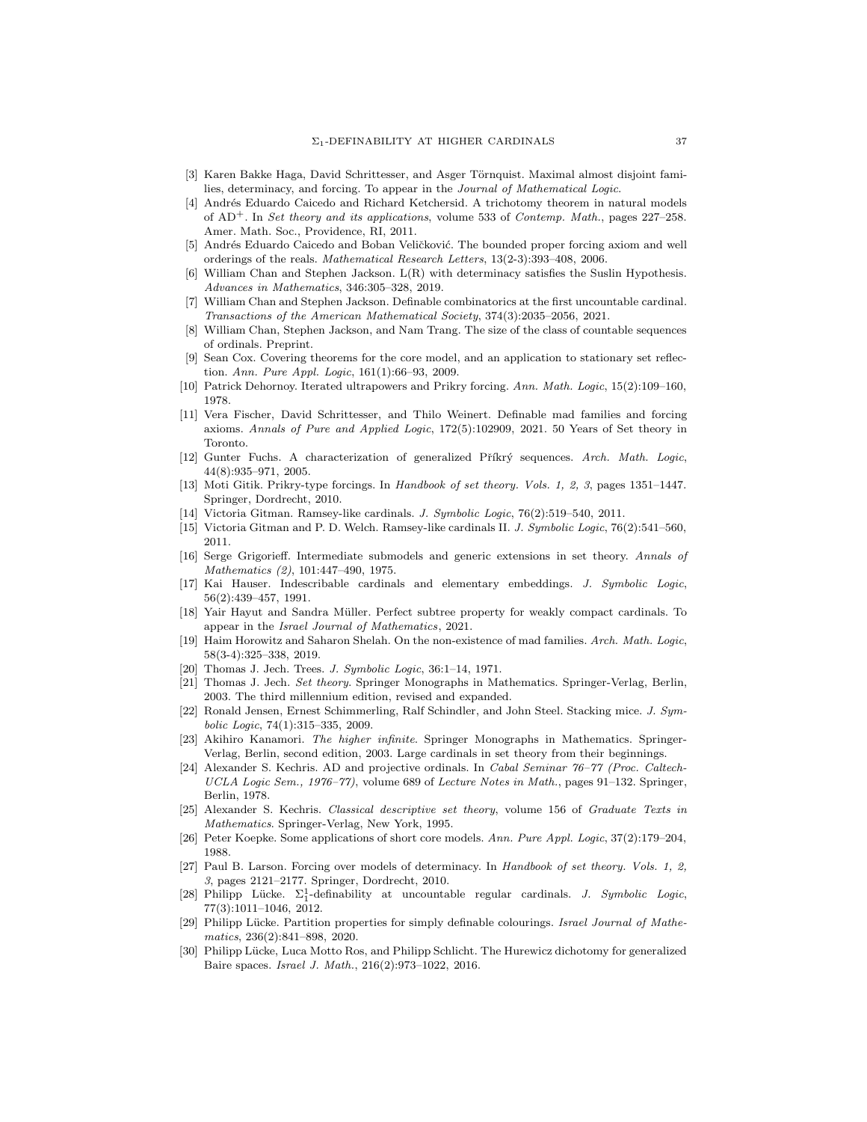- [3] Karen Bakke Haga, David Schrittesser, and Asger Törnquist. Maximal almost disjoint families, determinacy, and forcing. To appear in the *Journal of Mathematical Logic*.
- <span id="page-36-23"></span>[4] Andrés Eduardo Caicedo and Richard Ketchersid. A trichotomy theorem in natural models of AD+. In *Set theory and its applications*, volume 533 of *Contemp. Math.*, pages 227–258. Amer. Math. Soc., Providence, RI, 2011.
- <span id="page-36-26"></span>[5] Andrés Eduardo Caicedo and Boban Veličković. The bounded proper forcing axiom and well orderings of the reals. *Mathematical Research Letters*, 13(2-3):393–408, 2006.
- <span id="page-36-20"></span>[6] William Chan and Stephen Jackson. L(R) with determinacy satisfies the Suslin Hypothesis. *Advances in Mathematics*, 346:305–328, 2019.
- <span id="page-36-21"></span>[7] William Chan and Stephen Jackson. Definable combinatorics at the first uncountable cardinal. *Transactions of the American Mathematical Society*, 374(3):2035–2056, 2021.
- <span id="page-36-22"></span>[8] William Chan, Stephen Jackson, and Nam Trang. The size of the class of countable sequences of ordinals. Preprint.
- <span id="page-36-11"></span>[9] Sean Cox. Covering theorems for the core model, and an application to stationary set reflection. *Ann. Pure Appl. Logic*, 161(1):66–93, 2009.
- <span id="page-36-8"></span><span id="page-36-4"></span>[10] Patrick Dehornoy. Iterated ultrapowers and Prikry forcing. *Ann. Math. Logic*, 15(2):109–160, 1978.
- [11] Vera Fischer, David Schrittesser, and Thilo Weinert. Definable mad families and forcing axioms. *Annals of Pure and Applied Logic*, 172(5):102909, 2021. 50 Years of Set theory in Toronto.
- <span id="page-36-15"></span>[12] Gunter Fuchs. A characterization of generalized Pˇr´ıkr´y sequences. *Arch. Math. Logic*, 44(8):935–971, 2005.
- <span id="page-36-16"></span>[13] Moti Gitik. Prikry-type forcings. In *Handbook of set theory. Vols. 1, 2, 3*, pages 1351–1447. Springer, Dordrecht, 2010.
- <span id="page-36-7"></span><span id="page-36-6"></span>[14] Victoria Gitman. Ramsey-like cardinals. *J. Symbolic Logic*, 76(2):519–540, 2011.
- <span id="page-36-17"></span>[15] Victoria Gitman and P. D. Welch. Ramsey-like cardinals II. *J. Symbolic Logic*, 76(2):541–560, 2011.
- [16] Serge Grigorieff. Intermediate submodels and generic extensions in set theory. *Annals of Mathematics (2)*, 101:447–490, 1975.
- <span id="page-36-14"></span>[17] Kai Hauser. Indescribable cardinals and elementary embeddings. *J. Symbolic Logic*, 56(2):439–457, 1991.
- <span id="page-36-10"></span>[18] Yair Hayut and Sandra Müller. Perfect subtree property for weakly compact cardinals. To appear in the *Israel Journal of Mathematics*, 2021.
- <span id="page-36-5"></span>[19] Haim Horowitz and Saharon Shelah. On the non-existence of mad families. *Arch. Math. Logic*, 58(3-4):325–338, 2019.
- <span id="page-36-13"></span><span id="page-36-12"></span>[20] Thomas J. Jech. Trees. *J. Symbolic Logic*, 36:1–14, 1971.
- [21] Thomas J. Jech. *Set theory*. Springer Monographs in Mathematics. Springer-Verlag, Berlin, 2003. The third millennium edition, revised and expanded.
- <span id="page-36-25"></span>[22] Ronald Jensen, Ernest Schimmerling, Ralf Schindler, and John Steel. Stacking mice. *J. Symbolic Logic*, 74(1):315–335, 2009.
- <span id="page-36-3"></span>[23] Akihiro Kanamori. *The higher infinite*. Springer Monographs in Mathematics. Springer-Verlag, Berlin, second edition, 2003. Large cardinals in set theory from their beginnings.
- <span id="page-36-19"></span>[24] Alexander S. Kechris. AD and projective ordinals. In *Cabal Seminar 76–77 (Proc. Caltech-UCLA Logic Sem., 1976–77)*, volume 689 of *Lecture Notes in Math.*, pages 91–132. Springer, Berlin, 1978.
- <span id="page-36-9"></span>[25] Alexander S. Kechris. *Classical descriptive set theory*, volume 156 of *Graduate Texts in Mathematics*. Springer-Verlag, New York, 1995.
- <span id="page-36-18"></span><span id="page-36-2"></span>[26] Peter Koepke. Some applications of short core models. *Ann. Pure Appl. Logic*, 37(2):179–204, 1988.
- [27] Paul B. Larson. Forcing over models of determinacy. In *Handbook of set theory. Vols. 1, 2, 3*, pages 2121–2177. Springer, Dordrecht, 2010.
- <span id="page-36-1"></span>[28] Philipp Lücke.  $\Sigma^1_1$ -definability at uncountable regular cardinals. *J. Symbolic Logic*, 77(3):1011–1046, 2012.
- <span id="page-36-0"></span>[29] Philipp Lücke. Partition properties for simply definable colourings. *Israel Journal of Mathematics*, 236(2):841–898, 2020.
- <span id="page-36-24"></span>[30] Philipp Lücke, Luca Motto Ros, and Philipp Schlicht. The Hurewicz dichotomy for generalized Baire spaces. *Israel J. Math.*, 216(2):973–1022, 2016.